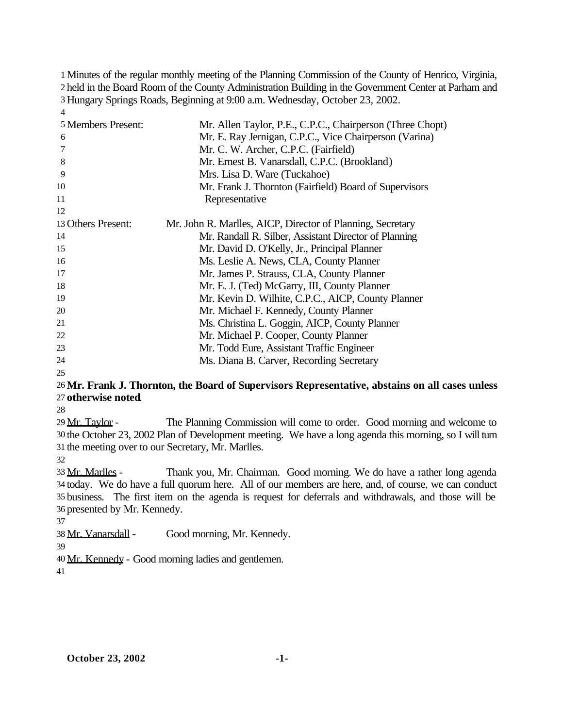Minutes of the regular monthly meeting of the Planning Commission of the County of Henrico, Virginia, held in the Board Room of the County Administration Building in the Government Center at Parham and Hungary Springs Roads, Beginning at 9:00 a.m. Wednesday, October 23, 2002. 

| 5 Members Present: | Mr. Allen Taylor, P.E., C.P.C., Chairperson (Three Chopt)  |
|--------------------|------------------------------------------------------------|
| 6                  | Mr. E. Ray Jernigan, C.P.C., Vice Chairperson (Varina)     |
| 7                  | Mr. C. W. Archer, C.P.C. (Fairfield)                       |
| 8                  | Mr. Ernest B. Vanarsdall, C.P.C. (Brookland)               |
| 9                  | Mrs. Lisa D. Ware (Tuckahoe)                               |
| 10                 | Mr. Frank J. Thornton (Fairfield) Board of Supervisors     |
| 11                 | Representative                                             |
| 12                 |                                                            |
| 13 Others Present: | Mr. John R. Marlles, AICP, Director of Planning, Secretary |
| 14                 | Mr. Randall R. Silber, Assistant Director of Planning      |
| 15                 | Mr. David D. O'Kelly, Jr., Principal Planner               |
| 16                 | Ms. Leslie A. News, CLA, County Planner                    |
| 17                 | Mr. James P. Strauss, CLA, County Planner                  |
| 18                 | Mr. E. J. (Ted) McGarry, III, County Planner               |
| 19                 | Mr. Kevin D. Wilhite, C.P.C., AICP, County Planner         |
| 20                 | Mr. Michael F. Kennedy, County Planner                     |
| 21                 | Ms. Christina L. Goggin, AICP, County Planner              |
| 22                 | Mr. Michael P. Cooper, County Planner                      |
| 23                 | Mr. Todd Eure, Assistant Traffic Engineer                  |
| 24                 | Ms. Diana B. Carver, Recording Secretary                   |
| 25                 |                                                            |

### **Mr. Frank J. Thornton, the Board of Supervisors Representative, abstains on all cases unless otherwise noted**.

29 Mr. Taylor - The Planning Commission will come to order. Good morning and welcome to the October 23, 2002 Plan of Development meeting. We have a long agenda this morning, so I will turn the meeting over to our Secretary, Mr. Marlles.

 Mr. Marlles - Thank you, Mr. Chairman. Good morning. We do have a rather long agenda today. We do have a full quorum here. All of our members are here, and, of course, we can conduct business. The first item on the agenda is request for deferrals and withdrawals, and those will be presented by Mr. Kennedy.

Mr. Vanarsdall - Good morning, Mr. Kennedy.

Mr. Kennedy - Good morning ladies and gentlemen.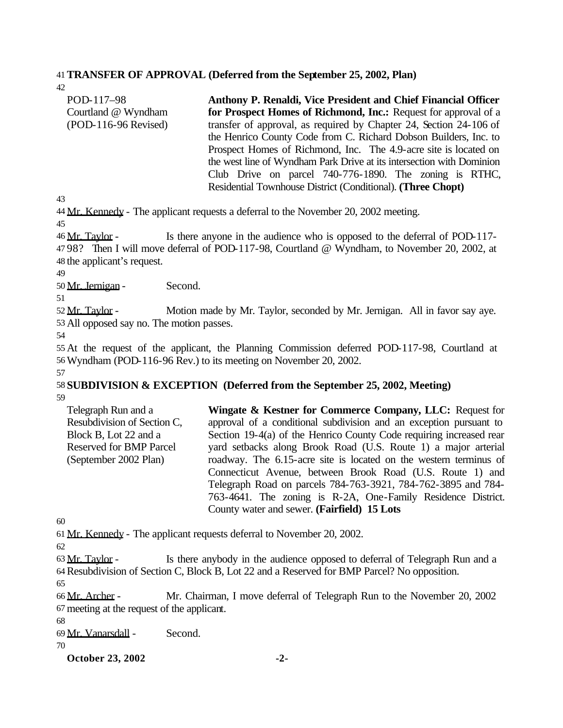### 41**TRANSFER OF APPROVAL (Deferred from the September 25, 2002, Plan)**

42

| POD-117–98           | Anthony P. Renaldi, Vice President and Chief Financial Officer        |  |  |  |  |  |  |
|----------------------|-----------------------------------------------------------------------|--|--|--|--|--|--|
| Courtland @ Wyndham  | for Prospect Homes of Richmond, Inc.: Request for approval of a       |  |  |  |  |  |  |
| (POD-116-96 Revised) | transfer of approval, as required by Chapter 24, Section 24-106 of    |  |  |  |  |  |  |
|                      | the Henrico County Code from C. Richard Dobson Builders, Inc. to      |  |  |  |  |  |  |
|                      | Prospect Homes of Richmond, Inc. The 4.9-acre site is located on      |  |  |  |  |  |  |
|                      | the west line of Wyndham Park Drive at its intersection with Dominion |  |  |  |  |  |  |
|                      | Club Drive on parcel 740-776-1890. The zoning is RTHC,                |  |  |  |  |  |  |
|                      | Residential Townhouse District (Conditional). (Three Chopt)           |  |  |  |  |  |  |

43

44 Mr. Kennedy - The applicant requests a deferral to the November 20, 2002 meeting.

45

46 Mr. Taylor - Is there anyone in the audience who is opposed to the deferral of POD-117- 47 98? Then I will move deferral of POD-117-98, Courtland @ Wyndham, to November 20, 2002, at 48 the applicant's request.

49

50 Mr. Jernigan - Second.

51

52 Mr. Taylor - Motion made by Mr. Taylor, seconded by Mr. Jernigan. All in favor say aye. 53 All opposed say no. The motion passes.

54

55 At the request of the applicant, the Planning Commission deferred POD-117-98, Courtland at 56Wyndham (POD-116-96 Rev.) to its meeting on November 20, 2002. 57

#### 58 **SUBDIVISION & EXCEPTION (Deferred from the September 25, 2002, Meeting)** 59

Telegraph Run and a Resubdivision of Section C, Block B, Lot 22 and a Reserved for BMP Parcel (September 2002 Plan) **Wingate & Kestner for Commerce Company, LLC:** Request for approval of a conditional subdivision and an exception pursuant to Section 19-4(a) of the Henrico County Code requiring increased rear yard setbacks along Brook Road (U.S. Route 1) a major arterial roadway. The 6.15-acre site is located on the western terminus of Connecticut Avenue, between Brook Road (U.S. Route 1) and Telegraph Road on parcels 784-763-3921, 784-762-3895 and 784- 763-4641. The zoning is R-2A, One-Family Residence District. County water and sewer. **(Fairfield) 15 Lots**

60

61 Mr. Kennedy - The applicant requests deferral to November 20, 2002.

62

63 Mr. Taylor - Is there anybody in the audience opposed to deferral of Telegraph Run and a 64Resubdivision of Section C, Block B, Lot 22 and a Reserved for BMP Parcel? No opposition.

65

66 Mr. Archer - Mr. Chairman, I move deferral of Telegraph Run to the November 20, 2002 67 meeting at the request of the applicant.

68

69 Mr. Vanarsdall - Second.

70

**October 23, 2002** -2-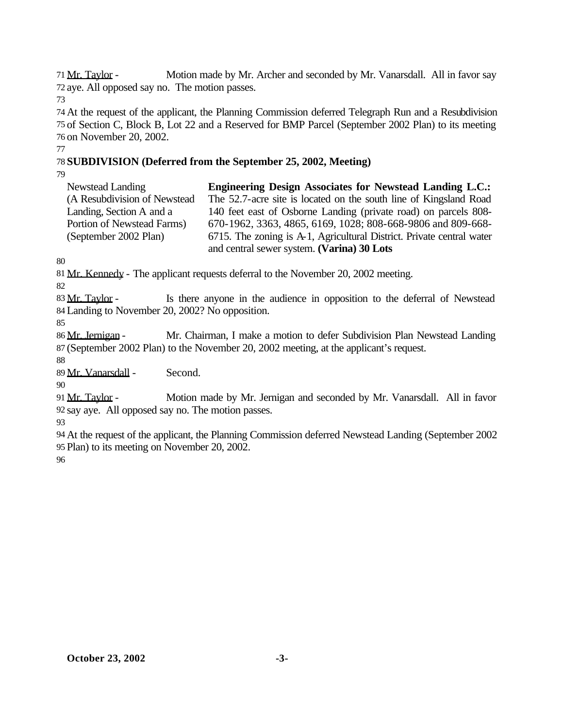Mr. Taylor - Motion made by Mr. Archer and seconded by Mr. Vanarsdall. All in favor say aye. All opposed say no. The motion passes.

 At the request of the applicant, the Planning Commission deferred Telegraph Run and a Resubdivision of Section C, Block B, Lot 22 and a Reserved for BMP Parcel (September 2002 Plan) to its meeting on November 20, 2002.

**SUBDIVISION (Deferred from the September 25, 2002, Meeting)**

| <b>Newstead Landing</b>      | <b>Engineering Design Associates for Newstead Landing L.C.:</b>       |
|------------------------------|-----------------------------------------------------------------------|
| (A Resubdivision of Newstead | The 52.7-acre site is located on the south line of Kingsland Road     |
| Landing, Section A and a     | 140 feet east of Osborne Landing (private road) on parcels 808-       |
| Portion of Newstead Farms)   | 670-1962, 3363, 4865, 6169, 1028; 808-668-9806 and 809-668-           |
| (September 2002 Plan)        | 6715. The zoning is A-1, Agricultural District. Private central water |
|                              | and central sewer system. (Varina) 30 Lots                            |

Mr. Kennedy - The applicant requests deferral to the November 20, 2002 meeting.

83 Mr. Taylor - Is there anyone in the audience in opposition to the deferral of Newstead Landing to November 20, 2002? No opposition.

86 Mr. Jernigan - Mr. Chairman, I make a motion to defer Subdivision Plan Newstead Landing (September 2002 Plan) to the November 20, 2002 meeting, at the applicant's request.

Mr. Vanarsdall - Second.

 Mr. Taylor - Motion made by Mr. Jernigan and seconded by Mr. Vanarsdall. All in favor say aye. All opposed say no. The motion passes.

 At the request of the applicant, the Planning Commission deferred Newstead Landing (September 2002 Plan) to its meeting on November 20, 2002.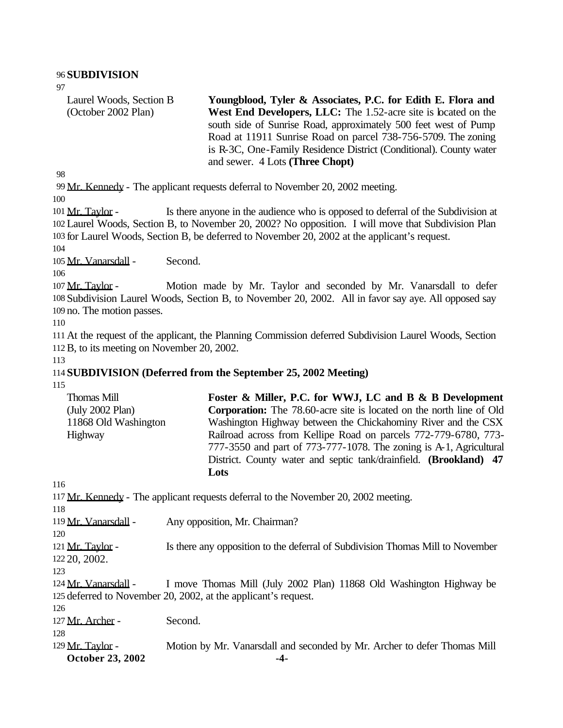#### 96 **SUBDIVISION**

97

Laurel Woods, Section B (October 2002 Plan) **Youngblood, Tyler & Associates, P.C. for Edith E. Flora and West End Developers, LLC:** The 1.52-acre site is located on the south side of Sunrise Road, approximately 500 feet west of Pump Road at 11911 Sunrise Road on parcel 738-756-5709. The zoning is R-3C, One-Family Residence District (Conditional). County water and sewer. 4 Lots **(Three Chopt)**

98

99 Mr. Kennedy - The applicant requests deferral to November 20, 2002 meeting.

100

101 Mr. Taylor - Is there anyone in the audience who is opposed to deferral of the Subdivision at 102 Laurel Woods, Section B, to November 20, 2002? No opposition. I will move that Subdivision Plan 103 for Laurel Woods, Section B, be deferred to November 20, 2002 at the applicant's request.

104

105 Mr. Vanarsdall - Second.

106

107 Mr. Taylor - Motion made by Mr. Taylor and seconded by Mr. Vanarsdall to defer 108 Subdivision Laurel Woods, Section B, to November 20, 2002. All in favor say aye. All opposed say 109 no. The motion passes.

110

111 At the request of the applicant, the Planning Commission deferred Subdivision Laurel Woods, Section 112B, to its meeting on November 20, 2002.

113

# 114 **SUBDIVISION (Deferred from the September 25, 2002 Meeting)**

115

| Thomas Mill          | Foster & Miller, P.C. for WWJ, LC and B & B Development                     |
|----------------------|-----------------------------------------------------------------------------|
| (July 2002 Plan)     | <b>Corporation:</b> The 78.60-acre site is located on the north line of Old |
| 11868 Old Washington | Washington Highway between the Chickahominy River and the CSX               |
| Highway              | Railroad across from Kellipe Road on parcels 772-779-6780, 773-             |
|                      | 777-3550 and part of 773-777-1078. The zoning is A-1, Agricultural          |
|                      | District. County water and septic tank/drainfield. (Brookland) 47           |
|                      | Lots                                                                        |

**October 23, 2002** -4-116 117 Mr. Kennedy - The applicant requests deferral to the November 20, 2002 meeting. 118 119 Mr. Vanarsdall - Any opposition, Mr. Chairman? 120 121 Mr. Taylor - Is there any opposition to the deferral of Subdivision Thomas Mill to November 122 20, 2002. 123 124 Mr. Vanarsdall - I move Thomas Mill (July 2002 Plan) 11868 Old Washington Highway be 125 deferred to November 20, 2002, at the applicant's request. 126 127 Mr. Archer - Second. 128 129 Mr. Taylor - Motion by Mr. Vanarsdall and seconded by Mr. Archer to defer Thomas Mill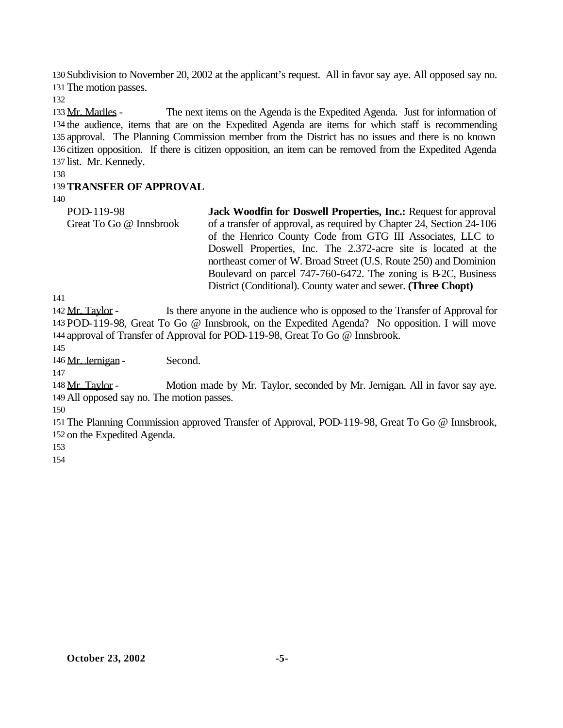Subdivision to November 20, 2002 at the applicant's request. All in favor say aye. All opposed say no. The motion passes.

 Mr. Marlles - The next items on the Agenda is the Expedited Agenda. Just for information of the audience, items that are on the Expedited Agenda are items for which staff is recommending approval. The Planning Commission member from the District has no issues and there is no known citizen opposition. If there is citizen opposition, an item can be removed from the Expedited Agenda list. Mr. Kennedy.

### **TRANSFER OF APPROVAL**

| POD-119-98              | <b>Jack Woodfin for Doswell Properties, Inc.: Request for approval</b> |
|-------------------------|------------------------------------------------------------------------|
| Great To Go @ Innsbrook | of a transfer of approval, as required by Chapter 24, Section 24-106   |
|                         | of the Henrico County Code from GTG III Associates, LLC to             |
|                         | Doswell Properties, Inc. The 2.372-acre site is located at the         |
|                         | northeast corner of W. Broad Street (U.S. Route 250) and Dominion      |
|                         | Boulevard on parcel 747-760-6472. The zoning is B-2C, Business         |
|                         | District (Conditional). County water and sewer. (Three Chopt)          |

142 Mr. Taylor - Is there anyone in the audience who is opposed to the Transfer of Approval for POD-119-98, Great To Go @ Innsbrook, on the Expedited Agenda? No opposition. I will move approval of Transfer of Approval for POD-119-98, Great To Go @ Innsbrook.

Mr. Jernigan - Second.

 Mr. Taylor - Motion made by Mr. Taylor, seconded by Mr. Jernigan. All in favor say aye. All opposed say no. The motion passes.

 The Planning Commission approved Transfer of Approval, POD-119-98, Great To Go @ Innsbrook, on the Expedited Agenda.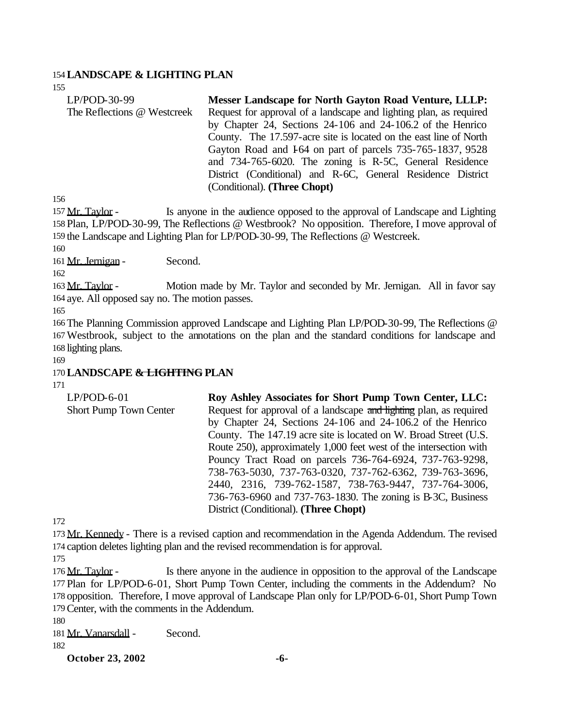### 154**LANDSCAPE & LIGHTING PLAN**

155

| $LP/POD-30-99$              | <b>Messer Landscape for North Gayton Road Venture, LLLP:</b>       |
|-----------------------------|--------------------------------------------------------------------|
| The Reflections @ Westcreek | Request for approval of a landscape and lighting plan, as required |
|                             | by Chapter 24, Sections 24-106 and 24-106.2 of the Henrico         |
|                             | County. The 17.597-acre site is located on the east line of North  |
|                             | Gayton Road and 164 on part of parcels 735-765-1837, 9528          |
|                             | and 734-765-6020. The zoning is R-5C, General Residence            |
|                             | District (Conditional) and R-6C, General Residence District        |
|                             | (Conditional). (Three Chopt)                                       |

156

157 Mr. Taylor - Is anyone in the audience opposed to the approval of Landscape and Lighting 158 Plan, LP/POD-30-99, The Reflections @ Westbrook? No opposition. Therefore, I move approval of 159 the Landscape and Lighting Plan for LP/POD-30-99, The Reflections @ Westcreek.

160

161 Mr. Jernigan - Second.

162

163 Mr. Taylor - Motion made by Mr. Taylor and seconded by Mr. Jernigan. All in favor say 164 aye. All opposed say no. The motion passes.

165

166 The Planning Commission approved Landscape and Lighting Plan LP/POD-30-99, The Reflections @ 167Westbrook, subject to the annotations on the plan and the standard conditions for landscape and 168 lighting plans.

169

# 170**LANDSCAPE & LIGHTING PLAN**

171

| $LP/POD-6-01$                                                      | Roy Ashley Associates for Short Pump Town Center, LLC:             |  |  |  |  |  |
|--------------------------------------------------------------------|--------------------------------------------------------------------|--|--|--|--|--|
| <b>Short Pump Town Center</b>                                      | Request for approval of a landscape and lighting plan, as required |  |  |  |  |  |
|                                                                    | by Chapter 24, Sections 24-106 and 24-106.2 of the Henrico         |  |  |  |  |  |
|                                                                    | County. The 147.19 acre site is located on W. Broad Street (U.S.   |  |  |  |  |  |
| Route 250), approximately 1,000 feet west of the intersection with |                                                                    |  |  |  |  |  |
|                                                                    | Pouncy Tract Road on parcels 736-764-6924, 737-763-9298,           |  |  |  |  |  |
|                                                                    | 738-763-5030, 737-763-0320, 737-762-6362, 739-763-3696,            |  |  |  |  |  |
|                                                                    | 2440, 2316, 739-762-1587, 738-763-9447, 737-764-3006,              |  |  |  |  |  |
|                                                                    | 736-763-6960 and 737-763-1830. The zoning is B-3C, Business        |  |  |  |  |  |
|                                                                    | District (Conditional). (Three Chopt)                              |  |  |  |  |  |
|                                                                    |                                                                    |  |  |  |  |  |

172

173 Mr. Kennedy - There is a revised caption and recommendation in the Agenda Addendum. The revised 174 caption deletes lighting plan and the revised recommendation is for approval.

175

176 Mr. Taylor - Is there anyone in the audience in opposition to the approval of the Landscape Plan for LP/POD-6-01, Short Pump Town Center, including the comments in the Addendum? No opposition. Therefore, I move approval of Landscape Plan only for LP/POD-6-01, Short Pump Town Center, with the comments in the Addendum.

180

181 Mr. Vanarsdall - Second.

182

**October 23, 2002 -6-**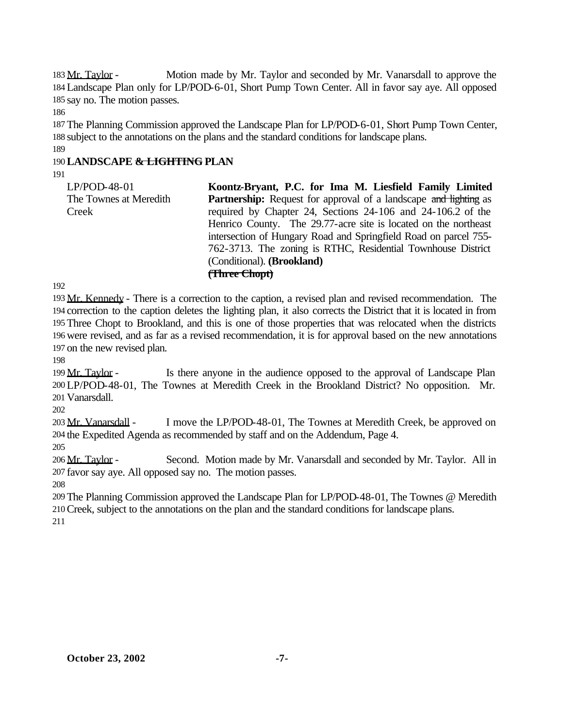183 Mr. Taylor - Motion made by Mr. Taylor and seconded by Mr. Vanarsdall to approve the Landscape Plan only for LP/POD-6-01, Short Pump Town Center. All in favor say aye. All opposed say no. The motion passes.

 The Planning Commission approved the Landscape Plan for LP/POD-6-01, Short Pump Town Center, subject to the annotations on the plans and the standard conditions for landscape plans. 

# **LANDSCAPE & LIGHTING PLAN**

| LP/POD-48-01<br>The Townes at Meredith | Koontz-Bryant, P.C. for Ima M. Liesfield Family Limited<br><b>Partnership:</b> Request for approval of a landscape and lighting as                                                                 |
|----------------------------------------|----------------------------------------------------------------------------------------------------------------------------------------------------------------------------------------------------|
| Creek                                  | required by Chapter 24, Sections 24-106 and 24-106.2 of the<br>Henrico County. The 29.77-acre site is located on the northeast<br>intersection of Hungary Road and Springfield Road on parcel 755- |
|                                        | 762-3713. The zoning is RTHC, Residential Townhouse District<br>(Conditional). ( <b>Brookland</b> )<br>(Three Chopt)                                                                               |

 Mr. Kennedy - There is a correction to the caption, a revised plan and revised recommendation. The correction to the caption deletes the lighting plan, it also corrects the District that it is located in from Three Chopt to Brookland, and this is one of those properties that was relocated when the districts were revised, and as far as a revised recommendation, it is for approval based on the new annotations on the new revised plan.

199 Mr. Taylor - Is there anyone in the audience opposed to the approval of Landscape Plan LP/POD-48-01, The Townes at Meredith Creek in the Brookland District? No opposition. Mr. Vanarsdall.

203 Mr. Vanarsdall - I move the LP/POD-48-01, The Townes at Meredith Creek, be approved on the Expedited Agenda as recommended by staff and on the Addendum, Page 4.

 Mr. Taylor - Second. Motion made by Mr. Vanarsdall and seconded by Mr. Taylor. All in favor say aye. All opposed say no. The motion passes.

 The Planning Commission approved the Landscape Plan for LP/POD-48-01, The Townes @ Meredith Creek, subject to the annotations on the plan and the standard conditions for landscape plans.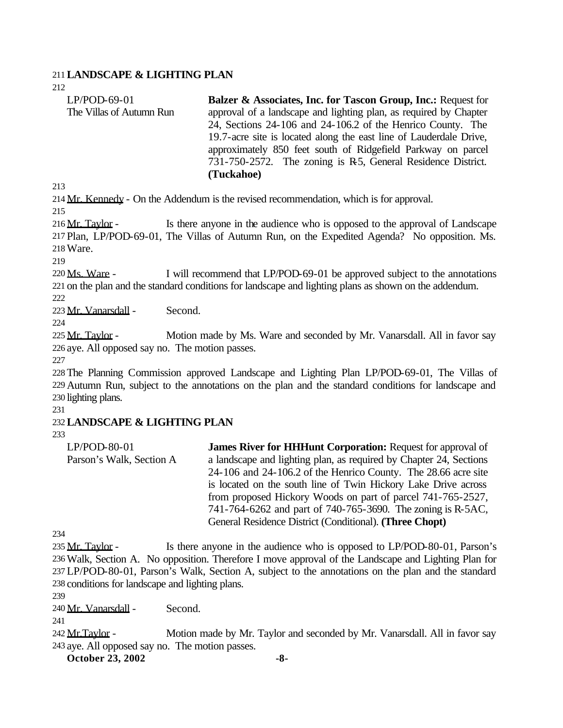### 211**LANDSCAPE & LIGHTING PLAN**

212 LP/POD-69-01 The Villas of Autumn Run **Balzer & Associates, Inc. for Tascon Group, Inc.:** Request for approval of a landscape and lighting plan, as required by Chapter 24, Sections 24-106 and 24-106.2 of the Henrico County. The 19.7-acre site is located along the east line of Lauderdale Drive, approximately 850 feet south of Ridgefield Parkway on parcel 731-750-2572. The zoning is R5, General Residence District. **(Tuckahoe)**

213

214 Mr. Kennedy - On the Addendum is the revised recommendation, which is for approval.

215

216 Mr. Taylor - Is there anyone in the audience who is opposed to the approval of Landscape 217 Plan, LP/POD-69-01, The Villas of Autumn Run, on the Expedited Agenda? No opposition. Ms. 218Ware.

219

220 Ms. Ware - I will recommend that LP/POD-69-01 be approved subject to the annotations 221 on the plan and the standard conditions for landscape and lighting plans as shown on the addendum. 222

223 Mr. Vanarsdall - Second.

224

225 Mr. Taylor - Motion made by Ms. Ware and seconded by Mr. Vanarsdall. All in favor say 226 aye. All opposed say no. The motion passes.

227

228 The Planning Commission approved Landscape and Lighting Plan LP/POD-69-01, The Villas of 229 Autumn Run, subject to the annotations on the plan and the standard conditions for landscape and 230 lighting plans.

231

# 232**LANDSCAPE & LIGHTING PLAN**

233

LP/POD-80-01 Parson's Walk, Section A **James River for HHHunt Corporation:** Request for approval of a landscape and lighting plan, as required by Chapter 24, Sections 24-106 and 24-106.2 of the Henrico County. The 28.66 acre site is located on the south line of Twin Hickory Lake Drive across from proposed Hickory Woods on part of parcel 741-765-2527, 741-764-6262 and part of 740-765-3690. The zoning is R-5AC, General Residence District (Conditional). **(Three Chopt)**

234

235 Mr. Taylor - Is there anyone in the audience who is opposed to LP/POD-80-01, Parson's Walk, Section A. No opposition. Therefore I move approval of the Landscape and Lighting Plan for LP/POD-80-01, Parson's Walk, Section A, subject to the annotations on the plan and the standard conditions for landscape and lighting plans.

239

240 Mr. Vanarsdall - Second.

241

242 Mr. Taylor - Motion made by Mr. Taylor and seconded by Mr. Vanarsdall. All in favor say 243 aye. All opposed say no. The motion passes.

**October 23, 2002** -8-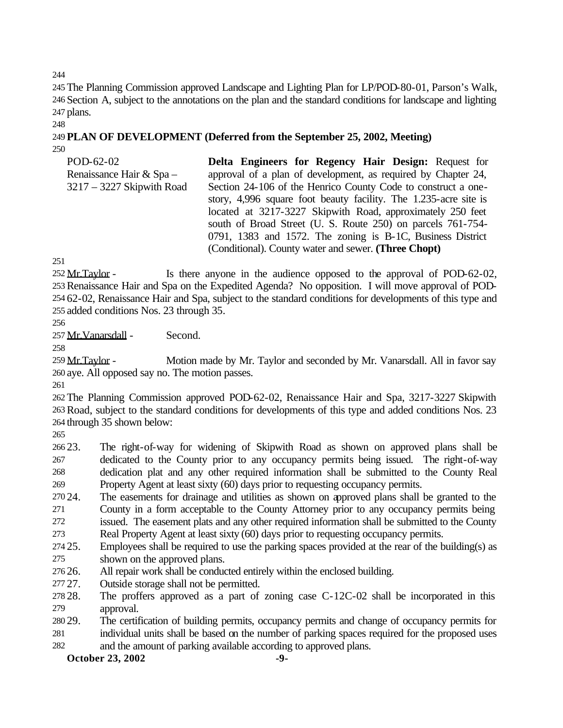The Planning Commission approved Landscape and Lighting Plan for LP/POD-80-01, Parson's Walk, Section A, subject to the annotations on the plan and the standard conditions for landscape and lighting plans.

#### **PLAN OF DEVELOPMENT (Deferred from the September 25, 2002, Meeting)**

| Delta Engineers for Regency Hair Design: Request for             |  |  |  |  |  |
|------------------------------------------------------------------|--|--|--|--|--|
| approval of a plan of development, as required by Chapter 24,    |  |  |  |  |  |
| Section 24-106 of the Henrico County Code to construct a one-    |  |  |  |  |  |
| story, 4,996 square foot beauty facility. The 1.235-acre site is |  |  |  |  |  |
| located at 3217-3227 Skipwith Road, approximately 250 feet       |  |  |  |  |  |
| south of Broad Street (U. S. Route 250) on parcels 761-754-      |  |  |  |  |  |
| 0791, 1383 and 1572. The zoning is B-1C, Business District       |  |  |  |  |  |
| (Conditional). County water and sewer. (Three Chopt)             |  |  |  |  |  |
|                                                                  |  |  |  |  |  |

252 Mr.Taylor - Is there anyone in the audience opposed to the approval of POD-62-02, Renaissance Hair and Spa on the Expedited Agenda? No opposition. I will move approval of POD- 62-02, Renaissance Hair and Spa, subject to the standard conditions for developments of this type and added conditions Nos. 23 through 35.

Mr.Vanarsdall - Second.

259 Mr. Taylor - Motion made by Mr. Taylor and seconded by Mr. Vanarsdall. All in favor say aye. All opposed say no. The motion passes.

 The Planning Commission approved POD-62-02, Renaissance Hair and Spa, 3217-3227 Skipwith Road, subject to the standard conditions for developments of this type and added conditions Nos. 23 through 35 shown below:

 23. The right-of-way for widening of Skipwith Road as shown on approved plans shall be dedicated to the County prior to any occupancy permits being issued. The right-of-way dedication plat and any other required information shall be submitted to the County Real Property Agent at least sixty (60) days prior to requesting occupancy permits.

 24. The easements for drainage and utilities as shown on approved plans shall be granted to the County in a form acceptable to the County Attorney prior to any occupancy permits being issued. The easement plats and any other required information shall be submitted to the County

Real Property Agent at least sixty (60) days prior to requesting occupancy permits.

- 25. Employees shall be required to use the parking spaces provided at the rear of the building(s) as shown on the approved plans.
- 26. All repair work shall be conducted entirely within the enclosed building.
- 27. Outside storage shall not be permitted.
- 28. The proffers approved as a part of zoning case C-12C-02 shall be incorporated in this approval.
- 29. The certification of building permits, occupancy permits and change of occupancy permits for individual units shall be based on the number of parking spaces required for the proposed uses
- and the amount of parking available according to approved plans.

**October 23, 2002** -9-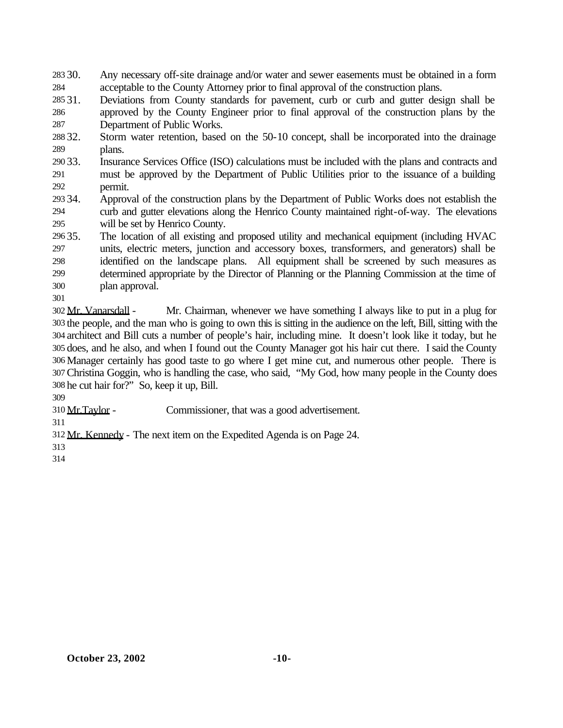- 30. Any necessary off-site drainage and/or water and sewer easements must be obtained in a form acceptable to the County Attorney prior to final approval of the construction plans.
- 31. Deviations from County standards for pavement, curb or curb and gutter design shall be approved by the County Engineer prior to final approval of the construction plans by the Department of Public Works.
- 32. Storm water retention, based on the 50-10 concept, shall be incorporated into the drainage plans.
- 33. Insurance Services Office (ISO) calculations must be included with the plans and contracts and must be approved by the Department of Public Utilities prior to the issuance of a building permit.
- 34. Approval of the construction plans by the Department of Public Works does not establish the curb and gutter elevations along the Henrico County maintained right-of-way. The elevations will be set by Henrico County.
- 35. The location of all existing and proposed utility and mechanical equipment (including HVAC units, electric meters, junction and accessory boxes, transformers, and generators) shall be identified on the landscape plans. All equipment shall be screened by such measures as determined appropriate by the Director of Planning or the Planning Commission at the time of plan approval.
- 

 $302 \text{ Mr. Vanarsdall}$  - Mr. Chairman, whenever we have something I always like to put in a plug for the people, and the man who is going to own this is sitting in the audience on the left, Bill, sitting with the architect and Bill cuts a number of people's hair, including mine. It doesn't look like it today, but he does, and he also, and when I found out the County Manager got his hair cut there. I said the County Manager certainly has good taste to go where I get mine cut, and numerous other people. There is Christina Goggin, who is handling the case, who said, "My God, how many people in the County does he cut hair for?" So, keep it up, Bill.

Mr.Taylor - Commissioner, that was a good advertisement.

Mr. Kennedy - The next item on the Expedited Agenda is on Page 24.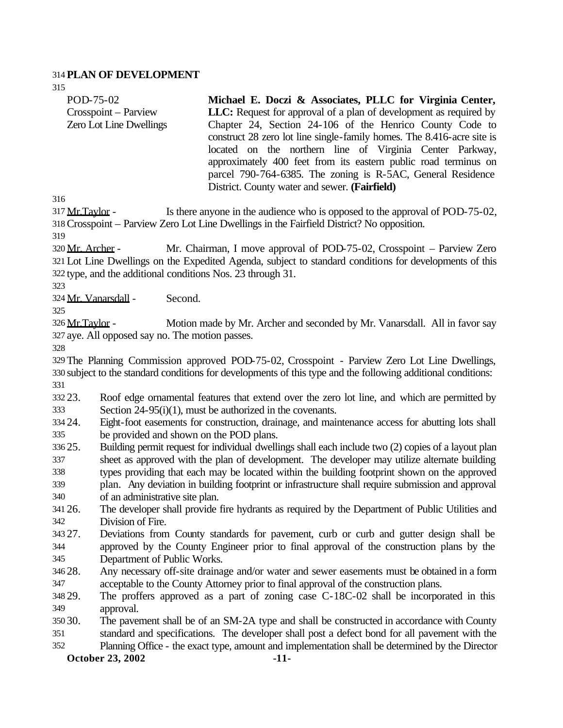### **PLAN OF DEVELOPMENT**

| POD-75-02                      | Michael E. Doczi & Associates, PLLC for Virginia Center,               |
|--------------------------------|------------------------------------------------------------------------|
| Crosspoint – Parview           | LLC: Request for approval of a plan of development as required by      |
| <b>Zero Lot Line Dwellings</b> | Chapter 24, Section 24-106 of the Henrico County Code to               |
|                                | construct 28 zero lot line single-family homes. The 8.416-acre site is |
|                                | located on the northern line of Virginia Center Parkway,               |
|                                | approximately 400 feet from its eastern public road terminus on        |
|                                | parcel 790-764-6385. The zoning is R-5AC, General Residence            |
|                                | District. County water and sewer. (Fairfield)                          |
| 216                            |                                                                        |

317 Mr. Taylor - Is there anyone in the audience who is opposed to the approval of POD-75-02, Crosspoint – Parview Zero Lot Line Dwellings in the Fairfield District? No opposition.

 Mr. Archer - Mr. Chairman, I move approval of POD-75-02, Crosspoint – Parview Zero Lot Line Dwellings on the Expedited Agenda, subject to standard conditions for developments of this type, and the additional conditions Nos. 23 through 31.

Mr. Vanarsdall - Second.

326 Mr.Taylor - Motion made by Mr. Archer and seconded by Mr. Vanarsdall. All in favor say aye. All opposed say no. The motion passes.

 The Planning Commission approved POD-75-02, Crosspoint - Parview Zero Lot Line Dwellings, subject to the standard conditions for developments of this type and the following additional conditions: 

 23. Roof edge ornamental features that extend over the zero lot line, and which are permitted by Section 24-95(i)(1), must be authorized in the covenants.

 24. Eight-foot easements for construction, drainage, and maintenance access for abutting lots shall be provided and shown on the POD plans.

 25. Building permit request for individual dwellings shall each include two (2) copies of a layout plan sheet as approved with the plan of development. The developer may utilize alternate building types providing that each may be located within the building footprint shown on the approved

 plan. Any deviation in building footprint or infrastructure shall require submission and approval of an administrative site plan.

 26. The developer shall provide fire hydrants as required by the Department of Public Utilities and Division of Fire.

 27. Deviations from County standards for pavement, curb or curb and gutter design shall be approved by the County Engineer prior to final approval of the construction plans by the Department of Public Works.

 28. Any necessary off-site drainage and/or water and sewer easements must be obtained in a form acceptable to the County Attorney prior to final approval of the construction plans.

 29. The proffers approved as a part of zoning case C-18C-02 shall be incorporated in this approval.

- 30. The pavement shall be of an SM-2A type and shall be constructed in accordance with County standard and specifications. The developer shall post a defect bond for all pavement with the
- Planning Office the exact type, amount and implementation shall be determined by the Director

**October 23, 2002** -11-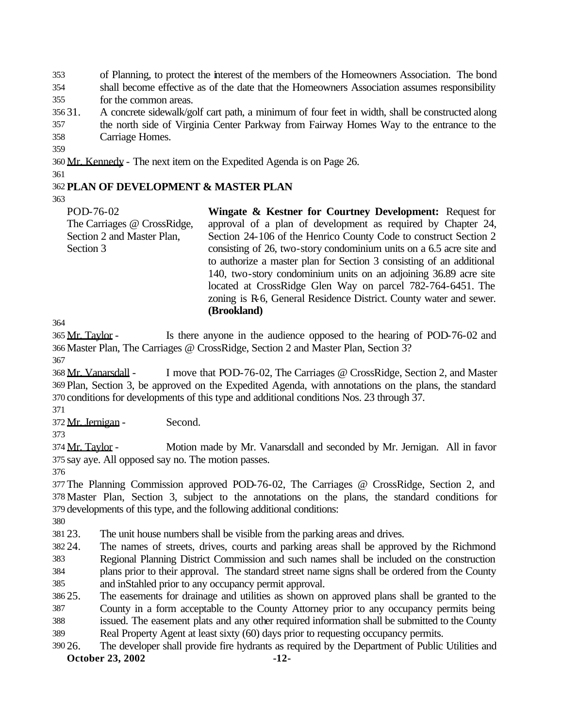of Planning, to protect the interest of the members of the Homeowners Association. The bond

 shall become effective as of the date that the Homeowners Association assumes responsibility for the common areas.

31. A concrete sidewalk/golf cart path, a minimum of four feet in width, shall be constructed along

 the north side of Virginia Center Parkway from Fairway Homes Way to the entrance to the Carriage Homes.

Mr. Kennedy - The next item on the Expedited Agenda is on Page 26.

# **PLAN OF DEVELOPMENT & MASTER PLAN**

POD-76-02 The Carriages @ CrossRidge, Section 2 and Master Plan, Section 3 **Wingate & Kestner for Courtney Development:** Request for approval of a plan of development as required by Chapter 24, Section 24-106 of the Henrico County Code to construct Section 2 consisting of 26, two-story condominium units on a 6.5 acre site and to authorize a master plan for Section 3 consisting of an additional 140, two-story condominium units on an adjoining 36.89 acre site located at CrossRidge Glen Way on parcel 782-764-6451. The zoning is R-6, General Residence District. County water and sewer.

365 Mr. Taylor - Is there anyone in the audience opposed to the hearing of POD-76-02 and Master Plan, The Carriages @ CrossRidge, Section 2 and Master Plan, Section 3?

**(Brookland)**

 Mr. Vanarsdall - I move that POD-76-02, The Carriages @ CrossRidge, Section 2, and Master Plan, Section 3, be approved on the Expedited Agenda, with annotations on the plans, the standard conditions for developments of this type and additional conditions Nos. 23 through 37.

372 Mr. Jernigan - Second.

374 Mr. Taylor - Motion made by Mr. Vanarsdall and seconded by Mr. Jernigan. All in favor say aye. All opposed say no. The motion passes.

 The Planning Commission approved POD-76-02, The Carriages @ CrossRidge, Section 2, and Master Plan, Section 3, subject to the annotations on the plans, the standard conditions for developments of this type, and the following additional conditions:

23. The unit house numbers shall be visible from the parking areas and drives.

24. The names of streets, drives, courts and parking areas shall be approved by the Richmond

 Regional Planning District Commission and such names shall be included on the construction plans prior to their approval. The standard street name signs shall be ordered from the County

and inStahled prior to any occupancy permit approval.

25. The easements for drainage and utilities as shown on approved plans shall be granted to the

County in a form acceptable to the County Attorney prior to any occupancy permits being

issued. The easement plats and any other required information shall be submitted to the County

Real Property Agent at least sixty (60) days prior to requesting occupancy permits.

**October 23, 2002** -12-26. The developer shall provide fire hydrants as required by the Department of Public Utilities and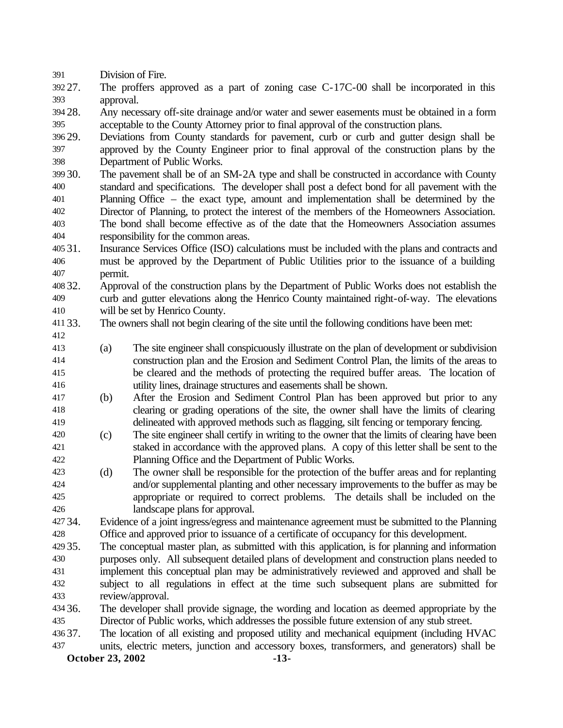Division of Fire.

 27. The proffers approved as a part of zoning case C-17C-00 shall be incorporated in this approval.

 28. Any necessary off-site drainage and/or water and sewer easements must be obtained in a form acceptable to the County Attorney prior to final approval of the construction plans.

 29. Deviations from County standards for pavement, curb or curb and gutter design shall be approved by the County Engineer prior to final approval of the construction plans by the Department of Public Works.

- 30. The pavement shall be of an SM-2A type and shall be constructed in accordance with County standard and specifications. The developer shall post a defect bond for all pavement with the Planning Office – the exact type, amount and implementation shall be determined by the Director of Planning, to protect the interest of the members of the Homeowners Association. The bond shall become effective as of the date that the Homeowners Association assumes responsibility for the common areas.
- 31. Insurance Services Office (ISO) calculations must be included with the plans and contracts and must be approved by the Department of Public Utilities prior to the issuance of a building permit.
- 32. Approval of the construction plans by the Department of Public Works does not establish the curb and gutter elevations along the Henrico County maintained right-of-way. The elevations will be set by Henrico County.
- 33. The owners shall not begin clearing of the site until the following conditions have been met:
- (a) The site engineer shall conspicuously illustrate on the plan of development or subdivision construction plan and the Erosion and Sediment Control Plan, the limits of the areas to be cleared and the methods of protecting the required buffer areas. The location of utility lines, drainage structures and easements shall be shown.
- (b) After the Erosion and Sediment Control Plan has been approved but prior to any clearing or grading operations of the site, the owner shall have the limits of clearing delineated with approved methods such as flagging, silt fencing or temporary fencing.
- (c) The site engineer shall certify in writing to the owner that the limits of clearing have been staked in accordance with the approved plans. A copy of this letter shall be sent to the Planning Office and the Department of Public Works.
- (d) The owner shall be responsible for the protection of the buffer areas and for replanting and/or supplemental planting and other necessary improvements to the buffer as may be appropriate or required to correct problems. The details shall be included on the landscape plans for approval.
- 34. Evidence of a joint ingress/egress and maintenance agreement must be submitted to the Planning Office and approved prior to issuance of a certificate of occupancy for this development.
- 35. The conceptual master plan, as submitted with this application, is for planning and information purposes only. All subsequent detailed plans of development and construction plans needed to implement this conceptual plan may be administratively reviewed and approved and shall be subject to all regulations in effect at the time such subsequent plans are submitted for review/approval.
- 36. The developer shall provide signage, the wording and location as deemed appropriate by the Director of Public works, which addresses the possible future extension of any stub street.
- 37. The location of all existing and proposed utility and mechanical equipment (including HVAC units, electric meters, junction and accessory boxes, transformers, and generators) shall be

**October 23, 2002** -13-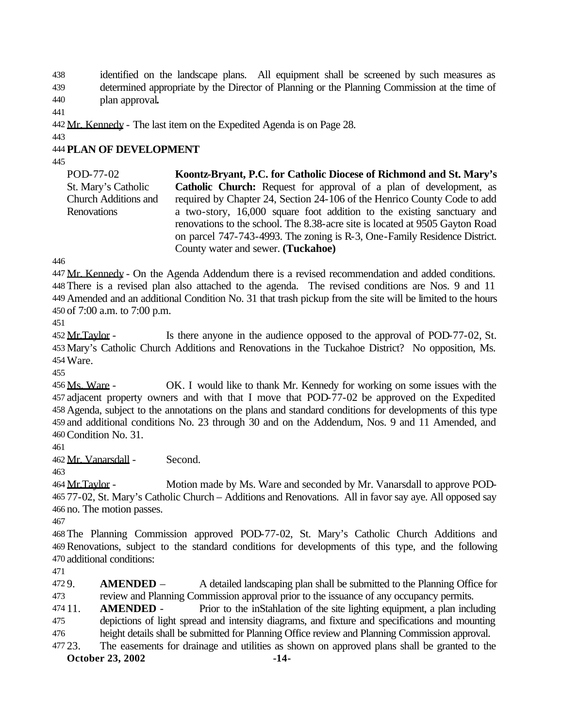identified on the landscape plans. All equipment shall be screened by such measures as determined appropriate by the Director of Planning or the Planning Commission at the time of plan approval**.**

442 Mr. Kennedy - The last item on the Expedited Agenda is on Page 28.

## **PLAN OF DEVELOPMENT**

POD-77-02 St. Mary's Catholic Church Additions and **Renovations Koontz-Bryant, P.C. for Catholic Diocese of Richmond and St. Mary's Catholic Church:** Request for approval of a plan of development, as required by Chapter 24, Section 24-106 of the Henrico County Code to add a two-story, 16,000 square foot addition to the existing sanctuary and renovations to the school. The 8.38-acre site is located at 9505 Gayton Road on parcel 747-743-4993. The zoning is R-3, One-Family Residence District. County water and sewer. **(Tuckahoe)**

447 Mr. Kennedy - On the Agenda Addendum there is a revised recommendation and added conditions. There is a revised plan also attached to the agenda. The revised conditions are Nos. 9 and 11 Amended and an additional Condition No. 31 that trash pickup from the site will be limited to the hours of 7:00 a.m. to 7:00 p.m.

452 Mr.Taylor - Is there anyone in the audience opposed to the approval of POD-77-02, St. Mary's Catholic Church Additions and Renovations in the Tuckahoe District? No opposition, Ms. Ware.

 Ms. Ware - OK. I would like to thank Mr. Kennedy for working on some issues with the adjacent property owners and with that I move that POD-77-02 be approved on the Expedited Agenda, subject to the annotations on the plans and standard conditions for developments of this type and additional conditions No. 23 through 30 and on the Addendum, Nos. 9 and 11 Amended, and Condition No. 31.

Mr. Vanarsdall - Second.

 Mr.Taylor - Motion made by Ms. Ware and seconded by Mr. Vanarsdall to approve POD- 77-02, St. Mary's Catholic Church – Additions and Renovations. All in favor say aye. All opposed say no. The motion passes.

 The Planning Commission approved POD-77-02, St. Mary's Catholic Church Additions and Renovations, subject to the standard conditions for developments of this type, and the following additional conditions:

 9. **AMENDED** – A detailed landscaping plan shall be submitted to the Planning Office for review and Planning Commission approval prior to the issuance of any occupancy permits.

 11. **AMENDED** - Prior to the inStahlation of the site lighting equipment, a plan including depictions of light spread and intensity diagrams, and fixture and specifications and mounting height details shall be submitted for Planning Office review and Planning Commission approval.

23. The easements for drainage and utilities as shown on approved plans shall be granted to the

**October 23, 2002** -14-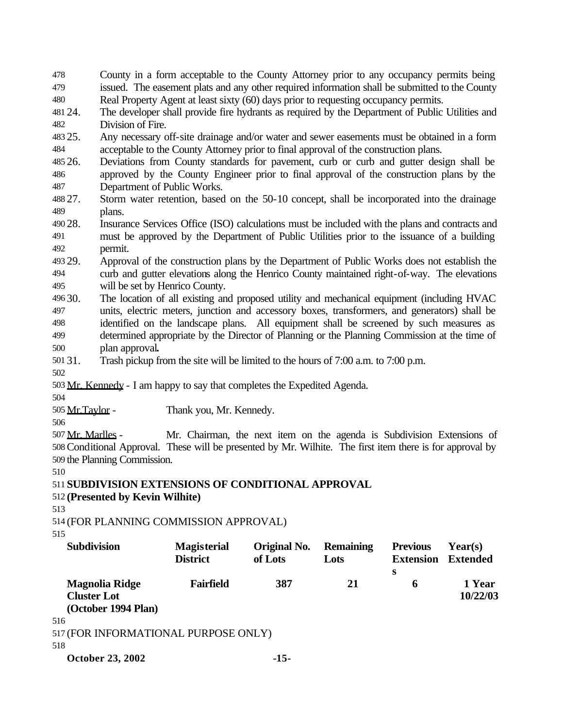County in a form acceptable to the County Attorney prior to any occupancy permits being issued. The easement plats and any other required information shall be submitted to the County Real Property Agent at least sixty (60) days prior to requesting occupancy permits.

 24. The developer shall provide fire hydrants as required by the Department of Public Utilities and Division of Fire.

 25. Any necessary off-site drainage and/or water and sewer easements must be obtained in a form acceptable to the County Attorney prior to final approval of the construction plans.

 26. Deviations from County standards for pavement, curb or curb and gutter design shall be approved by the County Engineer prior to final approval of the construction plans by the Department of Public Works.

 27. Storm water retention, based on the 50-10 concept, shall be incorporated into the drainage plans.

 28. Insurance Services Office (ISO) calculations must be included with the plans and contracts and must be approved by the Department of Public Utilities prior to the issuance of a building permit.

 29. Approval of the construction plans by the Department of Public Works does not establish the curb and gutter elevations along the Henrico County maintained right-of-way. The elevations will be set by Henrico County.

 30. The location of all existing and proposed utility and mechanical equipment (including HVAC units, electric meters, junction and accessory boxes, transformers, and generators) shall be identified on the landscape plans. All equipment shall be screened by such measures as determined appropriate by the Director of Planning or the Planning Commission at the time of plan approval**.**

- 31. Trash pickup from the site will be limited to the hours of 7:00 a.m. to 7:00 p.m.
- 

Mr. Kennedy - I am happy to say that completes the Expedited Agenda.

Mr.Taylor - Thank you, Mr. Kennedy.

507 Mr. Marlles - Mr. Chairman, the next item on the agenda is Subdivision Extensions of Conditional Approval. These will be presented by Mr. Wilhite. The first item there is for approval by the Planning Commission.

**SUBDIVISION EXTENSIONS OF CONDITIONAL APPROVAL**

# **(Presented by Kevin Wilhite)**

(FOR PLANNING COMMISSION APPROVAL)

| <b>Subdivision</b>                   | <b>Magisterial</b><br><b>District</b> | Original No.<br>of Lots | <b>Remaining</b><br>Lots | <b>Previous</b><br><b>Extension</b> | Year(s)<br><b>Extended</b> |
|--------------------------------------|---------------------------------------|-------------------------|--------------------------|-------------------------------------|----------------------------|
| <b>Magnolia Ridge</b>                | <b>Fairfield</b>                      | 387                     | 21                       | S<br>6                              | 1 Year                     |
| <b>Cluster Lot</b>                   |                                       |                         |                          |                                     | 10/22/03                   |
| (October 1994 Plan)                  |                                       |                         |                          |                                     |                            |
| 516                                  |                                       |                         |                          |                                     |                            |
| 517 (FOR INFORMATIONAL PURPOSE ONLY) |                                       |                         |                          |                                     |                            |
| 518                                  |                                       |                         |                          |                                     |                            |
| <b>October 23, 2002</b>              |                                       | $-15-$                  |                          |                                     |                            |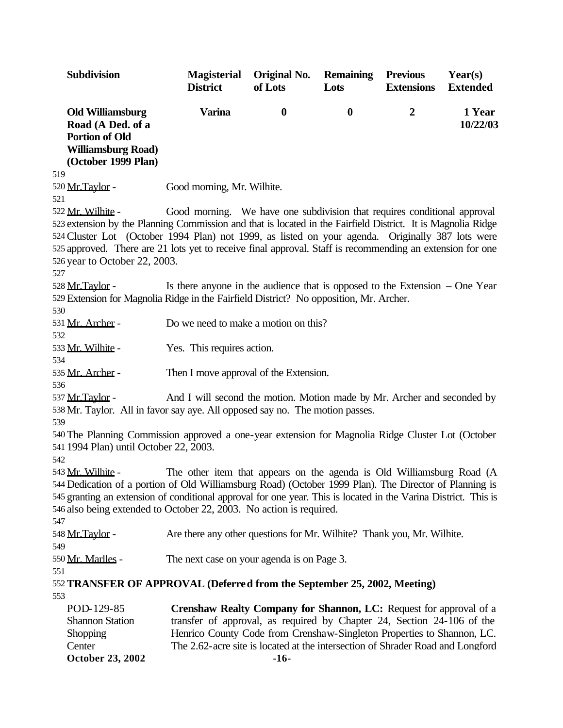| Subdivision                                                                                                                                                                                                                                                                                      | <b>Magisterial</b><br><b>District</b>                                          | Original No.<br>of Lots | <b>Remaining</b><br>Lots | <b>Previous</b><br><b>Extensions</b> | Year(s)<br><b>Extended</b> |
|--------------------------------------------------------------------------------------------------------------------------------------------------------------------------------------------------------------------------------------------------------------------------------------------------|--------------------------------------------------------------------------------|-------------------------|--------------------------|--------------------------------------|----------------------------|
| <b>Old Williamsburg</b><br>Road (A Ded. of a<br><b>Portion of Old</b><br><b>Williamsburg Road)</b><br>(October 1999 Plan)                                                                                                                                                                        | <b>Varina</b>                                                                  | $\boldsymbol{0}$        | $\boldsymbol{0}$         | $\boldsymbol{2}$                     | 1 Year<br>10/22/03         |
| 519<br>520 Mr. Taylor -                                                                                                                                                                                                                                                                          | Good morning, Mr. Wilhite.                                                     |                         |                          |                                      |                            |
| 521                                                                                                                                                                                                                                                                                              |                                                                                |                         |                          |                                      |                            |
| 522 Mr. Wilhite -                                                                                                                                                                                                                                                                                | Good morning. We have one subdivision that requires conditional approval       |                         |                          |                                      |                            |
| 523 extension by the Planning Commission and that is located in the Fairfield District. It is Magnolia Ridge                                                                                                                                                                                     |                                                                                |                         |                          |                                      |                            |
| 524 Cluster Lot (October 1994 Plan) not 1999, as listed on your agenda. Originally 387 lots were                                                                                                                                                                                                 |                                                                                |                         |                          |                                      |                            |
| 525 approved. There are 21 lots yet to receive final approval. Staff is recommending an extension for one                                                                                                                                                                                        |                                                                                |                         |                          |                                      |                            |
| 526 year to October 22, 2003.                                                                                                                                                                                                                                                                    |                                                                                |                         |                          |                                      |                            |
| 527                                                                                                                                                                                                                                                                                              |                                                                                |                         |                          |                                      |                            |
| 528 Mr. Taylor -                                                                                                                                                                                                                                                                                 | Is there anyone in the audience that is opposed to the Extension $-$ One Year  |                         |                          |                                      |                            |
| 529 Extension for Magnolia Ridge in the Fairfield District? No opposition, Mr. Archer.                                                                                                                                                                                                           |                                                                                |                         |                          |                                      |                            |
| 530                                                                                                                                                                                                                                                                                              |                                                                                |                         |                          |                                      |                            |
| 531 Mr. Archer -                                                                                                                                                                                                                                                                                 | Do we need to make a motion on this?                                           |                         |                          |                                      |                            |
| 532                                                                                                                                                                                                                                                                                              |                                                                                |                         |                          |                                      |                            |
| 533 Mr. Wilhite -                                                                                                                                                                                                                                                                                | Yes. This requires action.                                                     |                         |                          |                                      |                            |
| 534                                                                                                                                                                                                                                                                                              |                                                                                |                         |                          |                                      |                            |
| 535 Mr. Archer -                                                                                                                                                                                                                                                                                 | Then I move approval of the Extension.                                         |                         |                          |                                      |                            |
| 536                                                                                                                                                                                                                                                                                              |                                                                                |                         |                          |                                      |                            |
| 537 Mr. Taylor -                                                                                                                                                                                                                                                                                 | And I will second the motion. Motion made by Mr. Archer and seconded by        |                         |                          |                                      |                            |
| 538 Mr. Taylor. All in favor say aye. All opposed say no. The motion passes.                                                                                                                                                                                                                     |                                                                                |                         |                          |                                      |                            |
| 539                                                                                                                                                                                                                                                                                              |                                                                                |                         |                          |                                      |                            |
| 540 The Planning Commission approved a one-year extension for Magnolia Ridge Cluster Lot (October<br>541 1994 Plan) until October 22, 2003.<br>542                                                                                                                                               |                                                                                |                         |                          |                                      |                            |
| 543 Mr. Wilhite -                                                                                                                                                                                                                                                                                | The other item that appears on the agenda is Old Williamsburg Road (A          |                         |                          |                                      |                            |
| 544 Dedication of a portion of Old Williamsburg Road) (October 1999 Plan). The Director of Planning is<br>545 granting an extension of conditional approval for one year. This is located in the Varina District. This is<br>546 also being extended to October 22, 2003. No action is required. |                                                                                |                         |                          |                                      |                            |
| 547<br>548 Mr. Taylor -                                                                                                                                                                                                                                                                          | Are there any other questions for Mr. Wilhite? Thank you, Mr. Wilhite.         |                         |                          |                                      |                            |
| 549                                                                                                                                                                                                                                                                                              |                                                                                |                         |                          |                                      |                            |
| 550 Mr. Marlles -                                                                                                                                                                                                                                                                                | The next case on your agenda is on Page 3.                                     |                         |                          |                                      |                            |
| 551                                                                                                                                                                                                                                                                                              |                                                                                |                         |                          |                                      |                            |
| 552 TRANSFER OF APPROVAL (Deferred from the September 25, 2002, Meeting)                                                                                                                                                                                                                         |                                                                                |                         |                          |                                      |                            |
| 553                                                                                                                                                                                                                                                                                              |                                                                                |                         |                          |                                      |                            |
| POD-129-85                                                                                                                                                                                                                                                                                       | Crenshaw Realty Company for Shannon, LC: Request for approval of a             |                         |                          |                                      |                            |
| <b>Shannon Station</b>                                                                                                                                                                                                                                                                           | transfer of approval, as required by Chapter 24, Section 24-106 of the         |                         |                          |                                      |                            |
| Shopping                                                                                                                                                                                                                                                                                         | Henrico County Code from Crenshaw-Singleton Properties to Shannon, LC.         |                         |                          |                                      |                            |
| Center                                                                                                                                                                                                                                                                                           | The 2.62-acre site is located at the intersection of Shrader Road and Longford |                         |                          |                                      |                            |
| <b>October 23, 2002</b>                                                                                                                                                                                                                                                                          |                                                                                | $-16-$                  |                          |                                      |                            |
|                                                                                                                                                                                                                                                                                                  |                                                                                |                         |                          |                                      |                            |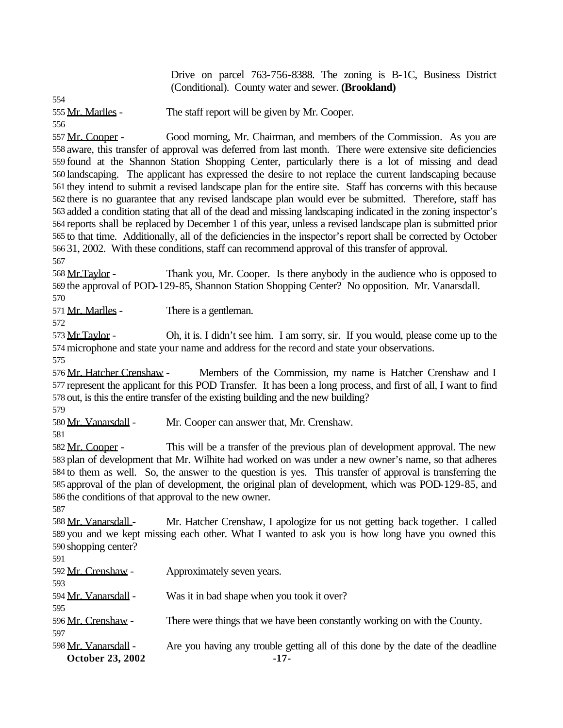Drive on parcel 763-756-8388. The zoning is B-1C, Business District (Conditional). County water and sewer. **(Brookland)**

555 Mr. Marlles - The staff report will be given by Mr. Cooper.

557 Mr. Cooper - Good morning, Mr. Chairman, and members of the Commission. As you are aware, this transfer of approval was deferred from last month. There were extensive site deficiencies found at the Shannon Station Shopping Center, particularly there is a lot of missing and dead landscaping. The applicant has expressed the desire to not replace the current landscaping because they intend to submit a revised landscape plan for the entire site. Staff has concerns with this because there is no guarantee that any revised landscape plan would ever be submitted. Therefore, staff has added a condition stating that all of the dead and missing landscaping indicated in the zoning inspector's reports shall be replaced by December 1 of this year, unless a revised landscape plan is submitted prior to that time. Additionally, all of the deficiencies in the inspector's report shall be corrected by October 31, 2002. With these conditions, staff can recommend approval of this transfer of approval.

 Mr.Taylor - Thank you, Mr. Cooper. Is there anybody in the audience who is opposed to the approval of POD-129-85, Shannon Station Shopping Center? No opposition. Mr. Vanarsdall.

571 Mr. Marlles - There is a gentleman.

573 Mr. Taylor - Oh, it is. I didn't see him. I am sorry, sir. If you would, please come up to the microphone and state your name and address for the record and state your observations.

576 Mr. Hatcher Crenshaw - Members of the Commission, my name is Hatcher Crenshaw and I represent the applicant for this POD Transfer. It has been a long process, and first of all, I want to find out, is this the entire transfer of the existing building and the new building?

580 Mr. Vanarsdall - Mr. Cooper can answer that, Mr. Crenshaw.

582 Mr. Cooper - This will be a transfer of the previous plan of development approval. The new plan of development that Mr. Wilhite had worked on was under a new owner's name, so that adheres to them as well. So, the answer to the question is yes. This transfer of approval is transferring the approval of the plan of development, the original plan of development, which was POD-129-85, and the conditions of that approval to the new owner.

588 Mr. Vanarsdall - Mr. Hatcher Crenshaw, I apologize for us not getting back together. I called you and we kept missing each other. What I wanted to ask you is how long have you owned this 590 shopping center?

| <b>October 23, 2002</b> | $-17-$                                                                          |
|-------------------------|---------------------------------------------------------------------------------|
| 598 Mr. Vanarsdall -    | Are you having any trouble getting all of this done by the date of the deadline |
| 597                     |                                                                                 |
| 596 Mr. Crenshaw -      | There were things that we have been constantly working on with the County.      |
| 595                     |                                                                                 |
| 594 Mr. Vanarsdall -    | Was it in bad shape when you took it over?                                      |
| 593                     |                                                                                 |
| 592 Mr. Crenshaw -      | Approximately seven years.                                                      |
| 591                     |                                                                                 |
|                         |                                                                                 |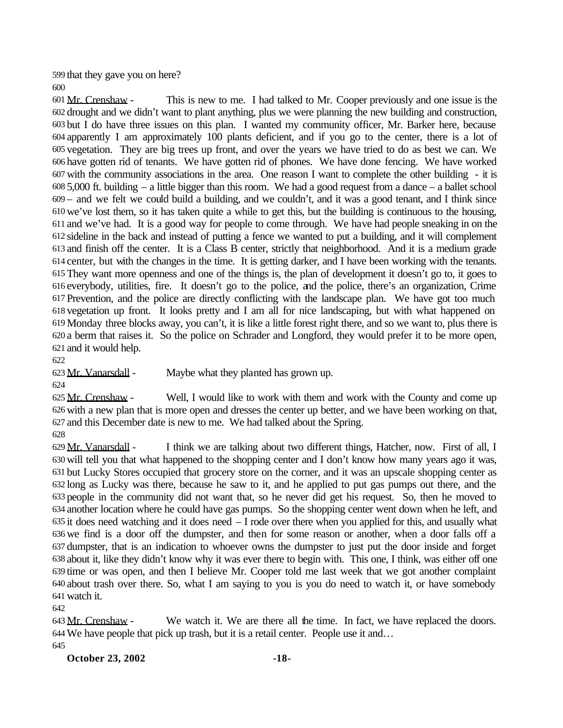that they gave you on here?

 Mr. Crenshaw - This is new to me. I had talked to Mr. Cooper previously and one issue is the drought and we didn't want to plant anything, plus we were planning the new building and construction, but I do have three issues on this plan. I wanted my community officer, Mr. Barker here, because apparently I am approximately 100 plants deficient, and if you go to the center, there is a lot of vegetation. They are big trees up front, and over the years we have tried to do as best we can. We have gotten rid of tenants. We have gotten rid of phones. We have done fencing. We have worked with the community associations in the area. One reason I want to complete the other building - it is 5,000 ft. building – a little bigger than this room. We had a good request from a dance – a ballet school – and we felt we could build a building, and we couldn't, and it was a good tenant, and I think since we've lost them, so it has taken quite a while to get this, but the building is continuous to the housing, and we've had. It is a good way for people to come through. We have had people sneaking in on the sideline in the back and instead of putting a fence we wanted to put a building, and it will complement and finish off the center. It is a Class B center, strictly that neighborhood. And it is a medium grade center, but with the changes in the time. It is getting darker, and I have been working with the tenants. They want more openness and one of the things is, the plan of development it doesn't go to, it goes to everybody, utilities, fire. It doesn't go to the police, and the police, there's an organization, Crime Prevention, and the police are directly conflicting with the landscape plan. We have got too much vegetation up front. It looks pretty and I am all for nice landscaping, but with what happened on Monday three blocks away, you can't, it is like a little forest right there, and so we want to, plus there is a berm that raises it. So the police on Schrader and Longford, they would prefer it to be more open, and it would help.

Mr. Vanarsdall - Maybe what they planted has grown up.

625 Mr. Crenshaw - Well, I would like to work with them and work with the County and come up with a new plan that is more open and dresses the center up better, and we have been working on that, and this December date is new to me. We had talked about the Spring.

 Mr. Vanarsdall - I think we are talking about two different things, Hatcher, now. First of all, I will tell you that what happened to the shopping center and I don't know how many years ago it was, but Lucky Stores occupied that grocery store on the corner, and it was an upscale shopping center as long as Lucky was there, because he saw to it, and he applied to put gas pumps out there, and the people in the community did not want that, so he never did get his request. So, then he moved to another location where he could have gas pumps. So the shopping center went down when he left, and it does need watching and it does need – I rode over there when you applied for this, and usually what we find is a door off the dumpster, and then for some reason or another, when a door falls off a dumpster, that is an indication to whoever owns the dumpster to just put the door inside and forget about it, like they didn't know why it was ever there to begin with. This one, I think, was either off one time or was open, and then I believe Mr. Cooper told me last week that we got another complaint about trash over there. So, what I am saying to you is you do need to watch it, or have somebody watch it.

643 Mr. Crenshaw - We watch it. We are there all the time. In fact, we have replaced the doors. We have people that pick up trash, but it is a retail center. People use it and… 

**October 23, 2002 -18-**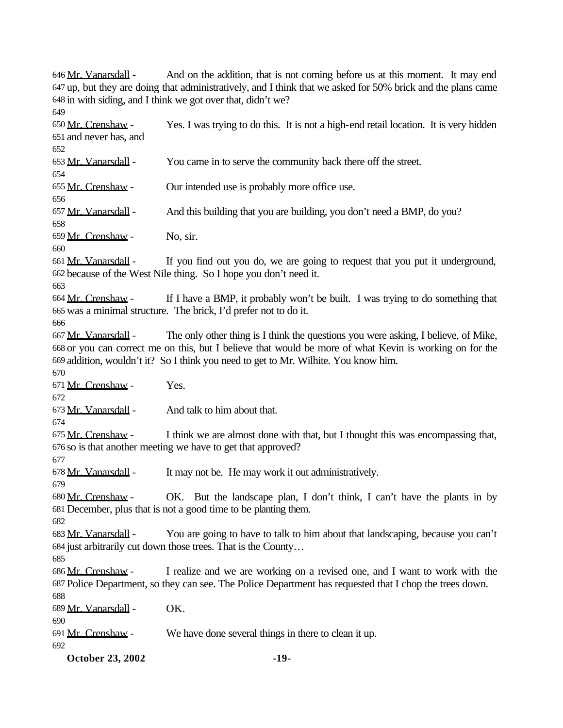**October 23, 2002** -19-646 Mr. Vanarsdall - And on the addition, that is not coming before us at this moment. It may end up, but they are doing that administratively, and I think that we asked for 50% brick and the plans came in with siding, and I think we got over that, didn't we? Mr. Crenshaw - Yes. I was trying to do this. It is not a high-end retail location. It is very hidden and never has, and Mr. Vanarsdall - You came in to serve the community back there off the street. Mr. Crenshaw - Our intended use is probably more office use. 657 Mr. Vanarsdall - And this building that you are building, you don't need a BMP, do you?  $659 \text{ Mr. Crenshaw}$  - No, sir. Mr. Vanarsdall - If you find out you do, we are going to request that you put it underground, because of the West Nile thing. So I hope you don't need it. Mr. Crenshaw - If I have a BMP, it probably won't be built. I was trying to do something that was a minimal structure. The brick, I'd prefer not to do it. Mr. Vanarsdall - The only other thing is I think the questions you were asking, I believe, of Mike, or you can correct me on this, but I believe that would be more of what Kevin is working on for the addition, wouldn't it? So I think you need to get to Mr. Wilhite. You know him. Mr. Crenshaw - Yes. Mr. Vanarsdall - And talk to him about that.  $675 \text{ Mr. Crenshaw}$  - I think we are almost done with that, but I thought this was encompassing that, so is that another meeting we have to get that approved? Mr. Vanarsdall - It may not be. He may work it out administratively. 680 Mr. Crenshaw - OK. But the landscape plan, I don't think, I can't have the plants in by December, plus that is not a good time to be planting them. 683 Mr. Vanarsdall - You are going to have to talk to him about that landscaping, because you can't just arbitrarily cut down those trees. That is the County… Mr. Crenshaw - I realize and we are working on a revised one, and I want to work with the Police Department, so they can see. The Police Department has requested that I chop the trees down. Mr. Vanarsdall - OK. Mr. Crenshaw - We have done several things in there to clean it up.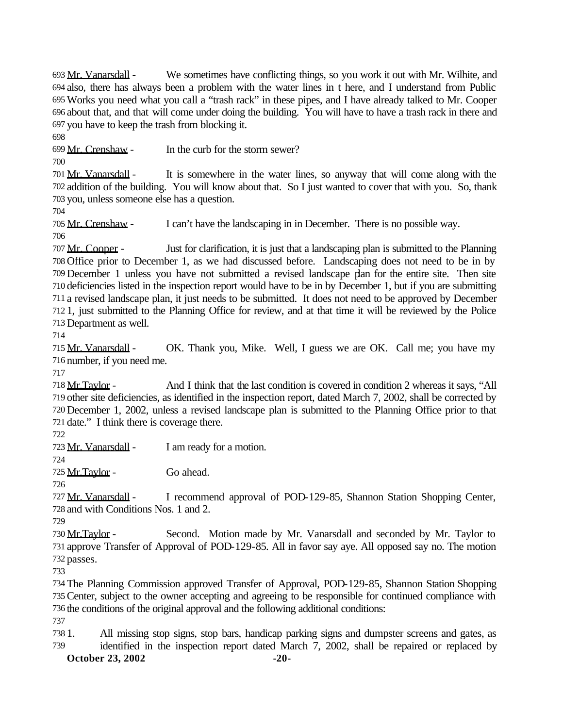Mr. Vanarsdall - We sometimes have conflicting things, so you work it out with Mr. Wilhite, and also, there has always been a problem with the water lines in t here, and I understand from Public Works you need what you call a "trash rack" in these pipes, and I have already talked to Mr. Cooper about that, and that will come under doing the building. You will have to have a trash rack in there and you have to keep the trash from blocking it.

Mr. Crenshaw - In the curb for the storm sewer?

 Mr. Vanarsdall - It is somewhere in the water lines, so anyway that will come along with the addition of the building. You will know about that. So I just wanted to cover that with you. So, thank you, unless someone else has a question.

 Mr. Crenshaw - I can't have the landscaping in in December. There is no possible way. 

 Mr. Cooper - Just for clarification, it is just that a landscaping plan is submitted to the Planning Office prior to December 1, as we had discussed before. Landscaping does not need to be in by December 1 unless you have not submitted a revised landscape plan for the entire site. Then site deficiencies listed in the inspection report would have to be in by December 1, but if you are submitting a revised landscape plan, it just needs to be submitted. It does not need to be approved by December 1, just submitted to the Planning Office for review, and at that time it will be reviewed by the Police Department as well.

 Mr. Vanarsdall - OK. Thank you, Mike. Well, I guess we are OK. Call me; you have my number, if you need me.

 Mr.Taylor - And I think that the last condition is covered in condition 2 whereas it says, "All other site deficiencies, as identified in the inspection report, dated March 7, 2002, shall be corrected by December 1, 2002, unless a revised landscape plan is submitted to the Planning Office prior to that date." I think there is coverage there.

Mr. Vanarsdall - I am ready for a motion.

725 Mr. Taylor - Go ahead.

 Mr. Vanarsdall - I recommend approval of POD-129-85, Shannon Station Shopping Center, and with Conditions Nos. 1 and 2.

730 Mr. Taylor - Second. Motion made by Mr. Vanarsdall and seconded by Mr. Taylor to approve Transfer of Approval of POD-129-85. All in favor say aye. All opposed say no. The motion passes.

 The Planning Commission approved Transfer of Approval, POD-129-85, Shannon Station Shopping Center, subject to the owner accepting and agreeing to be responsible for continued compliance with the conditions of the original approval and the following additional conditions:

 1. All missing stop signs, stop bars, handicap parking signs and dumpster screens and gates, as identified in the inspection report dated March 7, 2002, shall be repaired or replaced by

**October 23, 2002** -20-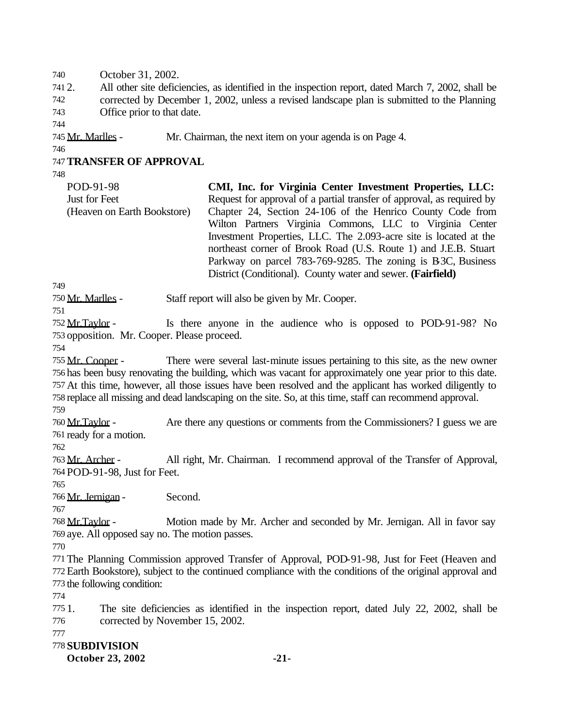October 31, 2002.

 2. All other site deficiencies, as identified in the inspection report, dated March 7, 2002, shall be corrected by December 1, 2002, unless a revised landscape plan is submitted to the Planning Office prior to that date.

Mr. Marlles - Mr. Chairman, the next item on your agenda is on Page 4.

# **TRANSFER OF APPROVAL**

| POD-91-98                   | CMI, Inc. for Virginia Center Investment Properties, LLC:              |
|-----------------------------|------------------------------------------------------------------------|
| Just for Feet               | Request for approval of a partial transfer of approval, as required by |
| (Heaven on Earth Bookstore) | Chapter 24, Section 24-106 of the Henrico County Code from             |
|                             | Wilton Partners Virginia Commons, LLC to Virginia Center               |
|                             | Investment Properties, LLC. The 2.093-acre site is located at the      |
|                             | northeast corner of Brook Road (U.S. Route 1) and J.E.B. Stuart        |
|                             | Parkway on parcel 783-769-9285. The zoning is B3C, Business            |
|                             | District (Conditional). County water and sewer. (Fairfield)            |

Mr. Marlles - Staff report will also be given by Mr. Cooper.

752 Mr. Taylor - Is there anyone in the audience who is opposed to POD-91-98? No opposition. Mr. Cooper. Please proceed.

 Mr. Cooper - There were several last-minute issues pertaining to this site, as the new owner has been busy renovating the building, which was vacant for approximately one year prior to this date. At this time, however, all those issues have been resolved and the applicant has worked diligently to replace all missing and dead landscaping on the site. So, at this time, staff can recommend approval.

 Mr.Taylor - Are there any questions or comments from the Commissioners? I guess we are ready for a motion.

 Mr. Archer - All right, Mr. Chairman. I recommend approval of the Transfer of Approval, POD-91-98, Just for Feet.

Mr. Jernigan - Second.

 Mr.Taylor - Motion made by Mr. Archer and seconded by Mr. Jernigan. All in favor say aye. All opposed say no. The motion passes.

 The Planning Commission approved Transfer of Approval, POD-91-98, Just for Feet (Heaven and Earth Bookstore), subject to the continued compliance with the conditions of the original approval and the following condition:

 1. The site deficiencies as identified in the inspection report, dated July 22, 2002, shall be corrected by November 15, 2002.

### **SUBDIVISION**

**October 23, 2002** -21-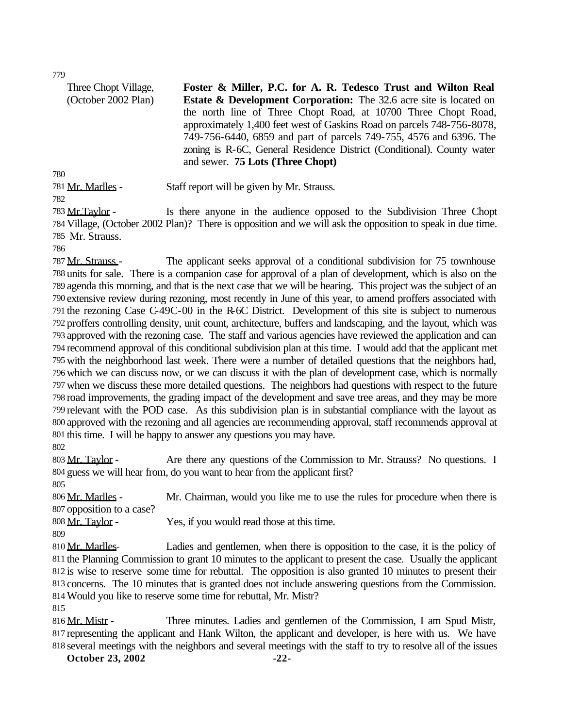Three Chopt Village, (October 2002 Plan)

**Foster & Miller, P.C. for A. R. Tedesco Trust and Wilton Real Estate & Development Corporation:** The 32.6 acre site is located on the north line of Three Chopt Road, at 10700 Three Chopt Road, approximately 1,400 feet west of Gaskins Road on parcels 748-756-8078, 749-756-6440, 6859 and part of parcels 749-755, 4576 and 6396. The zoning is R-6C, General Residence District (Conditional). County water and sewer. **75 Lots (Three Chopt)**

Mr. Marlles - Staff report will be given by Mr. Strauss.

783 Mr.Taylor - Is there anyone in the audience opposed to the Subdivision Three Chopt Village, (October 2002 Plan)? There is opposition and we will ask the opposition to speak in due time. Mr. Strauss.

787 Mr. Strauss - The applicant seeks approval of a conditional subdivision for 75 townhouse units for sale. There is a companion case for approval of a plan of development, which is also on the agenda this morning, and that is the next case that we will be hearing. This project was the subject of an extensive review during rezoning, most recently in June of this year, to amend proffers associated with the rezoning Case C-49C-00 in the R-6C District. Development of this site is subject to numerous proffers controlling density, unit count, architecture, buffers and landscaping, and the layout, which was approved with the rezoning case. The staff and various agencies have reviewed the application and can recommend approval of this conditional subdivision plan at this time. I would add that the applicant met with the neighborhood last week. There were a number of detailed questions that the neighbors had, which we can discuss now, or we can discuss it with the plan of development case, which is normally when we discuss these more detailed questions. The neighbors had questions with respect to the future road improvements, the grading impact of the development and save tree areas, and they may be more relevant with the POD case. As this subdivision plan is in substantial compliance with the layout as approved with the rezoning and all agencies are recommending approval, staff recommends approval at this time. I will be happy to answer any questions you may have.

803 Mr. Taylor - Are there any questions of the Commission to Mr. Strauss? No questions. I guess we will hear from, do you want to hear from the applicant first? 

 Mr. Marlles - Mr. Chairman, would you like me to use the rules for procedure when there is opposition to a case?

808 Mr. Taylor - Yes, if you would read those at this time.

810 Mr. Marlles-<br>Ladies and gentlemen, when there is opposition to the case, it is the policy of the Planning Commission to grant 10 minutes to the applicant to present the case. Usually the applicant is wise to reserve some time for rebuttal. The opposition is also granted 10 minutes to present their concerns. The 10 minutes that is granted does not include answering questions from the Commission. Would you like to reserve some time for rebuttal, Mr. Mistr?

816 Mr. Mistr - Three minutes. Ladies and gentlemen of the Commission, I am Spud Mistr, representing the applicant and Hank Wilton, the applicant and developer, is here with us. We have several meetings with the neighbors and several meetings with the staff to try to resolve all of the issues

**October 23, 2002** -22-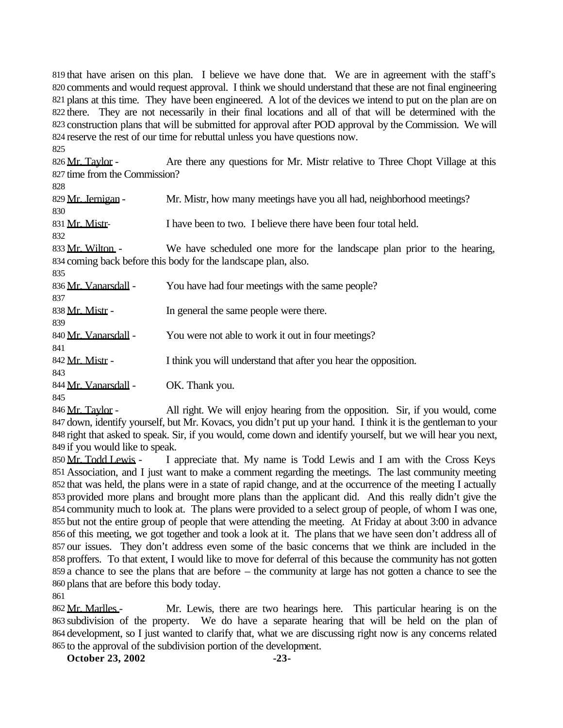that have arisen on this plan. I believe we have done that. We are in agreement with the staff's 820 comments and would request approval. I think we should understand that these are not final engineering plans at this time. They have been engineered. A lot of the devices we intend to put on the plan are on there. They are not necessarily in their final locations and all of that will be determined with the construction plans that will be submitted for approval after POD approval by the Commission. We will reserve the rest of our time for rebuttal unless you have questions now. 

826 Mr. Taylor - Are there any questions for Mr. Mistr relative to Three Chopt Village at this time from the Commission?

829 Mr. Jernigan - Mr. Mistr, how many meetings have you all had, neighborhood meetings? Mr. Mistr- I have been to two. I believe there have been four total held. 833 Mr. Wilton - We have scheduled one more for the landscape plan prior to the hearing, coming back before this body for the landscape plan, also. 836 Mr. Vanarsdall - You have had four meetings with the same people? 838 Mr. Mistr - In general the same people were there. 840 Mr. Vanarsdall - You were not able to work it out in four meetings? 842 Mr. Mistr - I think you will understand that after you hear the opposition. 844 Mr. Vanarsdall - OK. Thank you.

846 Mr. Taylor - All right. We will enjoy hearing from the opposition. Sir, if you would, come 847 down, identify yourself, but Mr. Kovacs, you didn't put up your hand. I think it is the gentleman to your right that asked to speak. Sir, if you would, come down and identify yourself, but we will hear you next, if you would like to speak.

850 Mr. Todd Lewis - I appreciate that. My name is Todd Lewis and I am with the Cross Keys Association, and I just want to make a comment regarding the meetings. The last community meeting that was held, the plans were in a state of rapid change, and at the occurrence of the meeting I actually provided more plans and brought more plans than the applicant did. And this really didn't give the community much to look at. The plans were provided to a select group of people, of whom I was one, but not the entire group of people that were attending the meeting. At Friday at about 3:00 in advance of this meeting, we got together and took a look at it. The plans that we have seen don't address all of our issues. They don't address even some of the basic concerns that we think are included in the proffers. To that extent, I would like to move for deferral of this because the community has not gotten a chance to see the plans that are before – the community at large has not gotten a chance to see the plans that are before this body today.

862 Mr. Marlles - Mr. Lewis, there are two hearings here. This particular hearing is on the subdivision of the property. We do have a separate hearing that will be held on the plan of 864 development, so I just wanted to clarify that, what we are discussing right now is any concerns related to the approval of the subdivision portion of the development.

**October 23, 2002** -23-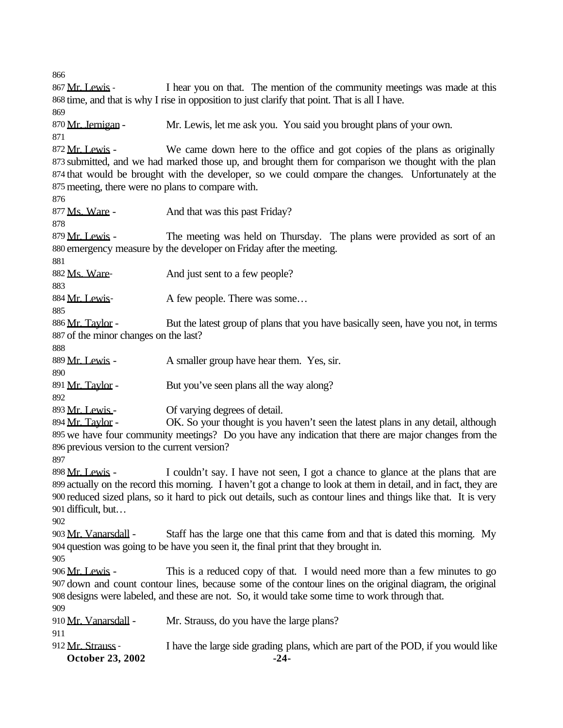**October 23, 2002** -24- 867 Mr. Lewis - I hear you on that. The mention of the community meetings was made at this time, and that is why I rise in opposition to just clarify that point. That is all I have. 870 Mr. Jernigan - Mr. Lewis, let me ask you. You said you brought plans of your own. 872 Mr. Lewis - We came down here to the office and got copies of the plans as originally submitted, and we had marked those up, and brought them for comparison we thought with the plan that would be brought with the developer, so we could compare the changes. Unfortunately at the meeting, there were no plans to compare with. 877 Ms. Ware - And that was this past Friday? 879 Mr. Lewis - The meeting was held on Thursday. The plans were provided as sort of an emergency measure by the developer on Friday after the meeting. 882 Ms. Ware-<br>And just sent to a few people? 884 Mr. Lewis- A few people. There was some... 886 Mr. Taylor - But the latest group of plans that you have basically seen, have you not, in terms of the minor changes on the last? 889 Mr. Lewis - A smaller group have hear them. Yes, sir. 891 Mr. Taylor - But you've seen plans all the way along? 893 Mr. Lewis - Of varying degrees of detail. 894 Mr. Taylor - OK. So your thought is you haven't seen the latest plans in any detail, although we have four community meetings? Do you have any indication that there are major changes from the previous version to the current version? 898 Mr. Lewis - I couldn't say. I have not seen, I got a chance to glance at the plans that are actually on the record this morning. I haven't got a change to look at them in detail, and in fact, they are reduced sized plans, so it hard to pick out details, such as contour lines and things like that. It is very difficult, but… 903 Mr. Vanarsdall - Staff has the large one that this came from and that is dated this morning. My question was going to be have you seen it, the final print that they brought in. 906 Mr. Lewis - This is a reduced copy of that. I would need more than a few minutes to go down and count contour lines, because some of the contour lines on the original diagram, the original designs were labeled, and these are not. So, it would take some time to work through that. 910 Mr. Vanarsdall - Mr. Strauss, do you have the large plans? 912 Mr. Strauss - I have the large side grading plans, which are part of the POD, if you would like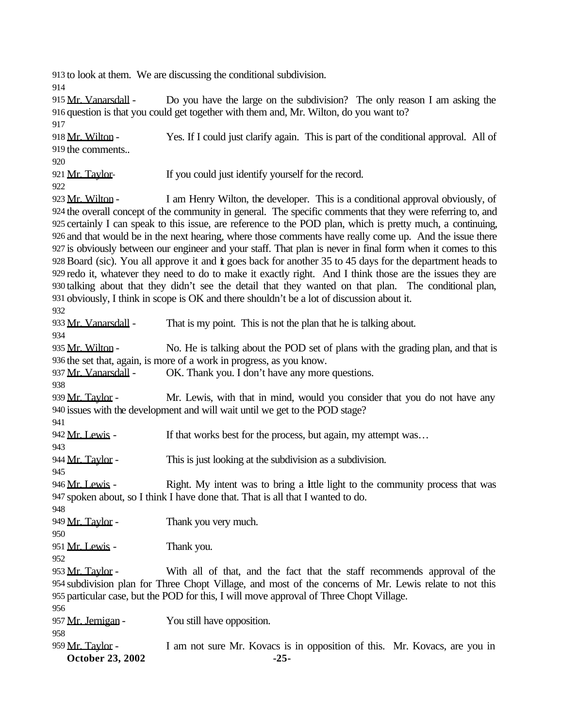to look at them. We are discussing the conditional subdivision.

915 Mr. Vanarsdall - Do you have the large on the subdivision? The only reason I am asking the question is that you could get together with them and, Mr. Wilton, do you want to?

 918 Mr. Wilton - Yes. If I could just clarify again. This is part of the conditional approval. All of the comments.. 

921 Mr. Taylor- If you could just identify yourself for the record.

923 Mr. Wilton - I am Henry Wilton, the developer. This is a conditional approval obviously, of the overall concept of the community in general. The specific comments that they were referring to, and certainly I can speak to this issue, are reference to the POD plan, which is pretty much, a continuing, and that would be in the next hearing, where those comments have really come up. And the issue there is obviously between our engineer and your staff. That plan is never in final form when it comes to this Board (sic). You all approve it and it goes back for another 35 to 45 days for the department heads to redo it, whatever they need to do to make it exactly right. And I think those are the issues they are talking about that they didn't see the detail that they wanted on that plan. The conditional plan, obviously, I think in scope is OK and there shouldn't be a lot of discussion about it.

# 

**October 23, 2002** -25-933 Mr. Vanarsdall - That is my point. This is not the plan that he is talking about. 935 Mr. Wilton - No. He is talking about the POD set of plans with the grading plan, and that is the set that, again, is more of a work in progress, as you know. 937 Mr. Vanarsdall - OK. Thank you. I don't have any more questions. 939 Mr. Taylor - Mr. Lewis, with that in mind, would you consider that you do not have any issues with the development and will wait until we get to the POD stage? 942 Mr. Lewis - If that works best for the process, but again, my attempt was... 944 Mr. Taylor - This is just looking at the subdivision as a subdivision. 946 Mr. Lewis - Right. My intent was to bring a little light to the community process that was spoken about, so I think I have done that. That is all that I wanted to do. 949 Mr. Taylor - Thank you very much. 951 Mr. Lewis - Thank you. 953 Mr. Taylor - With all of that, and the fact that the staff recommends approval of the subdivision plan for Three Chopt Village, and most of the concerns of Mr. Lewis relate to not this particular case, but the POD for this, I will move approval of Three Chopt Village. 957 Mr. Jernigan - You still have opposition. 959 Mr. Taylor - I am not sure Mr. Kovacs is in opposition of this. Mr. Kovacs, are you in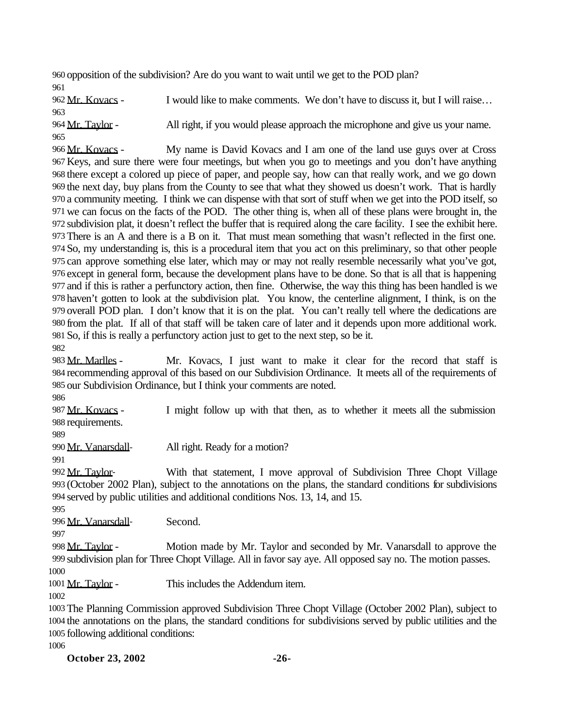opposition of the subdivision? Are do you want to wait until we get to the POD plan? 

962 Mr. Kovacs - I would like to make comments. We don't have to discuss it, but I will raise... 964 Mr. Taylor - All right, if you would please approach the microphone and give us your name. 

966 Mr. Kovacs - My name is David Kovacs and I am one of the land use guys over at Cross Keys, and sure there were four meetings, but when you go to meetings and you don't have anything there except a colored up piece of paper, and people say, how can that really work, and we go down the next day, buy plans from the County to see that what they showed us doesn't work. That is hardly a community meeting. I think we can dispense with that sort of stuff when we get into the POD itself, so we can focus on the facts of the POD. The other thing is, when all of these plans were brought in, the subdivision plat, it doesn't reflect the buffer that is required along the care facility. I see the exhibit here. There is an A and there is a B on it. That must mean something that wasn't reflected in the first one. So, my understanding is, this is a procedural item that you act on this preliminary, so that other people can approve something else later, which may or may not really resemble necessarily what you've got, except in general form, because the development plans have to be done. So that is all that is happening and if this is rather a perfunctory action, then fine. Otherwise, the way this thing has been handled is we haven't gotten to look at the subdivision plat. You know, the centerline alignment, I think, is on the overall POD plan. I don't know that it is on the plat. You can't really tell where the dedications are from the plat. If all of that staff will be taken care of later and it depends upon more additional work. So, if this is really a perfunctory action just to get to the next step, so be it. 

983 Mr. Marlles - Mr. Kovacs, I just want to make it clear for the record that staff is recommending approval of this based on our Subdivision Ordinance. It meets all of the requirements of our Subdivision Ordinance, but I think your comments are noted.

987 Mr. Kovacs - I might follow up with that then, as to whether it meets all the submission requirements.

990 Mr. Vanarsdall-<br>All right. Ready for a motion?

992 Mr. Taylor- With that statement, I move approval of Subdivision Three Chopt Village (October 2002 Plan), subject to the annotations on the plans, the standard conditions for subdivisions served by public utilities and additional conditions Nos. 13, 14, and 15. 

Mr. Vanarsdall- Second.

998 Mr. Taylor - Motion made by Mr. Taylor and seconded by Mr. Vanarsdall to approve the subdivision plan for Three Chopt Village. All in favor say aye. All opposed say no. The motion passes. 

1001 Mr. Taylor - This includes the Addendum item.

 The Planning Commission approved Subdivision Three Chopt Village (October 2002 Plan), subject to the annotations on the plans, the standard conditions for subdivisions served by public utilities and the following additional conditions:

**October 23, 2002** -26-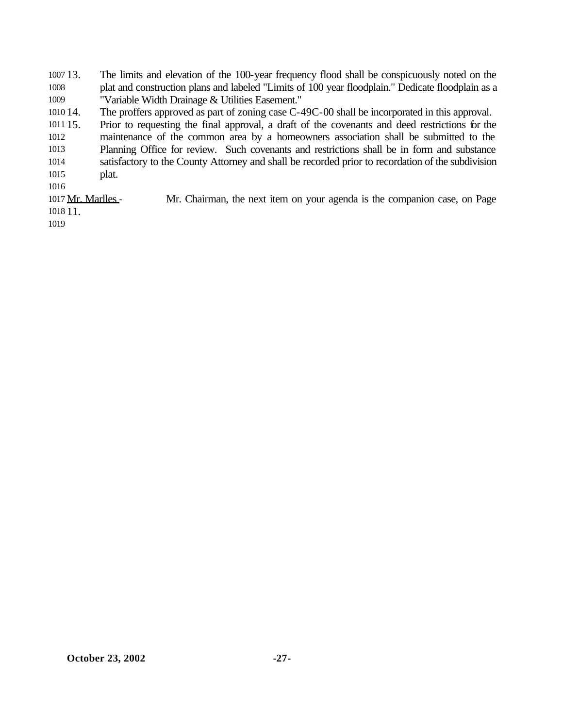13. The limits and elevation of the 100-year frequency flood shall be conspicuously noted on the plat and construction plans and labeled "Limits of 100 year floodplain." Dedicate floodplain as a "Variable Width Drainage & Utilities Easement."

14. The proffers approved as part of zoning case C-49C-00 shall be incorporated in this approval.

 15. Prior to requesting the final approval, a draft of the covenants and deed restrictions for the maintenance of the common area by a homeowners association shall be submitted to the

 Planning Office for review. Such covenants and restrictions shall be in form and substance satisfactory to the County Attorney and shall be recorded prior to recordation of the subdivision plat.

1017 Mr. Marlles - Mr. Chairman, the next item on your agenda is the companion case, on Page 11.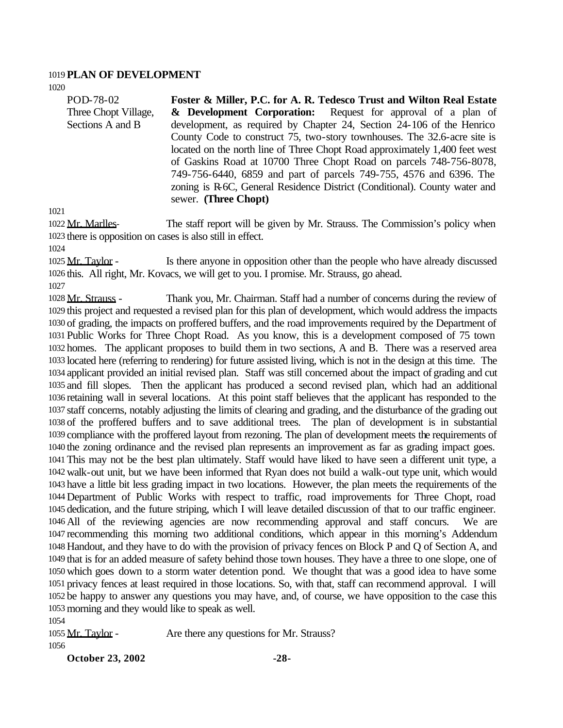#### **PLAN OF DEVELOPMENT**

POD-78-02 Three Chopt Village, Sections A and B **Foster & Miller, P.C. for A. R. Tedesco Trust and Wilton Real Estate & Development Corporation:** Request for approval of a plan of development, as required by Chapter 24, Section 24-106 of the Henrico County Code to construct 75, two-story townhouses. The 32.6-acre site is located on the north line of Three Chopt Road approximately 1,400 feet west of Gaskins Road at 10700 Three Chopt Road on parcels 748-756-8078, 749-756-6440, 6859 and part of parcels 749-755, 4576 and 6396. The zoning is R-6C, General Residence District (Conditional). County water and sewer. **(Three Chopt)**

1022 Mr. Marlles- The staff report will be given by Mr. Strauss. The Commission's policy when there is opposition on cases is also still in effect.

1025 Mr. Taylor - Is there anyone in opposition other than the people who have already discussed this. All right, Mr. Kovacs, we will get to you. I promise. Mr. Strauss, go ahead.

1028 Mr. Strauss - Thank you, Mr. Chairman. Staff had a number of concerns during the review of this project and requested a revised plan for this plan of development, which would address the impacts of grading, the impacts on proffered buffers, and the road improvements required by the Department of Public Works for Three Chopt Road. As you know, this is a development composed of 75 town homes. The applicant proposes to build them in two sections, A and B. There was a reserved area located here (referring to rendering) for future assisted living, which is not in the design at this time. The applicant provided an initial revised plan. Staff was still concerned about the impact of grading and cut and fill slopes. Then the applicant has produced a second revised plan, which had an additional retaining wall in several locations. At this point staff believes that the applicant has responded to the staff concerns, notably adjusting the limits of clearing and grading, and the disturbance of the grading out of the proffered buffers and to save additional trees. The plan of development is in substantial compliance with the proffered layout from rezoning. The plan of development meets the requirements of the zoning ordinance and the revised plan represents an improvement as far as grading impact goes. This may not be the best plan ultimately. Staff would have liked to have seen a different unit type, a walk-out unit, but we have been informed that Ryan does not build a walk-out type unit, which would have a little bit less grading impact in two locations. However, the plan meets the requirements of the Department of Public Works with respect to traffic, road improvements for Three Chopt, road dedication, and the future striping, which I will leave detailed discussion of that to our traffic engineer. All of the reviewing agencies are now recommending approval and staff concurs. We are recommending this morning two additional conditions, which appear in this morning's Addendum Handout, and they have to do with the provision of privacy fences on Block P and Q of Section A, and that is for an added measure of safety behind those town houses. They have a three to one slope, one of which goes down to a storm water detention pond. We thought that was a good idea to have some privacy fences at least required in those locations. So, with that, staff can recommend approval. I will be happy to answer any questions you may have, and, of course, we have opposition to the case this morning and they would like to speak as well.

1055 Mr. Taylor - Are there any questions for Mr. Strauss?

**October 23, 2002** -28-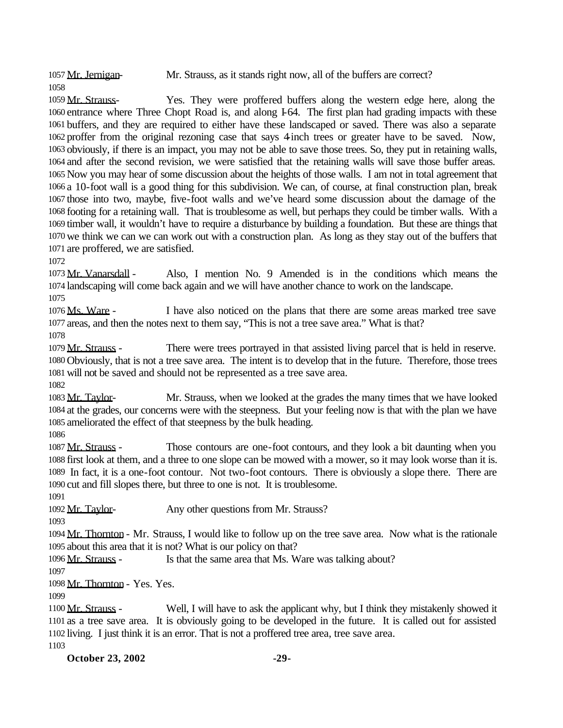1057 Mr. Jernigan- Mr. Strauss, as it stands right now, all of the buffers are correct?

 Mr. Strauss- Yes. They were proffered buffers along the western edge here, along the entrance where Three Chopt Road is, and along I-64. The first plan had grading impacts with these buffers, and they are required to either have these landscaped or saved. There was also a separate proffer from the original rezoning case that says 4-inch trees or greater have to be saved. Now, obviously, if there is an impact, you may not be able to save those trees. So, they put in retaining walls, and after the second revision, we were satisfied that the retaining walls will save those buffer areas. Now you may hear of some discussion about the heights of those walls. I am not in total agreement that a 10-foot wall is a good thing for this subdivision. We can, of course, at final construction plan, break those into two, maybe, five-foot walls and we've heard some discussion about the damage of the footing for a retaining wall. That is troublesome as well, but perhaps they could be timber walls. With a timber wall, it wouldn't have to require a disturbance by building a foundation. But these are things that we think we can we can work out with a construction plan. As long as they stay out of the buffers that are proffered, we are satisfied.

 Mr. Vanarsdall - Also, I mention No. 9 Amended is in the conditions which means the landscaping will come back again and we will have another chance to work on the landscape.

1076 Ms. Ware - I have also noticed on the plans that there are some areas marked tree save areas, and then the notes next to them say, "This is not a tree save area." What is that?

1079 Mr. Strauss - There were trees portrayed in that assisted living parcel that is held in reserve. Obviously, that is not a tree save area. The intent is to develop that in the future. Therefore, those trees will not be saved and should not be represented as a tree save area.

 Mr. Taylor- Mr. Strauss, when we looked at the grades the many times that we have looked at the grades, our concerns were with the steepness. But your feeling now is that with the plan we have ameliorated the effect of that steepness by the bulk heading.

 Mr. Strauss - Those contours are one-foot contours, and they look a bit daunting when you first look at them, and a three to one slope can be mowed with a mower, so it may look worse than it is. In fact, it is a one-foot contour. Not two-foot contours. There is obviously a slope there. There are cut and fill slopes there, but three to one is not. It is troublesome.

1092 Mr. Taylor- Any other questions from Mr. Strauss?

 Mr. Thornton - Mr. Strauss, I would like to follow up on the tree save area. Now what is the rationale about this area that it is not? What is our policy on that?

1096 Mr. Strauss - Is that the same area that Ms. Ware was talking about?

Mr. Thornton - Yes. Yes.

1100 Mr. Strauss - Well, I will have to ask the applicant why, but I think they mistakenly showed it as a tree save area. It is obviously going to be developed in the future. It is called out for assisted living. I just think it is an error. That is not a proffered tree area, tree save area.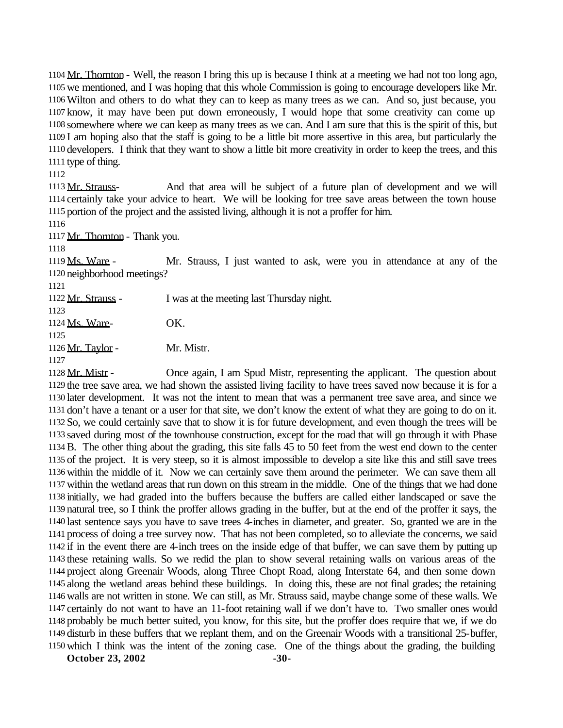1104 Mr. Thornton - Well, the reason I bring this up is because I think at a meeting we had not too long ago, we mentioned, and I was hoping that this whole Commission is going to encourage developers like Mr. Wilton and others to do what they can to keep as many trees as we can. And so, just because, you know, it may have been put down erroneously, I would hope that some creativity can come up somewhere where we can keep as many trees as we can. And I am sure that this is the spirit of this, but I am hoping also that the staff is going to be a little bit more assertive in this area, but particularly the developers. I think that they want to show a little bit more creativity in order to keep the trees, and this type of thing.

1113 Mr. Strauss- And that area will be subject of a future plan of development and we will certainly take your advice to heart. We will be looking for tree save areas between the town house portion of the project and the assisted living, although it is not a proffer for him.

Mr. Thornton - Thank you.

1119 Ms. Ware - Mr. Strauss, I just wanted to ask, were you in attendance at any of the neighborhood meetings?

1122 Mr. Strauss - I was at the meeting last Thursday night. Ms. Ware- OK. 1126 Mr. Taylor - Mr. Mistr.

1128 Mr. Mistr - Once again, I am Spud Mistr, representing the applicant. The question about the tree save area, we had shown the assisted living facility to have trees saved now because it is for a later development. It was not the intent to mean that was a permanent tree save area, and since we don't have a tenant or a user for that site, we don't know the extent of what they are going to do on it. So, we could certainly save that to show it is for future development, and even though the trees will be saved during most of the townhouse construction, except for the road that will go through it with Phase B. The other thing about the grading, this site falls 45 to 50 feet from the west end down to the center of the project. It is very steep, so it is almost impossible to develop a site like this and still save trees within the middle of it. Now we can certainly save them around the perimeter. We can save them all within the wetland areas that run down on this stream in the middle. One of the things that we had done initially, we had graded into the buffers because the buffers are called either landscaped or save the natural tree, so I think the proffer allows grading in the buffer, but at the end of the proffer it says, the last sentence says you have to save trees 4-inches in diameter, and greater. So, granted we are in the process of doing a tree survey now. That has not been completed, so to alleviate the concerns, we said if in the event there are 4-inch trees on the inside edge of that buffer, we can save them by putting up these retaining walls. So we redid the plan to show several retaining walls on various areas of the project along Greenair Woods, along Three Chopt Road, along Interstate 64, and then some down along the wetland areas behind these buildings. In doing this, these are not final grades; the retaining walls are not written in stone. We can still, as Mr. Strauss said, maybe change some of these walls. We certainly do not want to have an 11-foot retaining wall if we don't have to. Two smaller ones would probably be much better suited, you know, for this site, but the proffer does require that we, if we do disturb in these buffers that we replant them, and on the Greenair Woods with a transitional 25-buffer, which I think was the intent of the zoning case. One of the things about the grading, the building

**October 23, 2002** -30-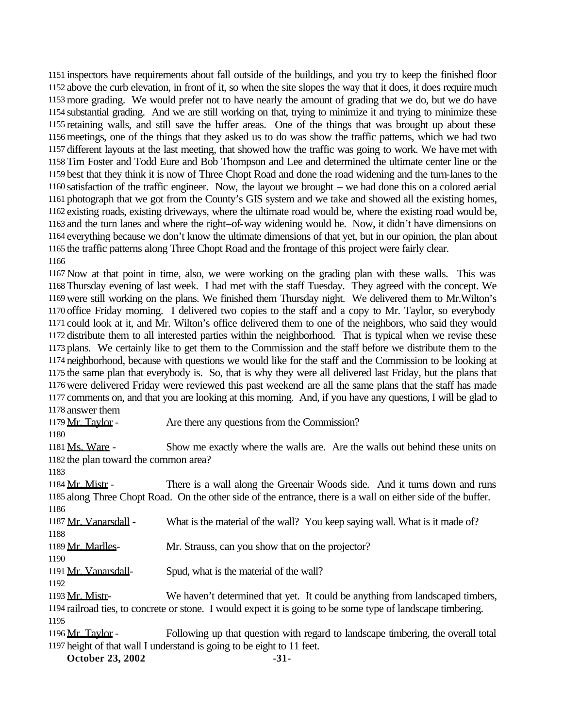inspectors have requirements about fall outside of the buildings, and you try to keep the finished floor above the curb elevation, in front of it, so when the site slopes the way that it does, it does require much more grading. We would prefer not to have nearly the amount of grading that we do, but we do have substantial grading. And we are still working on that, trying to minimize it and trying to minimize these retaining walls, and still save the buffer areas. One of the things that was brought up about these meetings, one of the things that they asked us to do was show the traffic patterns, which we had two different layouts at the last meeting, that showed how the traffic was going to work. We have met with Tim Foster and Todd Eure and Bob Thompson and Lee and determined the ultimate center line or the best that they think it is now of Three Chopt Road and done the road widening and the turn-lanes to the satisfaction of the traffic engineer. Now, the layout we brought – we had done this on a colored aerial photograph that we got from the County's GIS system and we take and showed all the existing homes, existing roads, existing driveways, where the ultimate road would be, where the existing road would be, and the turn lanes and where the right–of-way widening would be. Now, it didn't have dimensions on everything because we don't know the ultimate dimensions of that yet, but in our opinion, the plan about the traffic patterns along Three Chopt Road and the frontage of this project were fairly clear. 

 Now at that point in time, also, we were working on the grading plan with these walls. This was Thursday evening of last week. I had met with the staff Tuesday. They agreed with the concept. We were still working on the plans. We finished them Thursday night. We delivered them to Mr.Wilton's office Friday morning. I delivered two copies to the staff and a copy to Mr. Taylor, so everybody could look at it, and Mr. Wilton's office delivered them to one of the neighbors, who said they would distribute them to all interested parties within the neighborhood. That is typical when we revise these plans. We certainly like to get them to the Commission and the staff before we distribute them to the neighborhood, because with questions we would like for the staff and the Commission to be looking at the same plan that everybody is. So, that is why they were all delivered last Friday, but the plans that were delivered Friday were reviewed this past weekend are all the same plans that the staff has made comments on, and that you are looking at this morning. And, if you have any questions, I will be glad to answer them

1179 Mr. Taylor - Are there any questions from the Commission?

1181 Ms. Ware - Show me exactly where the walls are. Are the walls out behind these units on the plan toward the common area?

1184 Mr. Mistr - There is a wall along the Greenair Woods side. And it turns down and runs along Three Chopt Road. On the other side of the entrance, there is a wall on either side of the buffer. 

 Mr. Vanarsdall - What is the material of the wall? You keep saying wall. What is it made of? 

1189 Mr. Marlles- Mr. Strauss, can you show that on the projector?

1191 Mr. Vanarsdall-<br>
Spud, what is the material of the wall?

1193 Mr. Mistr- We haven't determined that yet. It could be anything from landscaped timbers, railroad ties, to concrete or stone. I would expect it is going to be some type of landscape timbering. 

1196 Mr. Taylor - Following up that question with regard to landscape timbering, the overall total height of that wall I understand is going to be eight to 11 feet.

**October 23, 2002** -31-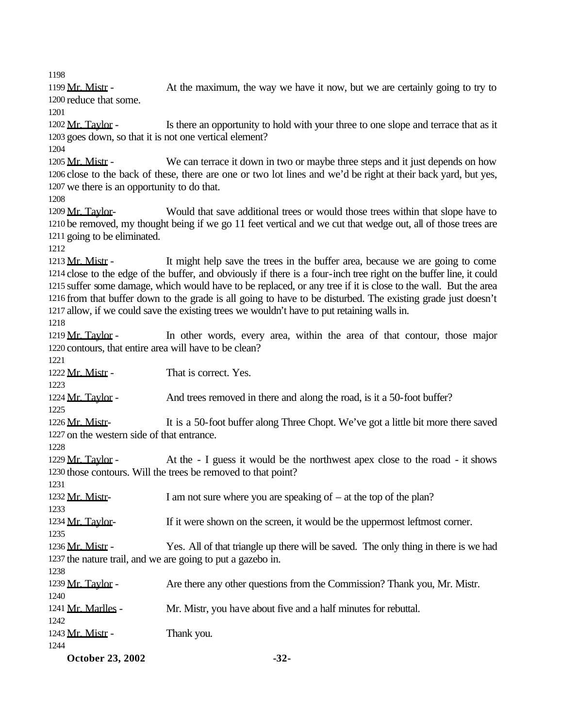1199 Mr. Mistr - At the maximum, the way we have it now, but we are certainly going to try to reduce that some.

1202 Mr. Taylor - Is there an opportunity to hold with your three to one slope and terrace that as it goes down, so that it is not one vertical element?

1205 Mr. Mistr - We can terrace it down in two or maybe three steps and it just depends on how close to the back of these, there are one or two lot lines and we'd be right at their back yard, but yes, we there is an opportunity to do that.

1209 Mr. Taylor- Would that save additional trees or would those trees within that slope have to be removed, my thought being if we go 11 feet vertical and we cut that wedge out, all of those trees are going to be eliminated.

1213 Mr. Mistr - It might help save the trees in the buffer area, because we are going to come close to the edge of the buffer, and obviously if there is a four-inch tree right on the buffer line, it could suffer some damage, which would have to be replaced, or any tree if it is close to the wall. But the area from that buffer down to the grade is all going to have to be disturbed. The existing grade just doesn't allow, if we could save the existing trees we wouldn't have to put retaining walls in.

1219 Mr. Taylor - In other words, every area, within the area of that contour, those major contours, that entire area will have to be clean?

1222 Mr. Mistr - That is correct. Yes.

1224 Mr. Taylor - And trees removed in there and along the road, is it a 50-foot buffer?

1226 Mr. Mistr- It is a 50-foot buffer along Three Chopt. We've got a little bit more there saved on the western side of that entrance.

1229 Mr. Taylor - At the - I guess it would be the northwest apex close to the road - it shows those contours. Will the trees be removed to that point?

1232 Mr. Mistr- I am not sure where you are speaking of – at the top of the plan?

 1234 Mr. Taylor- If it were shown on the screen, it would be the uppermost leftmost corner.

1236 Mr. Mistr - Yes. All of that triangle up there will be saved. The only thing in there is we had the nature trail, and we are going to put a gazebo in. 

1239 Mr. Taylor - Are there any other questions from the Commission? Thank you, Mr. Mistr.

 Mr. Marlles - Mr. Mistr, you have about five and a half minutes for rebuttal. 

 $1243 \text{ Mr. Mistr}$  - Thank you.

**October 23, 2002** -32-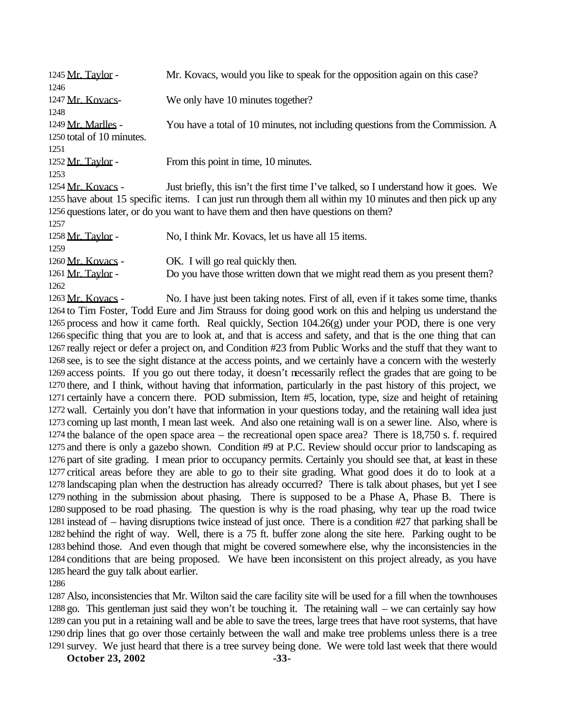| 1245 Mr. Taylor -         | Mr. Kovacs, would you like to speak for the opposition again on this case?                                   |
|---------------------------|--------------------------------------------------------------------------------------------------------------|
| 1246                      |                                                                                                              |
| 1247 Mr. Kovacs-          | We only have 10 minutes together?                                                                            |
| 1248                      |                                                                                                              |
| 1249 Mr. Marlles -        | You have a total of 10 minutes, not including questions from the Commission. A                               |
| 1250 total of 10 minutes. |                                                                                                              |
| 1251                      |                                                                                                              |
| 1252 Mr. Taylor -         | From this point in time, 10 minutes.                                                                         |
| 1253                      |                                                                                                              |
| 1254 Mr. Kovacs -         | Just briefly, this isn't the first time I've talked, so I understand how it goes. We                         |
|                           | 1255 have about 15 specific items. I can just run through them all within my 10 minutes and then pick up any |
|                           | 1256 questions later, or do you want to have them and then have questions on them?                           |
| 1257                      |                                                                                                              |
| 1258 Mr. Taylor -         | No, I think Mr. Kovacs, let us have all 15 items.                                                            |
| 1259                      |                                                                                                              |
| 1260 Mr. Kovacs -         | OK. I will go real quickly then.                                                                             |
| 1261 Mr. Taylor -         | Do you have those written down that we might read them as you present them?                                  |
| 1262                      |                                                                                                              |
|                           | $\mathbf{r}$ and $\mathbf{r}$ are the set of $\mathbf{r}$                                                    |

1263 Mr. Kovacs - No. I have just been taking notes. First of all, even if it takes some time, thanks to Tim Foster, Todd Eure and Jim Strauss for doing good work on this and helping us understand the process and how it came forth. Real quickly, Section 104.26(g) under your POD, there is one very specific thing that you are to look at, and that is access and safety, and that is the one thing that can really reject or defer a project on, and Condition #23 from Public Works and the stuff that they want to see, is to see the sight distance at the access points, and we certainly have a concern with the westerly access points. If you go out there today, it doesn't necessarily reflect the grades that are going to be there, and I think, without having that information, particularly in the past history of this project, we certainly have a concern there. POD submission, Item #5, location, type, size and height of retaining wall. Certainly you don't have that information in your questions today, and the retaining wall idea just coming up last month, I mean last week. And also one retaining wall is on a sewer line. Also, where is the balance of the open space area – the recreational open space area? There is 18,750 s. f. required and there is only a gazebo shown. Condition #9 at P.C. Review should occur prior to landscaping as part of site grading. I mean prior to occupancy permits. Certainly you should see that, at least in these critical areas before they are able to go to their site grading. What good does it do to look at a landscaping plan when the destruction has already occurred? There is talk about phases, but yet I see nothing in the submission about phasing. There is supposed to be a Phase A, Phase B. There is supposed to be road phasing. The question is why is the road phasing, why tear up the road twice instead of – having disruptions twice instead of just once. There is a condition #27 that parking shall be behind the right of way. Well, there is a 75 ft. buffer zone along the site here. Parking ought to be behind those. And even though that might be covered somewhere else, why the inconsistencies in the conditions that are being proposed. We have been inconsistent on this project already, as you have heard the guy talk about earlier.

 Also, inconsistencies that Mr. Wilton said the care facility site will be used for a fill when the townhouses go. This gentleman just said they won't be touching it. The retaining wall – we can certainly say how can you put in a retaining wall and be able to save the trees, large trees that have root systems, that have drip lines that go over those certainly between the wall and make tree problems unless there is a tree survey. We just heard that there is a tree survey being done. We were told last week that there would

**October 23, 2002** -33-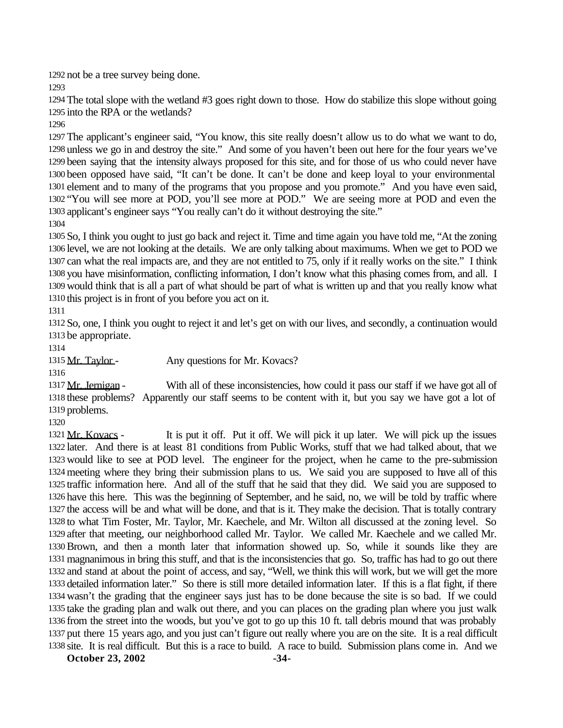not be a tree survey being done.

 The total slope with the wetland #3 goes right down to those. How do stabilize this slope without going into the RPA or the wetlands?

 The applicant's engineer said, "You know, this site really doesn't allow us to do what we want to do, unless we go in and destroy the site." And some of you haven't been out here for the four years we've been saying that the intensity always proposed for this site, and for those of us who could never have been opposed have said, "It can't be done. It can't be done and keep loyal to your environmental element and to many of the programs that you propose and you promote." And you have even said, "You will see more at POD, you'll see more at POD." We are seeing more at POD and even the applicant's engineer says "You really can't do it without destroying the site."

 So, I think you ought to just go back and reject it. Time and time again you have told me, "At the zoning level, we are not looking at the details. We are only talking about maximums. When we get to POD we can what the real impacts are, and they are not entitled to 75, only if it really works on the site." I think you have misinformation, conflicting information, I don't know what this phasing comes from, and all. I would think that is all a part of what should be part of what is written up and that you really know what this project is in front of you before you act on it.

 So, one, I think you ought to reject it and let's get on with our lives, and secondly, a continuation would be appropriate.

1315 Mr. Taylor - Any questions for Mr. Kovacs?

1317 Mr. Jernigan - With all of these inconsistencies, how could it pass our staff if we have got all of these problems? Apparently our staff seems to be content with it, but you say we have got a lot of problems.

1321 Mr. Kovacs - It is put it off. Put it off. We will pick it up later. We will pick up the issues later. And there is at least 81 conditions from Public Works, stuff that we had talked about, that we would like to see at POD level. The engineer for the project, when he came to the pre-submission meeting where they bring their submission plans to us. We said you are supposed to have all of this traffic information here. And all of the stuff that he said that they did. We said you are supposed to have this here. This was the beginning of September, and he said, no, we will be told by traffic where the access will be and what will be done, and that is it. They make the decision. That is totally contrary to what Tim Foster, Mr. Taylor, Mr. Kaechele, and Mr. Wilton all discussed at the zoning level. So after that meeting, our neighborhood called Mr. Taylor. We called Mr. Kaechele and we called Mr. Brown, and then a month later that information showed up. So, while it sounds like they are magnanimous in bring this stuff, and that is the inconsistencies that go. So, traffic has had to go out there and stand at about the point of access, and say, "Well, we think this will work, but we will get the more detailed information later." So there is still more detailed information later. If this is a flat fight, if there wasn't the grading that the engineer says just has to be done because the site is so bad. If we could take the grading plan and walk out there, and you can places on the grading plan where you just walk from the street into the woods, but you've got to go up this 10 ft. tall debris mound that was probably put there 15 years ago, and you just can't figure out really where you are on the site. It is a real difficult site. It is real difficult. But this is a race to build. A race to build. Submission plans come in. And we

**October 23, 2002** -34-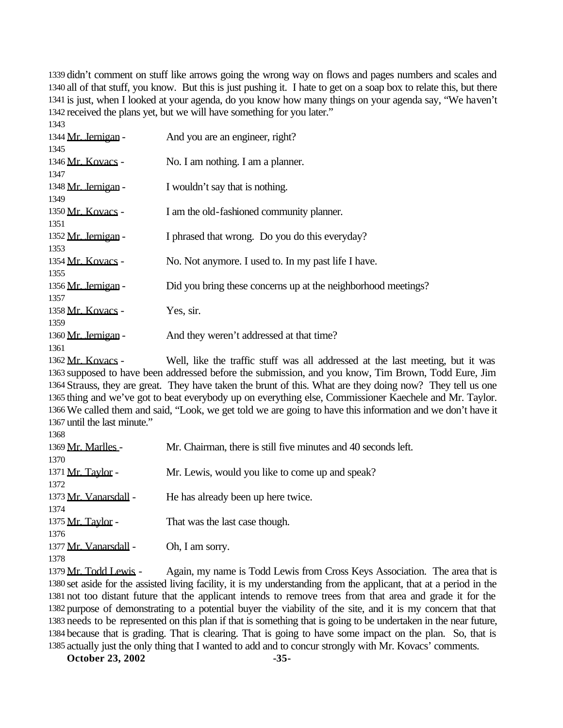didn't comment on stuff like arrows going the wrong way on flows and pages numbers and scales and all of that stuff, you know. But this is just pushing it. I hate to get on a soap box to relate this, but there is just, when I looked at your agenda, do you know how many things on your agenda say, "We haven't received the plans yet, but we will have something for you later."

| 1343                |                                                               |
|---------------------|---------------------------------------------------------------|
| 1344 Mr. Jernigan - | And you are an engineer, right?                               |
| 1345                |                                                               |
| 1346 Mr. Kovacs -   | No. I am nothing. I am a planner.                             |
| 1347                |                                                               |
| 1348 Mr. Jernigan - | I wouldn't say that is nothing.                               |
| 1349                |                                                               |
| 1350 Mr. Kovacs -   | I am the old-fashioned community planner.                     |
| 1351                |                                                               |
| 1352 Mr. Jernigan - | I phrased that wrong. Do you do this everyday?                |
| 1353                |                                                               |
| 1354 Mr. Kovacs -   | No. Not anymore. I used to. In my past life I have.           |
| 1355                |                                                               |
| 1356 Mr. Jernigan - | Did you bring these concerns up at the neighborhood meetings? |
| 1357                |                                                               |
| 1358 Mr. Kovacs -   | Yes, sir.                                                     |
| 1359                |                                                               |
| 1360 Mr. Jernigan - | And they weren't addressed at that time?                      |
| 1361                |                                                               |

 Mr. Kovacs - Well, like the traffic stuff was all addressed at the last meeting, but it was supposed to have been addressed before the submission, and you know, Tim Brown, Todd Eure, Jim Strauss, they are great. They have taken the brunt of this. What are they doing now? They tell us one thing and we've got to beat everybody up on everything else, Commissioner Kaechele and Mr. Taylor. We called them and said, "Look, we get told we are going to have this information and we don't have it until the last minute." 

| <b>1200</b>            |                                                                           |
|------------------------|---------------------------------------------------------------------------|
| 1369 Mr. Marlles -     | Mr. Chairman, there is still five minutes and 40 seconds left.            |
| 1370                   |                                                                           |
| 1371 Mr. Taylor -      | Mr. Lewis, would you like to come up and speak?                           |
| 1372                   |                                                                           |
| 1373 Mr. Vanarsdall -  | He has already been up here twice.                                        |
| 1374                   |                                                                           |
| 1375 Mr. Taylor -      | That was the last case though.                                            |
| 1376                   |                                                                           |
| 1377 Mr. Vanarsdall -  | Oh, I am sorry.                                                           |
| 1378                   |                                                                           |
| $1.200 \times 10^{-1}$ | $\mathbf{m}$ 11 $\mathbf{r}$ , $\mathbf{r}$ , $\mathbf{r}$ , $\mathbf{r}$ |

1379 Mr. Todd Lewis - Again, my name is Todd Lewis from Cross Keys Association. The area that is set aside for the assisted living facility, it is my understanding from the applicant, that at a period in the not too distant future that the applicant intends to remove trees from that area and grade it for the purpose of demonstrating to a potential buyer the viability of the site, and it is my concern that that needs to be represented on this plan if that is something that is going to be undertaken in the near future, because that is grading. That is clearing. That is going to have some impact on the plan. So, that is actually just the only thing that I wanted to add and to concur strongly with Mr. Kovacs' comments.

**October 23, 2002** -35-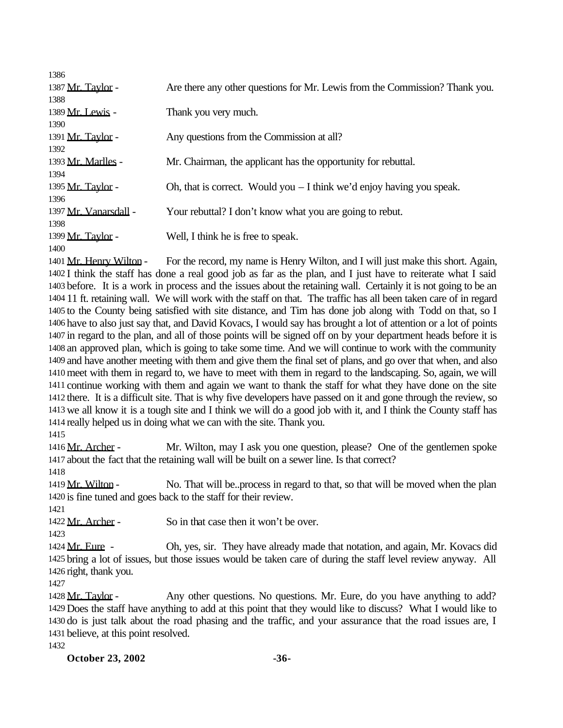| 1386                     |                                                                             |
|--------------------------|-----------------------------------------------------------------------------|
| 1387 <u>Mr. Taylor</u> - | Are there any other questions for Mr. Lewis from the Commission? Thank you. |
| 1388                     |                                                                             |
| 1389 Mr. Lewis -         | Thank you very much.                                                        |
| 1390                     |                                                                             |
| 1391 Mr. Taylor -        | Any questions from the Commission at all?                                   |
| 1392                     |                                                                             |
| 1393 Mr. Marlles -       | Mr. Chairman, the applicant has the opportunity for rebuttal.               |
| 1394                     |                                                                             |
| 1395 Mr. Taylor -        | Oh, that is correct. Would you $-1$ think we'd enjoy having you speak.      |
| 1396                     |                                                                             |
| 1397 Mr. Vanarsdall -    | Your rebuttal? I don't know what you are going to rebut.                    |
| 1398                     |                                                                             |
| 1399 Mr. Taylor -        | Well, I think he is free to speak.                                          |
| 1400                     |                                                                             |

1401 Mr. Henry Wilton - For the record, my name is Henry Wilton, and I will just make this short. Again, I think the staff has done a real good job as far as the plan, and I just have to reiterate what I said before. It is a work in process and the issues about the retaining wall. Certainly it is not going to be an 11 ft. retaining wall. We will work with the staff on that. The traffic has all been taken care of in regard to the County being satisfied with site distance, and Tim has done job along with Todd on that, so I have to also just say that, and David Kovacs, I would say has brought a lot of attention or a lot of points in regard to the plan, and all of those points will be signed off on by your department heads before it is an approved plan, which is going to take some time. And we will continue to work with the community and have another meeting with them and give them the final set of plans, and go over that when, and also meet with them in regard to, we have to meet with them in regard to the landscaping. So, again, we will continue working with them and again we want to thank the staff for what they have done on the site there. It is a difficult site. That is why five developers have passed on it and gone through the review, so we all know it is a tough site and I think we will do a good job with it, and I think the County staff has really helped us in doing what we can with the site. Thank you.

1416 Mr. Archer - Mr. Wilton, may I ask you one question, please? One of the gentlemen spoke about the fact that the retaining wall will be built on a sewer line. Is that correct?

1419 Mr. Wilton - No. That will be..process in regard to that, so that will be moved when the plan is fine tuned and goes back to the staff for their review.

Mr. Archer - So in that case then it won't be over.

 Mr. Eure - Oh, yes, sir. They have already made that notation, and again, Mr. Kovacs did bring a lot of issues, but those issues would be taken care of during the staff level review anyway. All right, thank you.

1428 Mr. Taylor - Any other questions. No questions. Mr. Eure, do you have anything to add? Does the staff have anything to add at this point that they would like to discuss? What I would like to do is just talk about the road phasing and the traffic, and your assurance that the road issues are, I believe, at this point resolved.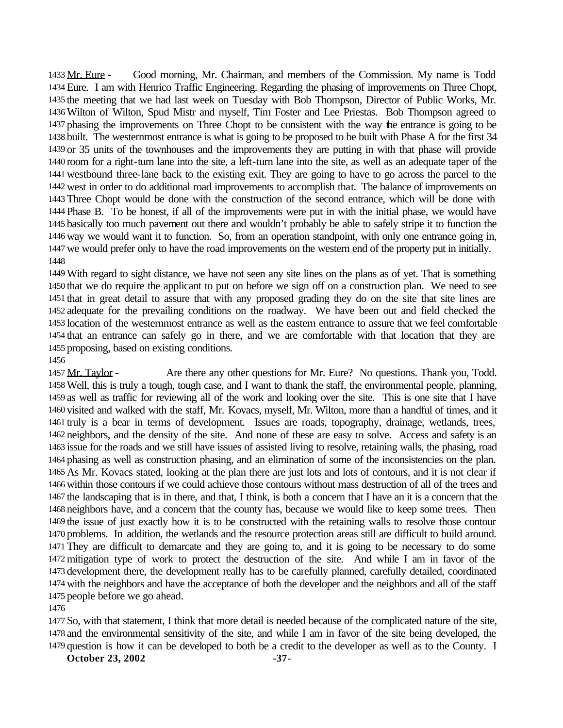Mr. Eure - Good morning, Mr. Chairman, and members of the Commission. My name is Todd Eure. I am with Henrico Traffic Engineering. Regarding the phasing of improvements on Three Chopt, the meeting that we had last week on Tuesday with Bob Thompson, Director of Public Works, Mr. Wilton of Wilton, Spud Mistr and myself, Tim Foster and Lee Priestas. Bob Thompson agreed to phasing the improvements on Three Chopt to be consistent with the way the entrance is going to be built. The westernmost entrance is what is going to be proposed to be built with Phase A for the first 34 or 35 units of the townhouses and the improvements they are putting in with that phase will provide room for a right-turn lane into the site, a left-turn lane into the site, as well as an adequate taper of the westbound three-lane back to the existing exit. They are going to have to go across the parcel to the west in order to do additional road improvements to accomplish that. The balance of improvements on Three Chopt would be done with the construction of the second entrance, which will be done with Phase B. To be honest, if all of the improvements were put in with the initial phase, we would have basically too much pavement out there and wouldn't probably be able to safely stripe it to function the way we would want it to function. So, from an operation standpoint, with only one entrance going in, we would prefer only to have the road improvements on the western end of the property put in initially. 

With regard to sight distance, we have not seen any site lines on the plans as of yet. That is something that we do require the applicant to put on before we sign off on a construction plan. We need to see that in great detail to assure that with any proposed grading they do on the site that site lines are adequate for the prevailing conditions on the roadway. We have been out and field checked the location of the westernmost entrance as well as the eastern entrance to assure that we feel comfortable that an entrance can safely go in there, and we are comfortable with that location that they are proposing, based on existing conditions.

#### 

1457 Mr. Taylor - Are there any other questions for Mr. Eure? No questions. Thank you, Todd. Well, this is truly a tough, tough case, and I want to thank the staff, the environmental people, planning, as well as traffic for reviewing all of the work and looking over the site. This is one site that I have visited and walked with the staff, Mr. Kovacs, myself, Mr. Wilton, more than a handful of times, and it truly is a bear in terms of development. Issues are roads, topography, drainage, wetlands, trees, neighbors, and the density of the site. And none of these are easy to solve. Access and safety is an issue for the roads and we still have issues of assisted living to resolve, retaining walls, the phasing, road phasing as well as construction phasing, and an elimination of some of the inconsistencies on the plan. As Mr. Kovacs stated, looking at the plan there are just lots and lots of contours, and it is not clear if within those contours if we could achieve those contours without mass destruction of all of the trees and the landscaping that is in there, and that, I think, is both a concern that I have an it is a concern that the neighbors have, and a concern that the county has, because we would like to keep some trees. Then the issue of just exactly how it is to be constructed with the retaining walls to resolve those contour problems. In addition, the wetlands and the resource protection areas still are difficult to build around. They are difficult to demarcate and they are going to, and it is going to be necessary to do some mitigation type of work to protect the destruction of the site. And while I am in favor of the development there, the development really has to be carefully planned, carefully detailed, coordinated with the neighbors and have the acceptance of both the developer and the neighbors and all of the staff people before we go ahead.

 So, with that statement, I think that more detail is needed because of the complicated nature of the site, and the environmental sensitivity of the site, and while I am in favor of the site being developed, the question is how it can be developed to both be a credit to the developer as well as to the County. I

**October 23, 2002** -37-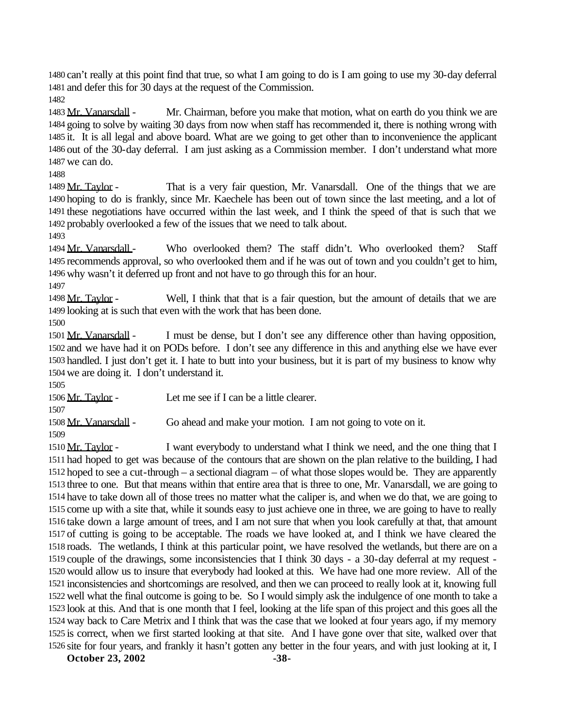can't really at this point find that true, so what I am going to do is I am going to use my 30-day deferral and defer this for 30 days at the request of the Commission.

 Mr. Vanarsdall - Mr. Chairman, before you make that motion, what on earth do you think we are going to solve by waiting 30 days from now when staff has recommended it, there is nothing wrong with it. It is all legal and above board. What are we going to get other than to inconvenience the applicant out of the 30-day deferral. I am just asking as a Commission member. I don't understand what more we can do.

1489 Mr. Taylor - That is a very fair question, Mr. Vanarsdall. One of the things that we are hoping to do is frankly, since Mr. Kaechele has been out of town since the last meeting, and a lot of these negotiations have occurred within the last week, and I think the speed of that is such that we probably overlooked a few of the issues that we need to talk about.

1494 Mr. Vanarsdall - Who overlooked them? The staff didn't. Who overlooked them? Staff recommends approval, so who overlooked them and if he was out of town and you couldn't get to him, why wasn't it deferred up front and not have to go through this for an hour.

1498 Mr. Taylor - Well, I think that that is a fair question, but the amount of details that we are looking at is such that even with the work that has been done.

1501 Mr. Vanarsdall - I must be dense, but I don't see any difference other than having opposition, and we have had it on PODs before. I don't see any difference in this and anything else we have ever handled. I just don't get it. I hate to butt into your business, but it is part of my business to know why we are doing it. I don't understand it.

Mr. Taylor - Let me see if I can be a little clearer.

1508 Mr. Vanarsdall - Go ahead and make your motion. I am not going to vote on it.

1510 Mr. Taylor - I want everybody to understand what I think we need, and the one thing that I had hoped to get was because of the contours that are shown on the plan relative to the building, I had hoped to see a cut-through – a sectional diagram – of what those slopes would be. They are apparently three to one. But that means within that entire area that is three to one, Mr. Vanarsdall, we are going to have to take down all of those trees no matter what the caliper is, and when we do that, we are going to come up with a site that, while it sounds easy to just achieve one in three, we are going to have to really take down a large amount of trees, and I am not sure that when you look carefully at that, that amount of cutting is going to be acceptable. The roads we have looked at, and I think we have cleared the roads. The wetlands, I think at this particular point, we have resolved the wetlands, but there are on a couple of the drawings, some inconsistencies that I think 30 days - a 30-day deferral at my request - would allow us to insure that everybody had looked at this. We have had one more review. All of the inconsistencies and shortcomings are resolved, and then we can proceed to really look at it, knowing full well what the final outcome is going to be. So I would simply ask the indulgence of one month to take a look at this. And that is one month that I feel, looking at the life span of this project and this goes all the way back to Care Metrix and I think that was the case that we looked at four years ago, if my memory is correct, when we first started looking at that site. And I have gone over that site, walked over that site for four years, and frankly it hasn't gotten any better in the four years, and with just looking at it, I

**October 23, 2002** -38-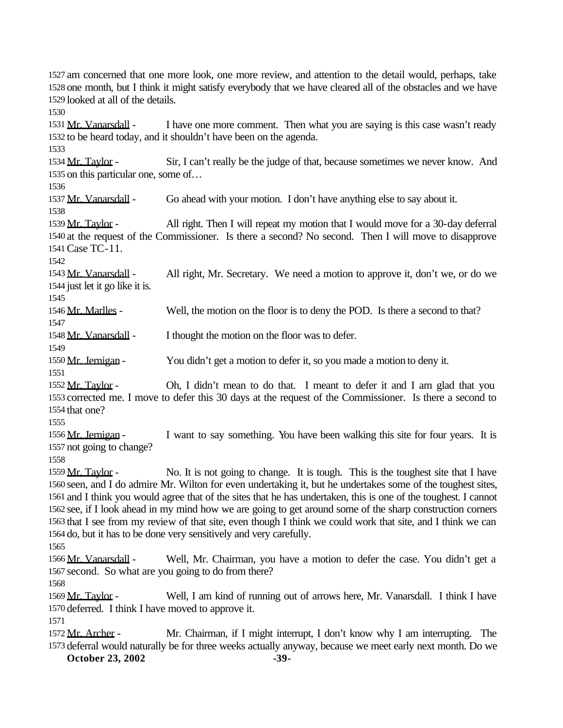am concerned that one more look, one more review, and attention to the detail would, perhaps, take one month, but I think it might satisfy everybody that we have cleared all of the obstacles and we have looked at all of the details.

1531 Mr. Vanarsdall - I have one more comment. Then what you are saying is this case wasn't ready to be heard today, and it shouldn't have been on the agenda.

1534 Mr. Taylor - Sir, I can't really be the judge of that, because sometimes we never know. And on this particular one, some of…

1537 Mr. Vanarsdall - Go ahead with your motion. I don't have anything else to say about it.

1539 Mr. Taylor - All right. Then I will repeat my motion that I would move for a 30-day deferral at the request of the Commissioner. Is there a second? No second. Then I will move to disapprove Case TC-11.

 Mr. Vanarsdall - All right, Mr. Secretary. We need a motion to approve it, don't we, or do we just let it go like it is.

1546 Mr. Marlles - Well, the motion on the floor is to deny the POD. Is there a second to that?

1548 Mr. Vanarsdall - I thought the motion on the floor was to defer.

1550 Mr. Jernigan - You didn't get a motion to defer it, so you made a motion to deny it.

 Mr. Taylor - Oh, I didn't mean to do that. I meant to defer it and I am glad that you corrected me. I move to defer this 30 days at the request of the Commissioner. Is there a second to that one?

1556 Mr. Jernigan - I want to say something. You have been walking this site for four years. It is not going to change?

1559 Mr. Taylor - No. It is not going to change. It is tough. This is the toughest site that I have seen, and I do admire Mr. Wilton for even undertaking it, but he undertakes some of the toughest sites, and I think you would agree that of the sites that he has undertaken, this is one of the toughest. I cannot see, if I look ahead in my mind how we are going to get around some of the sharp construction corners that I see from my review of that site, even though I think we could work that site, and I think we can do, but it has to be done very sensitively and very carefully.

1566 Mr. Vanarsdall - Well, Mr. Chairman, you have a motion to defer the case. You didn't get a second. So what are you going to do from there?

1569 Mr. Taylor - Well, I am kind of running out of arrows here, Mr. Vanarsdall. I think I have deferred. I think I have moved to approve it.

1572 Mr. Archer - Mr. Chairman, if I might interrupt, I don't know why I am interrupting. The deferral would naturally be for three weeks actually anyway, because we meet early next month. Do we

**October 23, 2002** -39-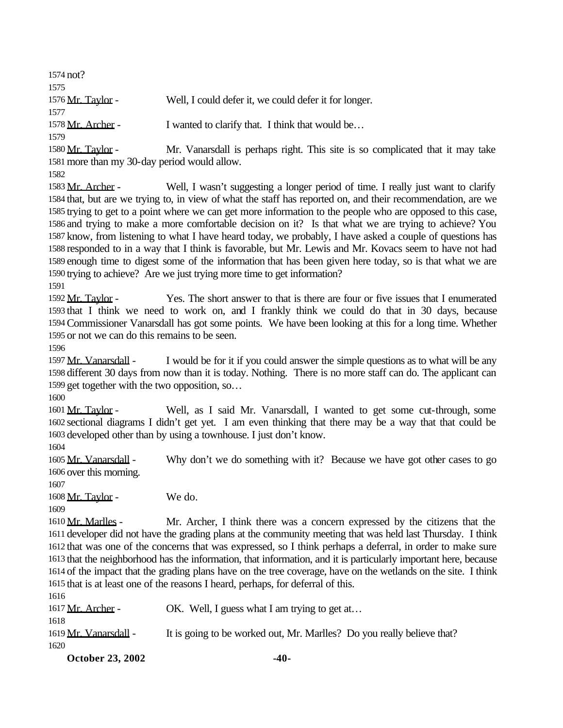| 1574 not?                   |                                                                               |
|-----------------------------|-------------------------------------------------------------------------------|
| 1575                        |                                                                               |
| 1576 Mr. Taylor -           | Well, I could defer it, we could defer it for longer.                         |
| 1577                        |                                                                               |
| 1578 Mr. Archer -           | I wanted to clarify that. I think that would be                               |
| 1579<br>$1580$ Mr. Taylor - | Mr. Vanarsdall is perhans right. This site is so complicated that it may take |

anarsdall is perhaps right. This site is so complicated that it may take more than my 30-day period would allow.

1583 Mr. Archer - Well, I wasn't suggesting a longer period of time. I really just want to clarify that, but are we trying to, in view of what the staff has reported on, and their recommendation, are we trying to get to a point where we can get more information to the people who are opposed to this case, and trying to make a more comfortable decision on it? Is that what we are trying to achieve? You know, from listening to what I have heard today, we probably, I have asked a couple of questions has responded to in a way that I think is favorable, but Mr. Lewis and Mr. Kovacs seem to have not had enough time to digest some of the information that has been given here today, so is that what we are trying to achieve? Are we just trying more time to get information?

 Mr. Taylor - Yes. The short answer to that is there are four or five issues that I enumerated that I think we need to work on, and I frankly think we could do that in 30 days, because Commissioner Vanarsdall has got some points. We have been looking at this for a long time. Whether or not we can do this remains to be seen.

1597 Mr. Vanarsdall - I would be for it if you could answer the simple questions as to what will be any different 30 days from now than it is today. Nothing. There is no more staff can do. The applicant can get together with the two opposition, so…

 Mr. Taylor - Well, as I said Mr. Vanarsdall, I wanted to get some cut-through, some sectional diagrams I didn't get yet. I am even thinking that there may be a way that that could be developed other than by using a townhouse. I just don't know.

1605 Mr. Vanarsdall - Why don't we do something with it? Because we have got other cases to go over this morning.

Mr. Taylor - We do.

 Mr. Marlles - Mr. Archer, I think there was a concern expressed by the citizens that the developer did not have the grading plans at the community meeting that was held last Thursday. I think that was one of the concerns that was expressed, so I think perhaps a deferral, in order to make sure that the neighborhood has the information, that information, and it is particularly important here, because of the impact that the grading plans have on the tree coverage, have on the wetlands on the site. I think that is at least one of the reasons I heard, perhaps, for deferral of this.

1617 Mr. Archer - OK. Well, I guess what I am trying to get at... 

| 1619 Mr. Vanarsdall - | It is going to be worked out, Mr. Marlles? Do you really believe that? |  |
|-----------------------|------------------------------------------------------------------------|--|
| 1620                  |                                                                        |  |

**October 23, 2002** -40-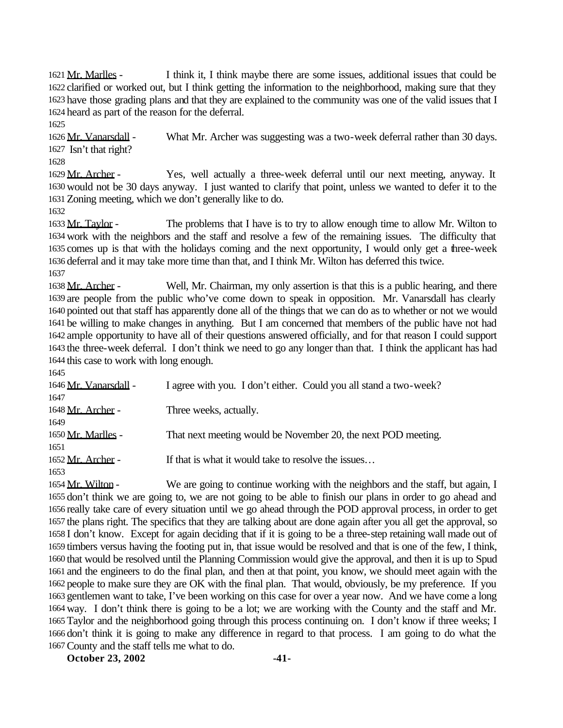Mr. Marlles - I think it, I think maybe there are some issues, additional issues that could be clarified or worked out, but I think getting the information to the neighborhood, making sure that they have those grading plans and that they are explained to the community was one of the valid issues that I heard as part of the reason for the deferral.

1626 Mr. Vanarsdall - What Mr. Archer was suggesting was a two-week deferral rather than 30 days. Isn't that right?

 Mr. Archer - Yes, well actually a three-week deferral until our next meeting, anyway. It would not be 30 days anyway. I just wanted to clarify that point, unless we wanted to defer it to the Zoning meeting, which we don't generally like to do.

1633 Mr. Taylor - The problems that I have is to try to allow enough time to allow Mr. Wilton to work with the neighbors and the staff and resolve a few of the remaining issues. The difficulty that comes up is that with the holidays coming and the next opportunity, I would only get a three-week deferral and it may take more time than that, and I think Mr. Wilton has deferred this twice. 

1638 Mr. Archer - Well, Mr. Chairman, my only assertion is that this is a public hearing, and there are people from the public who've come down to speak in opposition. Mr. Vanarsdall has clearly pointed out that staff has apparently done all of the things that we can do as to whether or not we would be willing to make changes in anything. But I am concerned that members of the public have not had ample opportunity to have all of their questions answered officially, and for that reason I could support the three-week deferral. I don't think we need to go any longer than that. I think the applicant has had this case to work with long enough.

| $\mathbf{1} \mathbf{1}$ |                                                                   |
|-------------------------|-------------------------------------------------------------------|
| 1646 Mr. Vanarsdall -   | I agree with you. I don't either. Could you all stand a two-week? |
| 1647                    |                                                                   |
| 1648 Mr. Archer -       | Three weeks, actually.                                            |
| 1649                    |                                                                   |
| 1650 Mr. Marlles -      | That next meeting would be November 20, the next POD meeting.     |
| 1651                    |                                                                   |
| 1652 Mr. Archer -       | If that is what it would take to resolve the issues               |
| 1653                    |                                                                   |
|                         |                                                                   |

1654 Mr. Wilton - We are going to continue working with the neighbors and the staff, but again, I don't think we are going to, we are not going to be able to finish our plans in order to go ahead and really take care of every situation until we go ahead through the POD approval process, in order to get the plans right. The specifics that they are talking about are done again after you all get the approval, so I don't know. Except for again deciding that if it is going to be a three-step retaining wall made out of timbers versus having the footing put in, that issue would be resolved and that is one of the few, I think, that would be resolved until the Planning Commission would give the approval, and then it is up to Spud and the engineers to do the final plan, and then at that point, you know, we should meet again with the people to make sure they are OK with the final plan. That would, obviously, be my preference. If you gentlemen want to take, I've been working on this case for over a year now. And we have come a long way. I don't think there is going to be a lot; we are working with the County and the staff and Mr. Taylor and the neighborhood going through this process continuing on. I don't know if three weeks; I don't think it is going to make any difference in regard to that process. I am going to do what the County and the staff tells me what to do.

**October 23, 2002** -41-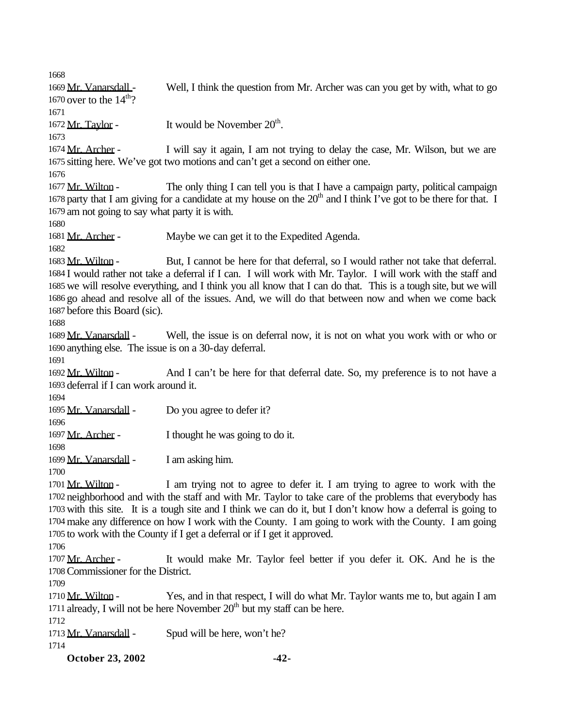**October 23, 2002 -42-** 1669 Mr. Vanarsdall - Well, I think the question from Mr. Archer was can you get by with, what to go 1670 over to the  $14<sup>th</sup>$ ? 1672  $Mr. Taylor -$  It would be November  $20<sup>th</sup>$ . 1674 Mr. Archer - I will say it again, I am not trying to delay the case, Mr. Wilson, but we are sitting here. We've got two motions and can't get a second on either one. 1677 Mr. Wilton - The only thing I can tell you is that I have a campaign party, political campaign 1678 party that I am giving for a candidate at my house on the  $20<sup>th</sup>$  and I think I've got to be there for that. I am not going to say what party it is with. 1681 Mr. Archer - Maybe we can get it to the Expedited Agenda. 1683 Mr. Wilton - But, I cannot be here for that deferral, so I would rather not take that deferral. I would rather not take a deferral if I can. I will work with Mr. Taylor. I will work with the staff and we will resolve everything, and I think you all know that I can do that. This is a tough site, but we will go ahead and resolve all of the issues. And, we will do that between now and when we come back before this Board (sic). Mr. Vanarsdall - Well, the issue is on deferral now, it is not on what you work with or who or anything else. The issue is on a 30-day deferral. 1692 Mr. Wilton - And I can't be here for that deferral date. So, my preference is to not have a deferral if I can work around it. 1695 Mr. Vanarsdall - Do you agree to defer it? 1697 Mr. Archer - I thought he was going to do it. 1699 Mr. Vanarsdall - I am asking him. 1701 Mr. Wilton - I am trying not to agree to defer it. I am trying to agree to work with the neighborhood and with the staff and with Mr. Taylor to take care of the problems that everybody has with this site. It is a tough site and I think we can do it, but I don't know how a deferral is going to make any difference on how I work with the County. I am going to work with the County. I am going to work with the County if I get a deferral or if I get it approved. 1707 Mr. Archer - It would make Mr. Taylor feel better if you defer it. OK. And he is the Commissioner for the District. 1710 Mr. Wilton - Yes, and in that respect, I will do what Mr. Taylor wants me to, but again I am 1711 already, I will not be here November  $20<sup>th</sup>$  but my staff can be here. 1713 Mr. Vanarsdall - Spud will be here, won't he?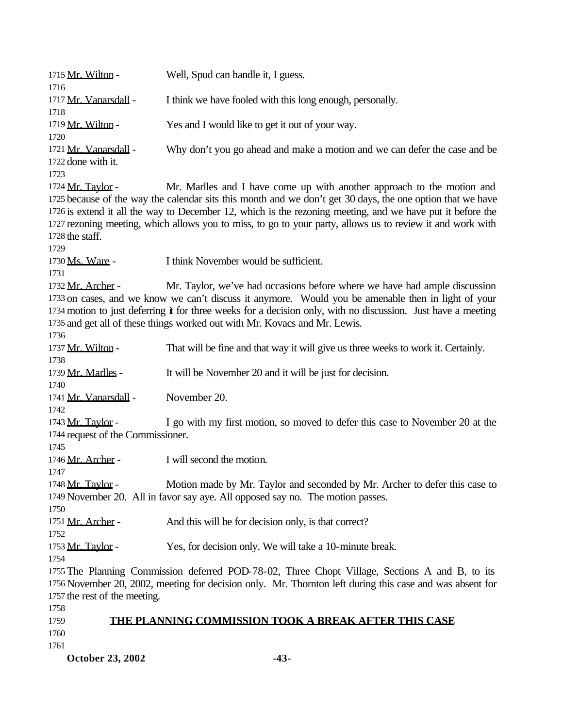| 1715 Mr. Wilton -<br>1716                                                                                                                                                                                                                   | Well, Spud can handle it, I guess.                                                                                                                                                                                                                                                                                                                                                                               |  |
|---------------------------------------------------------------------------------------------------------------------------------------------------------------------------------------------------------------------------------------------|------------------------------------------------------------------------------------------------------------------------------------------------------------------------------------------------------------------------------------------------------------------------------------------------------------------------------------------------------------------------------------------------------------------|--|
| 1717 Mr. Vanarsdall -<br>1718                                                                                                                                                                                                               | I think we have fooled with this long enough, personally.                                                                                                                                                                                                                                                                                                                                                        |  |
| 1719 Mr. Wilton -<br>1720                                                                                                                                                                                                                   | Yes and I would like to get it out of your way.                                                                                                                                                                                                                                                                                                                                                                  |  |
| 1721 Mr. Vanarsdall -<br>1722 done with it.<br>1723                                                                                                                                                                                         | Why don't you go ahead and make a motion and we can defer the case and be                                                                                                                                                                                                                                                                                                                                        |  |
| 1724 Mr. Taylor -<br>1728 the staff.<br>1729                                                                                                                                                                                                | Mr. Marlles and I have come up with another approach to the motion and<br>1725 because of the way the calendar sits this month and we don't get 30 days, the one option that we have<br>1726 is extend it all the way to December 12, which is the rezoning meeting, and we have put it before the<br>1727 rezoning meeting, which allows you to miss, to go to your party, allows us to review it and work with |  |
| 1730 Ms. Ware -<br>1731                                                                                                                                                                                                                     | I think November would be sufficient.                                                                                                                                                                                                                                                                                                                                                                            |  |
| 1732 Mr. Archer -<br>1736                                                                                                                                                                                                                   | Mr. Taylor, we've had occasions before where we have had ample discussion<br>1733 on cases, and we know we can't discuss it anymore. Would you be amenable then in light of your<br>1734 motion to just deferring it for three weeks for a decision only, with no discussion. Just have a meeting<br>1735 and get all of these things worked out with Mr. Kovacs and Mr. Lewis.                                  |  |
| 1737 Mr. Wilton -<br>1738                                                                                                                                                                                                                   | That will be fine and that way it will give us three weeks to work it. Certainly.                                                                                                                                                                                                                                                                                                                                |  |
| 1739 Mr. Marlles -<br>1740                                                                                                                                                                                                                  | It will be November 20 and it will be just for decision.                                                                                                                                                                                                                                                                                                                                                         |  |
| 1741 Mr. Vanarsdall -<br>1742                                                                                                                                                                                                               | November 20.                                                                                                                                                                                                                                                                                                                                                                                                     |  |
| 1743 Mr. Taylor -<br>1744 request of the Commissioner.<br>1745                                                                                                                                                                              | I go with my first motion, so moved to defer this case to November 20 at the                                                                                                                                                                                                                                                                                                                                     |  |
| 1746 Mr. Archer -<br>1747                                                                                                                                                                                                                   | I will second the motion.                                                                                                                                                                                                                                                                                                                                                                                        |  |
| 1748 Mr. Taylor -<br>1750                                                                                                                                                                                                                   | Motion made by Mr. Taylor and seconded by Mr. Archer to defer this case to<br>1749 November 20. All in favor say aye. All opposed say no. The motion passes.                                                                                                                                                                                                                                                     |  |
| 1751 Mr. Archer -<br>1752                                                                                                                                                                                                                   | And this will be for decision only, is that correct?                                                                                                                                                                                                                                                                                                                                                             |  |
| 1753 <u>Mr. Taylor</u> -<br>1754                                                                                                                                                                                                            | Yes, for decision only. We will take a 10-minute break.                                                                                                                                                                                                                                                                                                                                                          |  |
| 1755 The Planning Commission deferred POD-78-02, Three Chopt Village, Sections A and B, to its<br>1756 November 20, 2002, meeting for decision only. Mr. Thornton left during this case and was absent for<br>1757 the rest of the meeting. |                                                                                                                                                                                                                                                                                                                                                                                                                  |  |
| 1758<br>1759                                                                                                                                                                                                                                | <b>THE PLANNING COMMISSION TOOK A BREAK AFTER THIS CASE</b>                                                                                                                                                                                                                                                                                                                                                      |  |
| 1760<br>1761                                                                                                                                                                                                                                |                                                                                                                                                                                                                                                                                                                                                                                                                  |  |
| October 23, 2002                                                                                                                                                                                                                            | $-43-$                                                                                                                                                                                                                                                                                                                                                                                                           |  |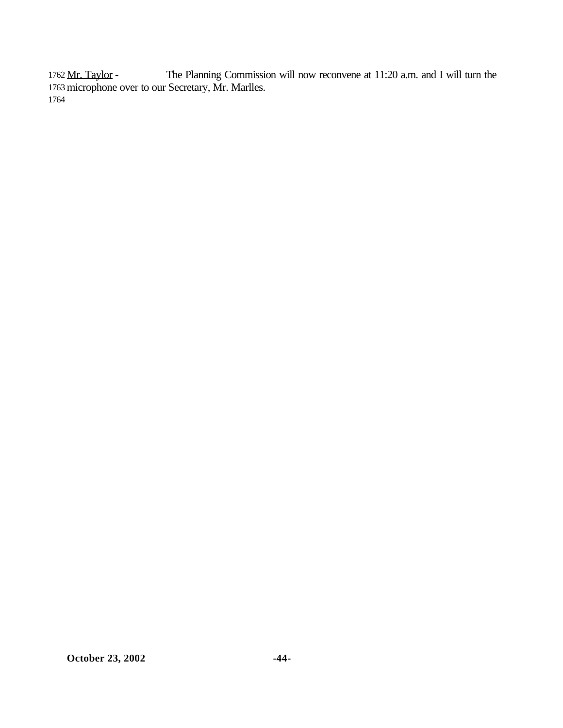1762 Mr. Taylor - The Planning Commission will now reconvene at 11:20 a.m. and I will turn the 1763 microphone over to our Secretary, Mr. Marlles. 1764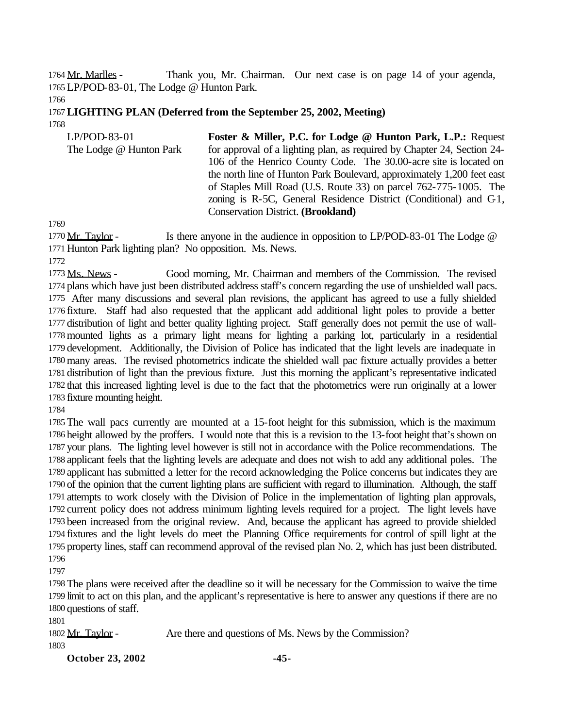1764 Mr. Marlles - Thank you, Mr. Chairman. Our next case is on page 14 of your agenda,

LP/POD-83-01, The Lodge @ Hunton Park.

#### **LIGHTING PLAN (Deferred from the September 25, 2002, Meeting)**

| $LP/POD-83-01$          | Foster & Miller, P.C. for Lodge @ Hunton Park, L.P.: Request            |
|-------------------------|-------------------------------------------------------------------------|
| The Lodge @ Hunton Park | for approval of a lighting plan, as required by Chapter 24, Section 24- |
|                         | 106 of the Henrico County Code. The 30.00-acre site is located on       |
|                         | the north line of Hunton Park Boulevard, approximately 1,200 feet east  |
|                         | of Staples Mill Road (U.S. Route 33) on parcel 762-775-1005. The        |
|                         | zoning is R-5C, General Residence District (Conditional) and $C_1$ ,    |
|                         | <b>Conservation District. (Brookland)</b>                               |

1770 Mr. Taylor - Is there anyone in the audience in opposition to LP/POD-83-01 The Lodge @ Hunton Park lighting plan? No opposition. Ms. News.

 Ms. News - Good morning, Mr. Chairman and members of the Commission. The revised plans which have just been distributed address staff's concern regarding the use of unshielded wall pacs. After many discussions and several plan revisions, the applicant has agreed to use a fully shielded fixture. Staff had also requested that the applicant add additional light poles to provide a better distribution of light and better quality lighting project. Staff generally does not permit the use of wall- mounted lights as a primary light means for lighting a parking lot, particularly in a residential development. Additionally, the Division of Police has indicated that the light levels are inadequate in many areas. The revised photometrics indicate the shielded wall pac fixture actually provides a better distribution of light than the previous fixture. Just this morning the applicant's representative indicated that this increased lighting level is due to the fact that the photometrics were run originally at a lower fixture mounting height.

 The wall pacs currently are mounted at a 15-foot height for this submission, which is the maximum height allowed by the proffers. I would note that this is a revision to the 13-foot height that's shown on your plans. The lighting level however is still not in accordance with the Police recommendations. The applicant feels that the lighting levels are adequate and does not wish to add any additional poles. The applicant has submitted a letter for the record acknowledging the Police concerns but indicates they are of the opinion that the current lighting plans are sufficient with regard to illumination. Although, the staff attempts to work closely with the Division of Police in the implementation of lighting plan approvals, current policy does not address minimum lighting levels required for a project. The light levels have been increased from the original review. And, because the applicant has agreed to provide shielded fixtures and the light levels do meet the Planning Office requirements for control of spill light at the property lines, staff can recommend approval of the revised plan No. 2, which has just been distributed. 

 The plans were received after the deadline so it will be necessary for the Commission to waive the time limit to act on this plan, and the applicant's representative is here to answer any questions if there are no questions of staff.

1802 Mr. Taylor - Are there and questions of Ms. News by the Commission? 

**October 23, 2002** -45-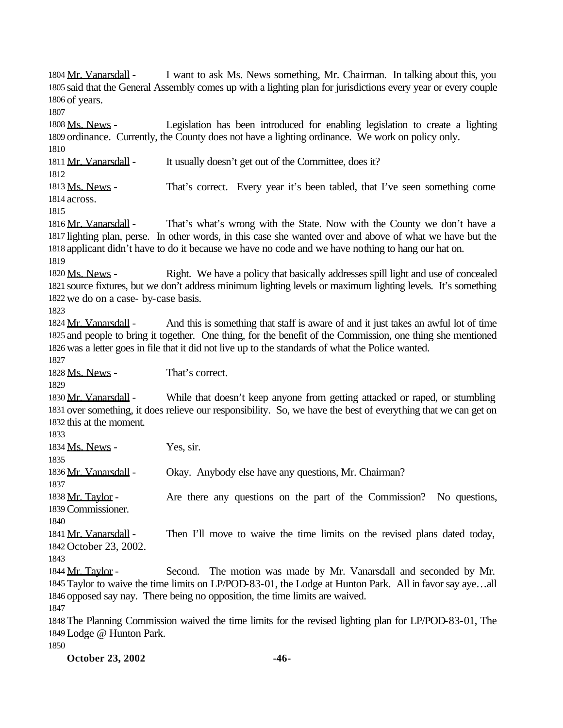**October 23, 2002 -46-** 1804 Mr. Vanarsdall - I want to ask Ms. News something, Mr. Chairman. In talking about this, you said that the General Assembly comes up with a lighting plan for jurisdictions every year or every couple of years. 1808 Ms. News - Legislation has been introduced for enabling legislation to create a lighting ordinance. Currently, the County does not have a lighting ordinance. We work on policy only. 1811 Mr. Vanarsdall - It usually doesn't get out of the Committee, does it? 1813 Ms. News - That's correct. Every year it's been tabled, that I've seen something come across. 1816 Mr. Vanarsdall - That's what's wrong with the State. Now with the County we don't have a lighting plan, perse. In other words, in this case she wanted over and above of what we have but the applicant didn't have to do it because we have no code and we have nothing to hang our hat on. Ms. News - Right. We have a policy that basically addresses spill light and use of concealed source fixtures, but we don't address minimum lighting levels or maximum lighting levels. It's something we do on a case- by-case basis. 1824 Mr. Vanarsdall - And this is something that staff is aware of and it just takes an awful lot of time and people to bring it together. One thing, for the benefit of the Commission, one thing she mentioned was a letter goes in file that it did not live up to the standards of what the Police wanted. Ms. News - That's correct. 1830 Mr. Vanarsdall - While that doesn't keep anyone from getting attacked or raped, or stumbling over something, it does relieve our responsibility. So, we have the best of everything that we can get on this at the moment. 1834 Ms. News - Yes, sir. Mr. Vanarsdall - Okay. Anybody else have any questions, Mr. Chairman? 1838 Mr. Taylor - Are there any questions on the part of the Commission? No questions, Commissioner. 1841 Mr. Vanarsdall - Then I'll move to waive the time limits on the revised plans dated today, October 23, 2002. 1844 Mr. Taylor - Second. The motion was made by Mr. Vanarsdall and seconded by Mr. Taylor to waive the time limits on LP/POD-83-01, the Lodge at Hunton Park. All in favor say aye…all opposed say nay. There being no opposition, the time limits are waived. The Planning Commission waived the time limits for the revised lighting plan for LP/POD-83-01, The Lodge @ Hunton Park.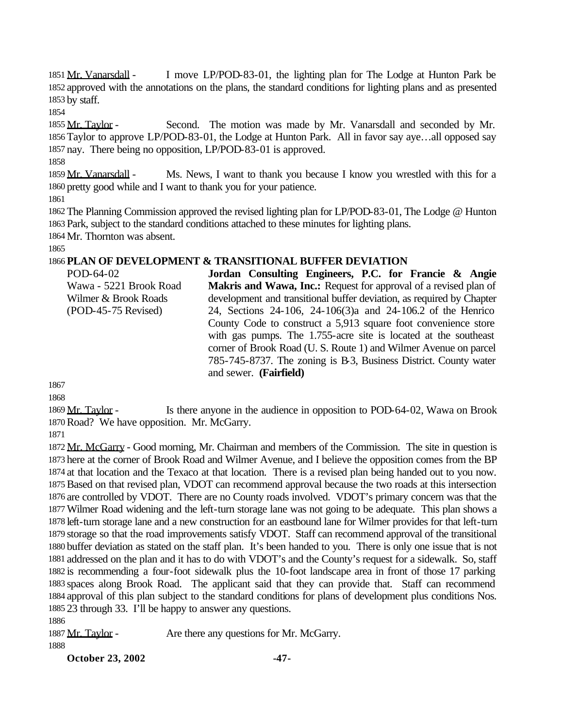1851 Mr. Vanarsdall - I move LP/POD-83-01, the lighting plan for The Lodge at Hunton Park be approved with the annotations on the plans, the standard conditions for lighting plans and as presented by staff.

1855 Mr. Taylor - Second. The motion was made by Mr. Vanarsdall and seconded by Mr. Taylor to approve LP/POD-83-01, the Lodge at Hunton Park. All in favor say aye…all opposed say nay. There being no opposition, LP/POD-83-01 is approved.

1859 Mr. Vanarsdall - Ms. News, I want to thank you because I know you wrestled with this for a pretty good while and I want to thank you for your patience.

 The Planning Commission approved the revised lighting plan for LP/POD-83-01, The Lodge @ Hunton Park, subject to the standard conditions attached to these minutes for lighting plans. Mr. Thornton was absent.

### **PLAN OF DEVELOPMENT & TRANSITIONAL BUFFER DEVIATION**

POD-64-02 Wawa - 5221 Brook Road Wilmer & Brook Roads (POD-45-75 Revised) **Jordan Consulting Engineers, P.C. for Francie & Angie Makris and Wawa, Inc.:** Request for approval of a revised plan of development and transitional buffer deviation, as required by Chapter 24, Sections 24-106, 24-106(3)a and 24-106.2 of the Henrico County Code to construct a 5,913 square foot convenience store with gas pumps. The 1.755-acre site is located at the southeast corner of Brook Road (U. S. Route 1) and Wilmer Avenue on parcel 785-745-8737. The zoning is B-3, Business District. County water and sewer. **(Fairfield)**

1869 Mr. Taylor - Is there anyone in the audience in opposition to POD-64-02, Wawa on Brook Road? We have opposition. Mr. McGarry.

1872 Mr. McGarry - Good morning, Mr. Chairman and members of the Commission. The site in question is here at the corner of Brook Road and Wilmer Avenue, and I believe the opposition comes from the BP at that location and the Texaco at that location. There is a revised plan being handed out to you now. Based on that revised plan, VDOT can recommend approval because the two roads at this intersection are controlled by VDOT. There are no County roads involved. VDOT's primary concern was that the Wilmer Road widening and the left-turn storage lane was not going to be adequate. This plan shows a left-turn storage lane and a new construction for an eastbound lane for Wilmer provides for that left-turn storage so that the road improvements satisfy VDOT. Staff can recommend approval of the transitional buffer deviation as stated on the staff plan. It's been handed to you. There is only one issue that is not addressed on the plan and it has to do with VDOT's and the County's request for a sidewalk. So, staff is recommending a four-foot sidewalk plus the 10-foot landscape area in front of those 17 parking spaces along Brook Road. The applicant said that they can provide that. Staff can recommend approval of this plan subject to the standard conditions for plans of development plus conditions Nos. 23 through 33. I'll be happy to answer any questions.

1887 Mr. Taylor - Are there any questions for Mr. McGarry.

**October 23, 2002** -47-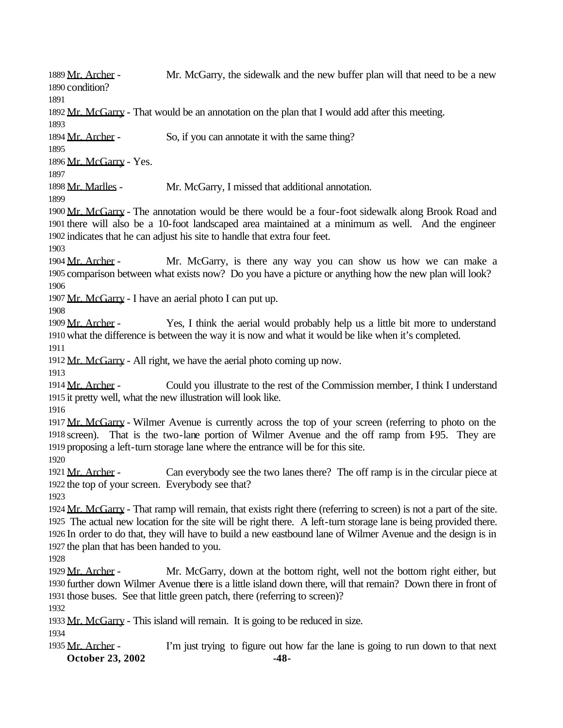1889 Mr. Archer - Mr. McGarry, the sidewalk and the new buffer plan will that need to be a new condition?

1892 Mr. McGarry - That would be an annotation on the plan that I would add after this meeting.

1894 Mr. Archer - So, if you can annotate it with the same thing?

 Mr. McGarry - Yes.

1898 Mr. Marlles - Mr. McGarry, I missed that additional annotation.

1900 Mr. McGarry - The annotation would be there would be a four-foot sidewalk along Brook Road and there will also be a 10-foot landscaped area maintained at a minimum as well. And the engineer indicates that he can adjust his site to handle that extra four feet.

1904 Mr. Archer - Mr. McGarry, is there any way you can show us how we can make a comparison between what exists now? Do you have a picture or anything how the new plan will look? 

1907 Mr. McGarry - I have an aerial photo I can put up.

1909 Mr. Archer - Yes, I think the aerial would probably help us a little bit more to understand what the difference is between the way it is now and what it would be like when it's completed.

1912 Mr. McGarry - All right, we have the aerial photo coming up now.

1914 Mr. Archer - Could you illustrate to the rest of the Commission member, I think I understand it pretty well, what the new illustration will look like.

1917 Mr. McGarry - Wilmer Avenue is currently across the top of your screen (referring to photo on the 1918 screen). That is the two-lane portion of Wilmer Avenue and the off ramp from 195. They are proposing a left-turn storage lane where the entrance will be for this site.

1921 Mr. Archer - Can everybody see the two lanes there? The off ramp is in the circular piece at the top of your screen. Everybody see that?

1924 Mr. McGarry - That ramp will remain, that exists right there (referring to screen) is not a part of the site. The actual new location for the site will be right there. A left-turn storage lane is being provided there. In order to do that, they will have to build a new eastbound lane of Wilmer Avenue and the design is in the plan that has been handed to you.

1929 Mr. Archer - Mr. McGarry, down at the bottom right, well not the bottom right either, but further down Wilmer Avenue there is a little island down there, will that remain? Down there in front of those buses. See that little green patch, there (referring to screen)?

1933 Mr. McGarry - This island will remain. It is going to be reduced in size.

**October 23, 2002** -48-1935 Mr. Archer - I'm just trying to figure out how far the lane is going to run down to that next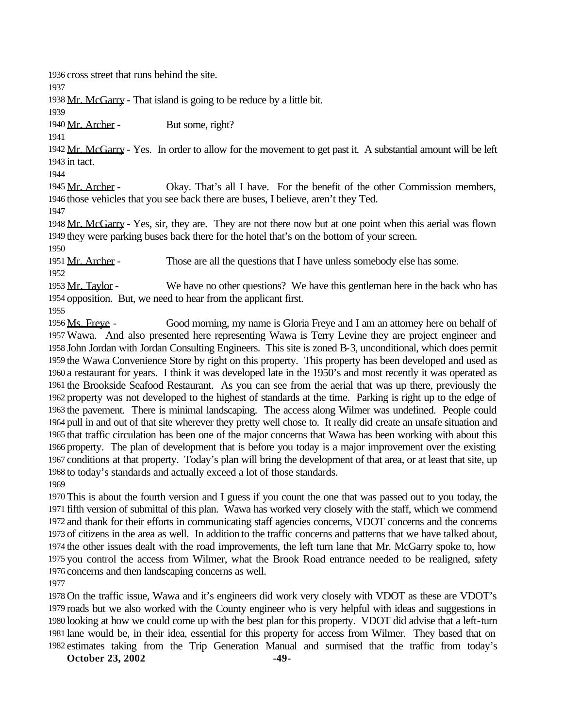cross street that runs behind the site.

1938 Mr. McGarry - That island is going to be reduce by a little bit.

1940 Mr. Archer - But some, right?

1942 Mr. McGarry - Yes. In order to allow for the movement to get past it. A substantial amount will be left in tact.

1945 Mr. Archer - Okay. That's all I have. For the benefit of the other Commission members, those vehicles that you see back there are buses, I believe, aren't they Ted.

1948 Mr. McGarry - Yes, sir, they are. They are not there now but at one point when this aerial was flown they were parking buses back there for the hotel that's on the bottom of your screen.

1951 Mr. Archer - Those are all the questions that I have unless somebody else has some.

1953 Mr. Taylor - We have no other questions? We have this gentleman here in the back who has opposition. But, we need to hear from the applicant first.

1956 Ms. Freye - Good morning, my name is Gloria Freye and I am an attorney here on behalf of Wawa. And also presented here representing Wawa is Terry Levine they are project engineer and John Jordan with Jordan Consulting Engineers. This site is zoned B-3, unconditional, which does permit the Wawa Convenience Store by right on this property. This property has been developed and used as a restaurant for years. I think it was developed late in the 1950's and most recently it was operated as the Brookside Seafood Restaurant. As you can see from the aerial that was up there, previously the property was not developed to the highest of standards at the time. Parking is right up to the edge of the pavement. There is minimal landscaping. The access along Wilmer was undefined. People could pull in and out of that site wherever they pretty well chose to. It really did create an unsafe situation and that traffic circulation has been one of the major concerns that Wawa has been working with about this property. The plan of development that is before you today is a major improvement over the existing conditions at that property. Today's plan will bring the development of that area, or at least that site, up to today's standards and actually exceed a lot of those standards. 

 This is about the fourth version and I guess if you count the one that was passed out to you today, the fifth version of submittal of this plan. Wawa has worked very closely with the staff, which we commend and thank for their efforts in communicating staff agencies concerns, VDOT concerns and the concerns of citizens in the area as well. In addition to the traffic concerns and patterns that we have talked about, the other issues dealt with the road improvements, the left turn lane that Mr. McGarry spoke to, how you control the access from Wilmer, what the Brook Road entrance needed to be realigned, safety concerns and then landscaping concerns as well.

 On the traffic issue, Wawa and it's engineers did work very closely with VDOT as these are VDOT's roads but we also worked with the County engineer who is very helpful with ideas and suggestions in looking at how we could come up with the best plan for this property. VDOT did advise that a left-turn lane would be, in their idea, essential for this property for access from Wilmer. They based that on estimates taking from the Trip Generation Manual and surmised that the traffic from today's

**October 23, 2002** -49-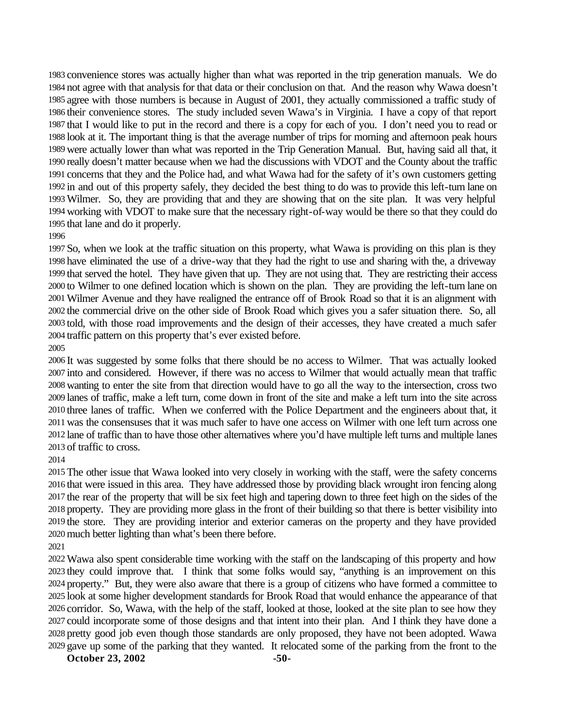convenience stores was actually higher than what was reported in the trip generation manuals. We do not agree with that analysis for that data or their conclusion on that. And the reason why Wawa doesn't agree with those numbers is because in August of 2001, they actually commissioned a traffic study of their convenience stores. The study included seven Wawa's in Virginia. I have a copy of that report that I would like to put in the record and there is a copy for each of you. I don't need you to read or look at it. The important thing is that the average number of trips for morning and afternoon peak hours were actually lower than what was reported in the Trip Generation Manual. But, having said all that, it really doesn't matter because when we had the discussions with VDOT and the County about the traffic concerns that they and the Police had, and what Wawa had for the safety of it's own customers getting in and out of this property safely, they decided the best thing to do was to provide this left-turn lane on Wilmer. So, they are providing that and they are showing that on the site plan. It was very helpful working with VDOT to make sure that the necessary right-of-way would be there so that they could do that lane and do it properly.

#### 

 So, when we look at the traffic situation on this property, what Wawa is providing on this plan is they have eliminated the use of a drive-way that they had the right to use and sharing with the, a driveway that served the hotel. They have given that up. They are not using that. They are restricting their access to Wilmer to one defined location which is shown on the plan. They are providing the left-turn lane on Wilmer Avenue and they have realigned the entrance off of Brook Road so that it is an alignment with the commercial drive on the other side of Brook Road which gives you a safer situation there. So, all told, with those road improvements and the design of their accesses, they have created a much safer traffic pattern on this property that's ever existed before.

 It was suggested by some folks that there should be no access to Wilmer. That was actually looked into and considered. However, if there was no access to Wilmer that would actually mean that traffic wanting to enter the site from that direction would have to go all the way to the intersection, cross two lanes of traffic, make a left turn, come down in front of the site and make a left turn into the site across three lanes of traffic. When we conferred with the Police Department and the engineers about that, it was the consensuses that it was much safer to have one access on Wilmer with one left turn across one lane of traffic than to have those other alternatives where you'd have multiple left turns and multiple lanes of traffic to cross.

 The other issue that Wawa looked into very closely in working with the staff, were the safety concerns that were issued in this area. They have addressed those by providing black wrought iron fencing along the rear of the property that will be six feet high and tapering down to three feet high on the sides of the property. They are providing more glass in the front of their building so that there is better visibility into the store. They are providing interior and exterior cameras on the property and they have provided much better lighting than what's been there before.

Wawa also spent considerable time working with the staff on the landscaping of this property and how they could improve that. I think that some folks would say, "anything is an improvement on this property." But, they were also aware that there is a group of citizens who have formed a committee to look at some higher development standards for Brook Road that would enhance the appearance of that corridor. So, Wawa, with the help of the staff, looked at those, looked at the site plan to see how they could incorporate some of those designs and that intent into their plan. And I think they have done a pretty good job even though those standards are only proposed, they have not been adopted. Wawa gave up some of the parking that they wanted. It relocated some of the parking from the front to the

**October 23, 2002** -50-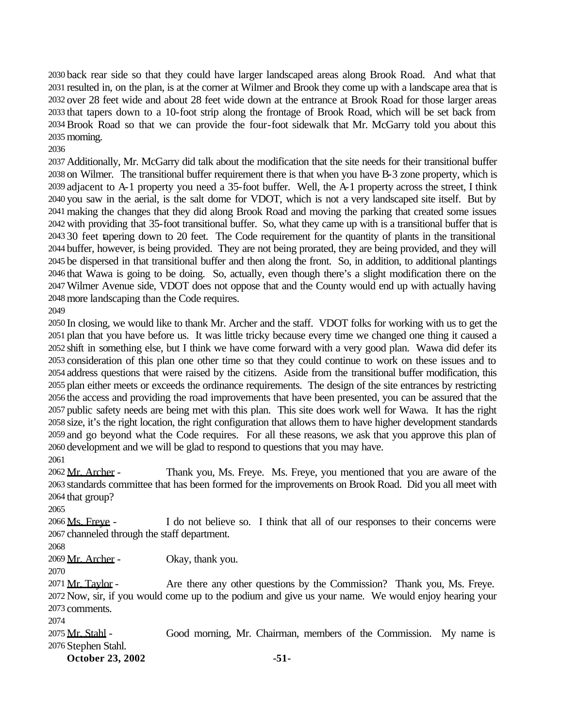back rear side so that they could have larger landscaped areas along Brook Road. And what that resulted in, on the plan, is at the corner at Wilmer and Brook they come up with a landscape area that is over 28 feet wide and about 28 feet wide down at the entrance at Brook Road for those larger areas that tapers down to a 10-foot strip along the frontage of Brook Road, which will be set back from Brook Road so that we can provide the four-foot sidewalk that Mr. McGarry told you about this morning.

 Additionally, Mr. McGarry did talk about the modification that the site needs for their transitional buffer on Wilmer. The transitional buffer requirement there is that when you have B-3 zone property, which is adjacent to A-1 property you need a 35-foot buffer. Well, the A-1 property across the street, I think you saw in the aerial, is the salt dome for VDOT, which is not a very landscaped site itself. But by making the changes that they did along Brook Road and moving the parking that created some issues with providing that 35-foot transitional buffer. So, what they came up with is a transitional buffer that is 30 feet tapering down to 20 feet. The Code requirement for the quantity of plants in the transitional buffer, however, is being provided. They are not being prorated, they are being provided, and they will be dispersed in that transitional buffer and then along the front. So, in addition, to additional plantings that Wawa is going to be doing. So, actually, even though there's a slight modification there on the Wilmer Avenue side, VDOT does not oppose that and the County would end up with actually having more landscaping than the Code requires.

 In closing, we would like to thank Mr. Archer and the staff. VDOT folks for working with us to get the plan that you have before us. It was little tricky because every time we changed one thing it caused a shift in something else, but I think we have come forward with a very good plan. Wawa did defer its consideration of this plan one other time so that they could continue to work on these issues and to address questions that were raised by the citizens. Aside from the transitional buffer modification, this plan either meets or exceeds the ordinance requirements. The design of the site entrances by restricting the access and providing the road improvements that have been presented, you can be assured that the public safety needs are being met with this plan. This site does work well for Wawa. It has the right size, it's the right location, the right configuration that allows them to have higher development standards and go beyond what the Code requires. For all these reasons, we ask that you approve this plan of development and we will be glad to respond to questions that you may have. 

2062 Mr. Archer - Thank you, Ms. Freye. Ms. Freye, you mentioned that you are aware of the standards committee that has been formed for the improvements on Brook Road. Did you all meet with that group?

2066 Ms. Freye - I do not believe so. I think that all of our responses to their concerns were channeled through the staff department.

2069 Mr. Archer - Okay, thank you.

2071 Mr. Taylor - Are there any other questions by the Commission? Thank you, Ms. Freye. Now, sir, if you would come up to the podium and give us your name. We would enjoy hearing your comments.

 Mr. Stahl - Good morning, Mr. Chairman, members of the Commission. My name is Stephen Stahl.

**October 23, 2002** -51-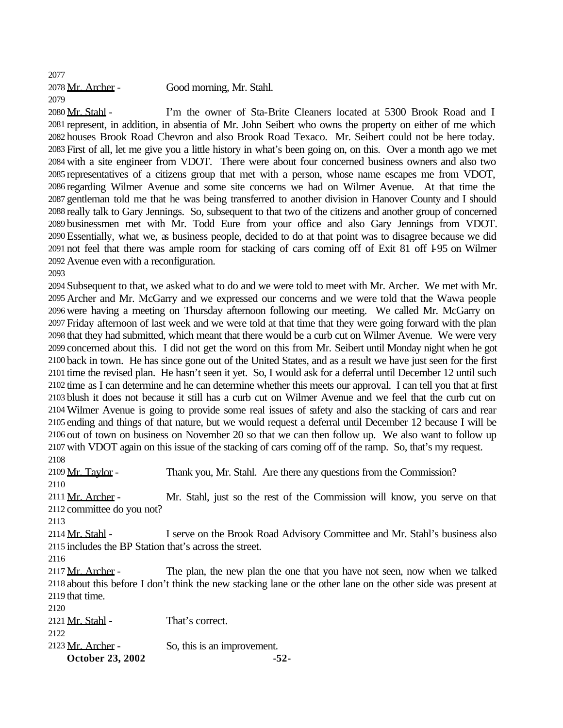Mr. Archer - Good morning, Mr. Stahl.

2080 Mr. Stahl - I'm the owner of Sta-Brite Cleaners located at 5300 Brook Road and I represent, in addition, in absentia of Mr. John Seibert who owns the property on either of me which houses Brook Road Chevron and also Brook Road Texaco. Mr. Seibert could not be here today. First of all, let me give you a little history in what's been going on, on this. Over a month ago we met with a site engineer from VDOT. There were about four concerned business owners and also two representatives of a citizens group that met with a person, whose name escapes me from VDOT, regarding Wilmer Avenue and some site concerns we had on Wilmer Avenue. At that time the gentleman told me that he was being transferred to another division in Hanover County and I should really talk to Gary Jennings. So, subsequent to that two of the citizens and another group of concerned businessmen met with Mr. Todd Eure from your office and also Gary Jennings from VDOT. Essentially, what we, as business people, decided to do at that point was to disagree because we did not feel that there was ample room for stacking of cars coming off of Exit 81 off I-95 on Wilmer Avenue even with a reconfiguration.

 Subsequent to that, we asked what to do and we were told to meet with Mr. Archer. We met with Mr. Archer and Mr. McGarry and we expressed our concerns and we were told that the Wawa people were having a meeting on Thursday afternoon following our meeting. We called Mr. McGarry on Friday afternoon of last week and we were told at that time that they were going forward with the plan that they had submitted, which meant that there would be a curb cut on Wilmer Avenue. We were very concerned about this. I did not get the word on this from Mr. Seibert until Monday night when he got back in town. He has since gone out of the United States, and as a result we have just seen for the first time the revised plan. He hasn't seen it yet. So, I would ask for a deferral until December 12 until such time as I can determine and he can determine whether this meets our approval. I can tell you that at first blush it does not because it still has a curb cut on Wilmer Avenue and we feel that the curb cut on Wilmer Avenue is going to provide some real issues of safety and also the stacking of cars and rear ending and things of that nature, but we would request a deferral until December 12 because I will be out of town on business on November 20 so that we can then follow up. We also want to follow up with VDOT again on this issue of the stacking of cars coming off of the ramp. So, that's my request. 

 Mr. Taylor - Thank you, Mr. Stahl. Are there any questions from the Commission? 2111 Mr. Archer - Mr. Stahl, just so the rest of the Commission will know, you serve on that committee do you not? 2114 Mr. Stahl - I serve on the Brook Road Advisory Committee and Mr. Stahl's business also includes the BP Station that's across the street. 2117 Mr. Archer - The plan, the new plan the one that you have not seen, now when we talked about this before I don't think the new stacking lane or the other lane on the other side was present at that time. 2121 Mr. Stahl - That's correct.  $2123 \text{ Mr. Archer}$  - So, this is an improvement.

**October 23, 2002 -52-**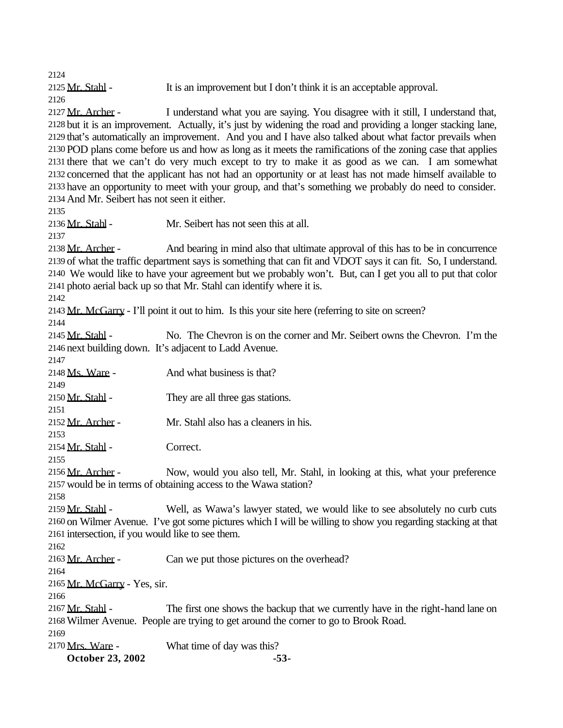2125 Mr. Stahl - It is an improvement but I don't think it is an acceptable approval. 

2127 Mr. Archer - I understand what you are saying. You disagree with it still, I understand that, but it is an improvement. Actually, it's just by widening the road and providing a longer stacking lane, that's automatically an improvement. And you and I have also talked about what factor prevails when POD plans come before us and how as long as it meets the ramifications of the zoning case that applies there that we can't do very much except to try to make it as good as we can. I am somewhat concerned that the applicant has not had an opportunity or at least has not made himself available to have an opportunity to meet with your group, and that's something we probably do need to consider. And Mr. Seibert has not seen it either.

Mr. Stahl- Mr. Seibert has not seen this at all.

 Mr. Archer - And bearing in mind also that ultimate approval of this has to be in concurrence of what the traffic department says is something that can fit and VDOT says it can fit. So, I understand. We would like to have your agreement but we probably won't. But, can I get you all to put that color photo aerial back up so that Mr. Stahl can identify where it is.

Mr. McGarry - I'll point it out to him. Is this your site here (referring to site on screen?

2145 Mr. Stahl - No. The Chevron is on the corner and Mr. Seibert owns the Chevron. I'm the next building down. It's adjacent to Ladd Avenue.

 Ms. Ware - And what business is that?

  $2150 \text{ Mr}$ . Stahl - They are all three gas stations. Mr. Archer - Mr. Stahl also has a cleaners in his. Mr. Stahl - Correct. 2156 Mr. Archer - Now, would you also tell, Mr. Stahl, in looking at this, what your preference would be in terms of obtaining access to the Wawa station? 

2159 Mr. Stahl - Well, as Wawa's lawyer stated, we would like to see absolutely no curb cuts on Wilmer Avenue. I've got some pictures which I will be willing to show you regarding stacking at that intersection, if you would like to see them.

2163 Mr. Archer - Can we put those pictures on the overhead?

Mr. McGarry - Yes, sir.

2167 Mr. Stahl - The first one shows the backup that we currently have in the right-hand lane on Wilmer Avenue. People are trying to get around the corner to go to Brook Road.

2170 Mrs. Ware - What time of day was this?

**October 23, 2002 -53-**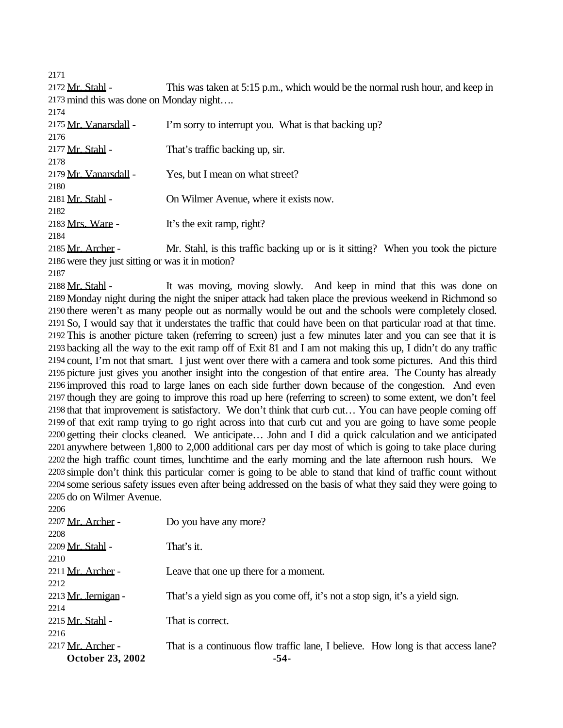Mr. Stahl - This was taken at 5:15 p.m., which would be the normal rush hour, and keep in mind this was done on Monday night….

| 2174                  |                                                      |
|-----------------------|------------------------------------------------------|
| 2175 Mr. Vanarsdall - | I'm sorry to interrupt you. What is that backing up? |
| 2176                  |                                                      |
| 2177 Mr. Stahl -      | That's traffic backing up, sir.                      |
| 2178                  |                                                      |
| 2179 Mr. Vanarsdall - | Yes, but I mean on what street?                      |
| 2180                  |                                                      |
| 2181 Mr. Stahl -      | On Wilmer Avenue, where it exists now.               |
| 2182                  |                                                      |
| 2183 Mrs. Ware -      | It's the exit ramp, right?                           |
| 2184                  |                                                      |

2185 Mr. Archer - Mr. Stahl, is this traffic backing up or is it sitting? When you took the picture were they just sitting or was it in motion?

2188 Mr. Stahl - It was moving, moving slowly. And keep in mind that this was done on Monday night during the night the sniper attack had taken place the previous weekend in Richmond so there weren't as many people out as normally would be out and the schools were completely closed. So, I would say that it understates the traffic that could have been on that particular road at that time. This is another picture taken (referring to screen) just a few minutes later and you can see that it is backing all the way to the exit ramp off of Exit 81 and I am not making this up, I didn't do any traffic count, I'm not that smart. I just went over there with a camera and took some pictures. And this third picture just gives you another insight into the congestion of that entire area. The County has already improved this road to large lanes on each side further down because of the congestion. And even though they are going to improve this road up here (referring to screen) to some extent, we don't feel that that improvement is satisfactory. We don't think that curb cut… You can have people coming off of that exit ramp trying to go right across into that curb cut and you are going to have some people getting their clocks cleaned. We anticipate… John and I did a quick calculation and we anticipated anywhere between 1,800 to 2,000 additional cars per day most of which is going to take place during the high traffic count times, lunchtime and the early morning and the late afternoon rush hours. We simple don't think this particular corner is going to be able to stand that kind of traffic count without some serious safety issues even after being addressed on the basis of what they said they were going to do on Wilmer Avenue.

| ×<br>×<br>۰, |  |
|--------------|--|

| 2207 Mr. Archer -       | Do you have any more?                                                            |
|-------------------------|----------------------------------------------------------------------------------|
| 2208                    |                                                                                  |
| 2209 Mr. Stahl -        | That's it.                                                                       |
| 2210                    |                                                                                  |
| 2211 Mr. Archer -       | Leave that one up there for a moment.                                            |
| 2212                    |                                                                                  |
| 2213 Mr. Jernigan -     | That's a yield sign as you come off, it's not a stop sign, it's a yield sign.    |
| 2214                    |                                                                                  |
| 2215 Mr. Stahl -        | That is correct.                                                                 |
| 2216                    |                                                                                  |
| 2217 Mr. Archer -       | That is a continuous flow traffic lane, I believe. How long is that access lane? |
| <b>October 23, 2002</b> | -54-                                                                             |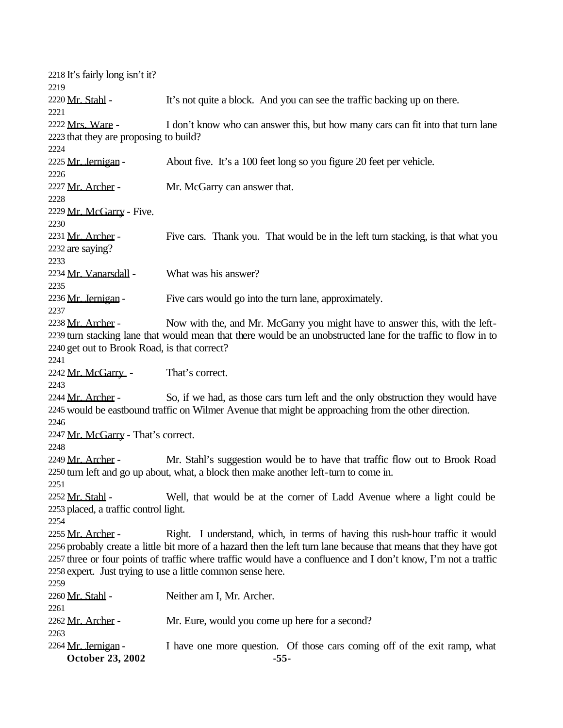| 2218 It's fairly long isn't it?<br>2219                                                                          |                                                                                                                |  |  |
|------------------------------------------------------------------------------------------------------------------|----------------------------------------------------------------------------------------------------------------|--|--|
| 2220 Mr. Stahl -                                                                                                 | It's not quite a block. And you can see the traffic backing up on there.                                       |  |  |
| 2221                                                                                                             |                                                                                                                |  |  |
| 2222 Mrs. Ware -<br>2223 that they are proposing to build?                                                       | I don't know who can answer this, but how many cars can fit into that turn lane                                |  |  |
| 2224                                                                                                             |                                                                                                                |  |  |
| 2225 Mr. Jernigan -                                                                                              | About five. It's a 100 feet long so you figure 20 feet per vehicle.                                            |  |  |
| 2226                                                                                                             |                                                                                                                |  |  |
| 2227 Mr. Archer -                                                                                                | Mr. McGarry can answer that.                                                                                   |  |  |
| 2228                                                                                                             |                                                                                                                |  |  |
| 2229 Mr. McGarry - Five.                                                                                         |                                                                                                                |  |  |
| 2230                                                                                                             |                                                                                                                |  |  |
| 2231 Mr. Archer -                                                                                                | Five cars. Thank you. That would be in the left turn stacking, is that what you                                |  |  |
| 2232 are saying?                                                                                                 |                                                                                                                |  |  |
| 2233                                                                                                             |                                                                                                                |  |  |
| 2234 Mr. Vanarsdall -                                                                                            | What was his answer?                                                                                           |  |  |
| 2235                                                                                                             |                                                                                                                |  |  |
| 2236 Mr. Jernigan -<br>2237                                                                                      | Five cars would go into the turn lane, approximately.                                                          |  |  |
| 2238 Mr. Archer -                                                                                                | Now with the, and Mr. McGarry you might have to answer this, with the left-                                    |  |  |
|                                                                                                                  | 2239 turn stacking lane that would mean that there would be an unobstructed lane for the traffic to flow in to |  |  |
| 2240 get out to Brook Road, is that correct?                                                                     |                                                                                                                |  |  |
| 2241                                                                                                             |                                                                                                                |  |  |
| 2242 Mr. McGarry -                                                                                               | That's correct.                                                                                                |  |  |
| 2243                                                                                                             |                                                                                                                |  |  |
| 2244 Mr. Archer -                                                                                                | So, if we had, as those cars turn left and the only obstruction they would have                                |  |  |
|                                                                                                                  | 2245 would be eastbound traffic on Wilmer Avenue that might be approaching from the other direction.           |  |  |
| 2246                                                                                                             |                                                                                                                |  |  |
| 2247 Mr. McGarry - That's correct.<br>2248                                                                       |                                                                                                                |  |  |
| 2249 Mr. Archer -                                                                                                | Mr. Stahl's suggestion would be to have that traffic flow out to Brook Road                                    |  |  |
|                                                                                                                  | 2250 turn left and go up about, what, a block then make another left-turn to come in.                          |  |  |
| 2251                                                                                                             |                                                                                                                |  |  |
| 2252 <u>Mr. Stahl</u> -                                                                                          | Well, that would be at the corner of Ladd Avenue where a light could be                                        |  |  |
| 2253 placed, a traffic control light.                                                                            |                                                                                                                |  |  |
| 2254                                                                                                             |                                                                                                                |  |  |
| 2255 <u>Mr. Archer</u> -                                                                                         | Right. I understand, which, in terms of having this rush-hour traffic it would                                 |  |  |
| 2256 probably create a little bit more of a hazard then the left turn lane because that means that they have got |                                                                                                                |  |  |
| 2257 three or four points of traffic where traffic would have a confluence and I don't know, I'm not a traffic   |                                                                                                                |  |  |
|                                                                                                                  | 2258 expert. Just trying to use a little common sense here.                                                    |  |  |
| 2259                                                                                                             |                                                                                                                |  |  |
| 2260 Mr. Stahl -                                                                                                 | Neither am I, Mr. Archer.                                                                                      |  |  |
| 2261                                                                                                             |                                                                                                                |  |  |
| 2262 Mr. Archer -                                                                                                | Mr. Eure, would you come up here for a second?                                                                 |  |  |
| 2263                                                                                                             |                                                                                                                |  |  |
| 2264 Mr. Jernigan -<br><b>October 23, 2002</b>                                                                   | I have one more question. Of those cars coming off of the exit ramp, what<br>$-55-$                            |  |  |
|                                                                                                                  |                                                                                                                |  |  |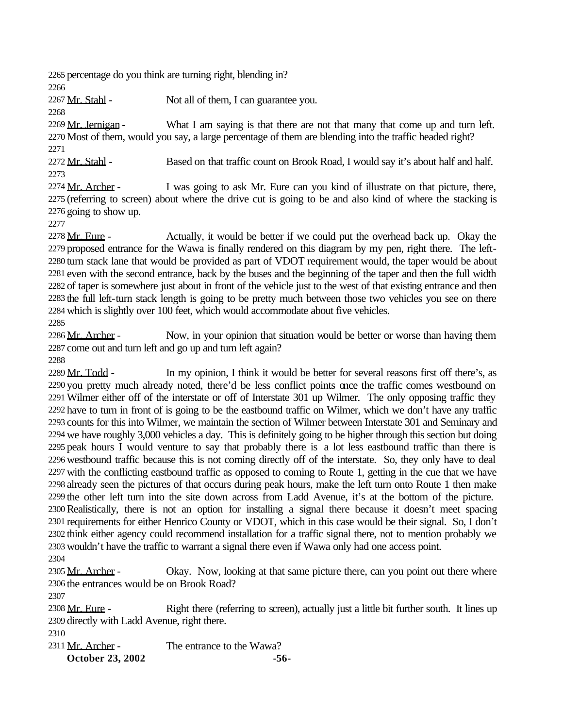percentage do you think are turning right, blending in?

2267 Mr. Stahl - Not all of them, I can guarantee you.

 $2269 \text{ Mr. Iernigan}$  - What I am saying is that there are not that many that come up and turn left. Most of them, would you say, a large percentage of them are blending into the traffic headed right?

 2272 Mr. Stahl - Based on that traffic count on Brook Road, I would say it's about half and half. 

2274 Mr. Archer - I was going to ask Mr. Eure can you kind of illustrate on that picture, there, (referring to screen) about where the drive cut is going to be and also kind of where the stacking is going to show up.

2278 Mr. Eure - Actually, it would be better if we could put the overhead back up. Okay the proposed entrance for the Wawa is finally rendered on this diagram by my pen, right there. The left- turn stack lane that would be provided as part of VDOT requirement would, the taper would be about even with the second entrance, back by the buses and the beginning of the taper and then the full width of taper is somewhere just about in front of the vehicle just to the west of that existing entrance and then the full left-turn stack length is going to be pretty much between those two vehicles you see on there which is slightly over 100 feet, which would accommodate about five vehicles.

2286 Mr. Archer - Now, in your opinion that situation would be better or worse than having them come out and turn left and go up and turn left again?

2289 Mr. Todd - In my opinion, I think it would be better for several reasons first off there's, as you pretty much already noted, there'd be less conflict points once the traffic comes westbound on Wilmer either off of the interstate or off of Interstate 301 up Wilmer. The only opposing traffic they have to turn in front of is going to be the eastbound traffic on Wilmer, which we don't have any traffic counts for this into Wilmer, we maintain the section of Wilmer between Interstate 301 and Seminary and we have roughly 3,000 vehicles a day. This is definitely going to be higher through this section but doing peak hours I would venture to say that probably there is a lot less eastbound traffic than there is westbound traffic because this is not coming directly off of the interstate. So, they only have to deal with the conflicting eastbound traffic as opposed to coming to Route 1, getting in the cue that we have already seen the pictures of that occurs during peak hours, make the left turn onto Route 1 then make the other left turn into the site down across from Ladd Avenue, it's at the bottom of the picture. Realistically, there is not an option for installing a signal there because it doesn't meet spacing requirements for either Henrico County or VDOT, which in this case would be their signal. So, I don't think either agency could recommend installation for a traffic signal there, not to mention probably we wouldn't have the traffic to warrant a signal there even if Wawa only had one access point. 

2305 Mr. Archer - Okay. Now, looking at that same picture there, can you point out there where the entrances would be on Brook Road?

2308 Mr. Eure - Right there (referring to screen), actually just a little bit further south. It lines up directly with Ladd Avenue, right there.

**October 23, 2002 -56-** 2311 Mr. Archer - The entrance to the Wawa?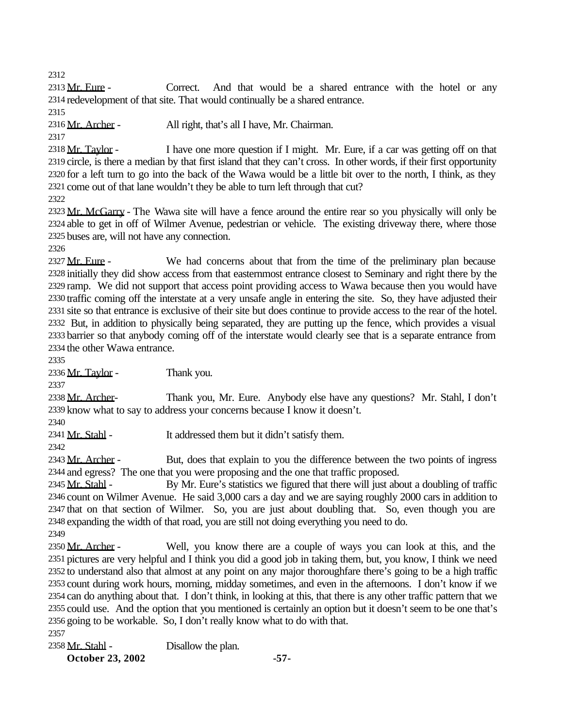2313 Mr. Eure - Correct. And that would be a shared entrance with the hotel or any redevelopment of that site. That would continually be a shared entrance.

2316 Mr. Archer - All right, that's all I have, Mr. Chairman.

 Mr. Taylor - I have one more question if I might. Mr. Eure, if a car was getting off on that circle, is there a median by that first island that they can't cross. In other words, if their first opportunity for a left turn to go into the back of the Wawa would be a little bit over to the north, I think, as they come out of that lane wouldn't they be able to turn left through that cut?

2323 Mr. McGarry - The Wawa site will have a fence around the entire rear so you physically will only be able to get in off of Wilmer Avenue, pedestrian or vehicle. The existing driveway there, where those buses are, will not have any connection.

2327 Mr. Eure - We had concerns about that from the time of the preliminary plan because initially they did show access from that easternmost entrance closest to Seminary and right there by the ramp. We did not support that access point providing access to Wawa because then you would have traffic coming off the interstate at a very unsafe angle in entering the site. So, they have adjusted their site so that entrance is exclusive of their site but does continue to provide access to the rear of the hotel. But, in addition to physically being separated, they are putting up the fence, which provides a visual barrier so that anybody coming off of the interstate would clearly see that is a separate entrance from the other Wawa entrance.

 $2336 \,\mathrm{Mr}$ . Taylor - Thank you.

2338 Mr. Archer- Thank you, Mr. Eure. Anybody else have any questions? Mr. Stahl, I don't know what to say to address your concerns because I know it doesn't.

2341 Mr. Stahl - It addressed them but it didn't satisfy them.

2343 Mr. Archer - But, does that explain to you the difference between the two points of ingress and egress? The one that you were proposing and the one that traffic proposed.

2345 Mr. Stahl - By Mr. Eure's statistics we figured that there will just about a doubling of traffic count on Wilmer Avenue. He said 3,000 cars a day and we are saying roughly 2000 cars in addition to that on that section of Wilmer. So, you are just about doubling that. So, even though you are expanding the width of that road, you are still not doing everything you need to do.

2350 Mr. Archer - Well, you know there are a couple of ways you can look at this, and the pictures are very helpful and I think you did a good job in taking them, but, you know, I think we need to understand also that almost at any point on any major thoroughfare there's going to be a high traffic count during work hours, morning, midday sometimes, and even in the afternoons. I don't know if we can do anything about that. I don't think, in looking at this, that there is any other traffic pattern that we could use. And the option that you mentioned is certainly an option but it doesn't seem to be one that's going to be workable. So, I don't really know what to do with that.

**October 23, 2002 -57-** 2358 Mr. Stahl - Disallow the plan.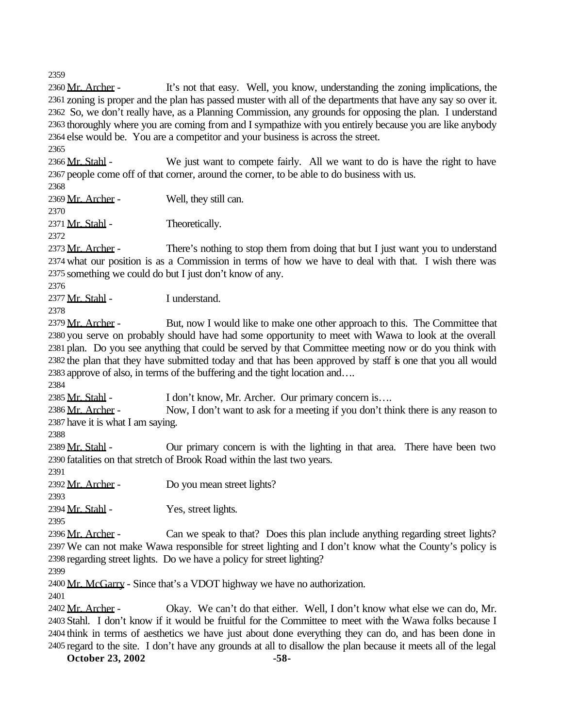2360 Mr. Archer - It's not that easy. Well, you know, understanding the zoning implications, the zoning is proper and the plan has passed muster with all of the departments that have any say so over it. So, we don't really have, as a Planning Commission, any grounds for opposing the plan. I understand thoroughly where you are coming from and I sympathize with you entirely because you are like anybody else would be. You are a competitor and your business is across the street.

2366 Mr. Stahl - We just want to compete fairly. All we want to do is have the right to have people come off of that corner, around the corner, to be able to do business with us.

2369 Mr. Archer - Well, they still can.

 2371 Mr. Stahl - Theoretically.

 Mr. Archer - There's nothing to stop them from doing that but I just want you to understand what our position is as a Commission in terms of how we have to deal with that. I wish there was something we could do but I just don't know of any.

Mr. Stahl - I understand.

2379 Mr. Archer - But, now I would like to make one other approach to this. The Committee that you serve on probably should have had some opportunity to meet with Wawa to look at the overall plan. Do you see anything that could be served by that Committee meeting now or do you think with the plan that they have submitted today and that has been approved by staff is one that you all would approve of also, in terms of the buffering and the tight location and….

2385 Mr. Stahl - I don't know, Mr. Archer. Our primary concern is....

2386 Mr. Archer - Now, I don't want to ask for a meeting if you don't think there is any reason to have it is what I am saying.

2389 Mr. Stahl - Our primary concern is with the lighting in that area. There have been two fatalities on that stretch of Brook Road within the last two years.

2392 Mr. Archer - Do you mean street lights?

2394 Mr. Stahl - Yes, street lights.

2396 Mr. Archer - Can we speak to that? Does this plan include anything regarding street lights? We can not make Wawa responsible for street lighting and I don't know what the County's policy is regarding street lights. Do we have a policy for street lighting?

Mr. McGarry - Since that's a VDOT highway we have no authorization.

2402 Mr. Archer - Okay. We can't do that either. Well, I don't know what else we can do, Mr. Stahl. I don't know if it would be fruitful for the Committee to meet with the Wawa folks because I think in terms of aesthetics we have just about done everything they can do, and has been done in regard to the site. I don't have any grounds at all to disallow the plan because it meets all of the legal

**October 23, 2002** -58-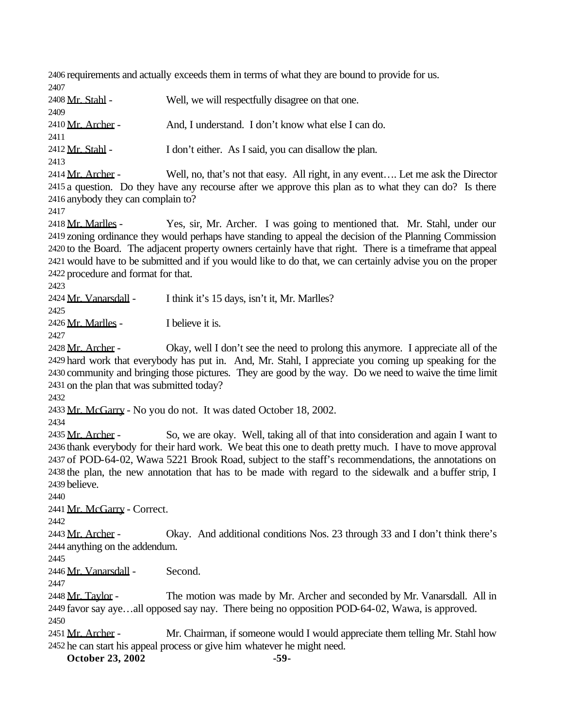requirements and actually exceeds them in terms of what they are bound to provide for us. 

2408 Mr. Stahl - Well, we will respectfully disagree on that one. 2410 Mr. Archer - And, I understand. I don't know what else I can do. 2412 Mr. Stahl - I don't either. As I said, you can disallow the plan. 2414 Mr. Archer - Well, no, that's not that easy. All right, in any event.... Let me ask the Director a question. Do they have any recourse after we approve this plan as to what they can do? Is there anybody they can complain to? 2418 Mr. Marlles - Yes, sir, Mr. Archer. I was going to mentioned that. Mr. Stahl, under our

 zoning ordinance they would perhaps have standing to appeal the decision of the Planning Commission to the Board. The adjacent property owners certainly have that right. There is a timeframe that appeal would have to be submitted and if you would like to do that, we can certainly advise you on the proper procedure and format for that.

2424 Mr. Vanarsdall - I think it's 15 days, isn't it, Mr. Marlles?

Mr. Marlles - I believe it is.

2428 Mr. Archer - Okay, well I don't see the need to prolong this anymore. I appreciate all of the hard work that everybody has put in. And, Mr. Stahl, I appreciate you coming up speaking for the community and bringing those pictures. They are good by the way. Do we need to waive the time limit on the plan that was submitted today?

Mr. McGarry - No you do not. It was dated October 18, 2002.

2435 Mr. Archer - So, we are okay. Well, taking all of that into consideration and again I want to thank everybody for their hard work. We beat this one to death pretty much. I have to move approval of POD-64-02, Wawa 5221 Brook Road, subject to the staff's recommendations, the annotations on the plan, the new annotation that has to be made with regard to the sidewalk and a buffer strip, I believe.

Mr. McGarry - Correct.

2443  $Mr. Archer - Okay. And additional conditions Nos. 23 through 33 and I don't think there's$ anything on the addendum.

Mr. Vanarsdall - Second.

2448 Mr. Taylor - The motion was made by Mr. Archer and seconded by Mr. Vanarsdall. All in favor say aye…all opposed say nay. There being no opposition POD-64-02, Wawa, is approved. 

2451 Mr. Archer - Mr. Chairman, if someone would I would appreciate them telling Mr. Stahl how he can start his appeal process or give him whatever he might need.

**October 23, 2002** -59-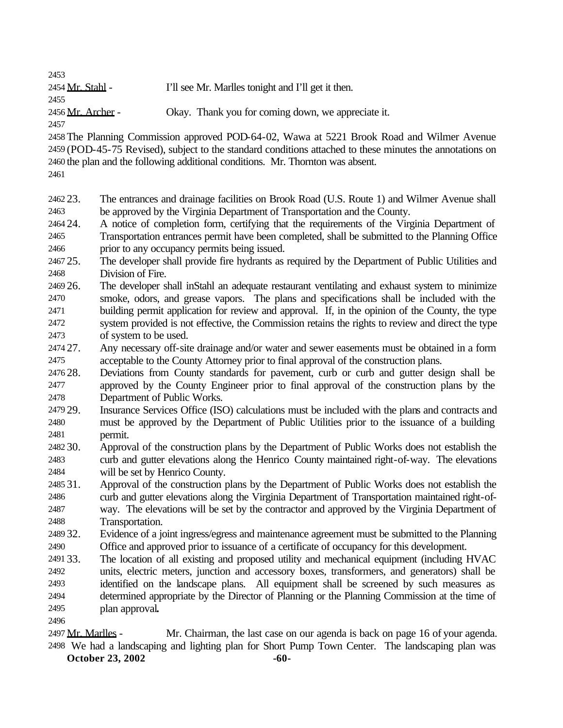2454 Mr. Stahl - I'll see Mr. Marlles tonight and I'll get it then. 2456 Mr. Archer - Okay. Thank you for coming down, we appreciate it.

 The Planning Commission approved POD-64-02, Wawa at 5221 Brook Road and Wilmer Avenue (POD-45-75 Revised), subject to the standard conditions attached to these minutes the annotations on the plan and the following additional conditions. Mr. Thornton was absent.

 23. The entrances and drainage facilities on Brook Road (U.S. Route 1) and Wilmer Avenue shall be approved by the Virginia Department of Transportation and the County.

 24. A notice of completion form, certifying that the requirements of the Virginia Department of Transportation entrances permit have been completed, shall be submitted to the Planning Office prior to any occupancy permits being issued.

 25. The developer shall provide fire hydrants as required by the Department of Public Utilities and Division of Fire.

 26. The developer shall inStahl an adequate restaurant ventilating and exhaust system to minimize smoke, odors, and grease vapors. The plans and specifications shall be included with the building permit application for review and approval. If, in the opinion of the County, the type system provided is not effective, the Commission retains the rights to review and direct the type of system to be used.

 27. Any necessary off-site drainage and/or water and sewer easements must be obtained in a form acceptable to the County Attorney prior to final approval of the construction plans.

 28. Deviations from County standards for pavement, curb or curb and gutter design shall be approved by the County Engineer prior to final approval of the construction plans by the Department of Public Works.

 29. Insurance Services Office (ISO) calculations must be included with the plans and contracts and must be approved by the Department of Public Utilities prior to the issuance of a building permit.

 30. Approval of the construction plans by the Department of Public Works does not establish the curb and gutter elevations along the Henrico County maintained right-of-way. The elevations will be set by Henrico County.

 31. Approval of the construction plans by the Department of Public Works does not establish the curb and gutter elevations along the Virginia Department of Transportation maintained right-of- way. The elevations will be set by the contractor and approved by the Virginia Department of Transportation.

 32. Evidence of a joint ingress/egress and maintenance agreement must be submitted to the Planning Office and approved prior to issuance of a certificate of occupancy for this development.

 33. The location of all existing and proposed utility and mechanical equipment (including HVAC units, electric meters, junction and accessory boxes, transformers, and generators) shall be identified on the landscape plans. All equipment shall be screened by such measures as determined appropriate by the Director of Planning or the Planning Commission at the time of plan approval**.**

 Mr. Marlles - Mr. Chairman, the last case on our agenda is back on page 16 of your agenda. We had a landscaping and lighting plan for Short Pump Town Center. The landscaping plan was

**October 23, 2002** -60-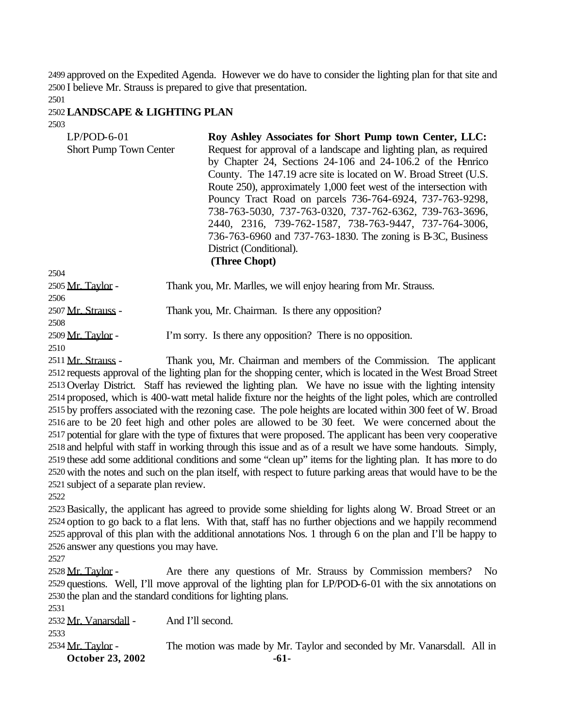approved on the Expedited Agenda. However we do have to consider the lighting plan for that site and I believe Mr. Strauss is prepared to give that presentation.

### **LANDSCAPE & LIGHTING PLAN**

| $LP/POD-6-01$                 | Roy Ashley Associates for Short Pump town Center, LLC:             |
|-------------------------------|--------------------------------------------------------------------|
| <b>Short Pump Town Center</b> | Request for approval of a landscape and lighting plan, as required |
|                               | by Chapter 24, Sections 24-106 and 24-106.2 of the Henrico         |
|                               | County. The 147.19 acre site is located on W. Broad Street (U.S.   |
|                               | Route 250), approximately 1,000 feet west of the intersection with |
|                               | Pouncy Tract Road on parcels 736-764-6924, 737-763-9298,           |
|                               | 738-763-5030, 737-763-0320, 737-762-6362, 739-763-3696,            |
|                               | 2440, 2316, 739-762-1587, 738-763-9447, 737-764-3006,              |
|                               | 736-763-6960 and 737-763-1830. The zoning is B-3C, Business        |
|                               | District (Conditional).                                            |
|                               | (Three Chopt)                                                      |
| 2504                          |                                                                    |
| 2505 Mr. Taylor -             | Thank you, Mr. Marlles, we will enjoy hearing from Mr. Strauss.    |
| 2506                          |                                                                    |

2507 Mr. Strauss - Thank you, Mr. Chairman. Is there any opposition?

 2509 Mr. Taylor - I'm sorry. Is there any opposition? There is no opposition.

 Mr. Strauss - Thank you, Mr. Chairman and members of the Commission. The applicant requests approval of the lighting plan for the shopping center, which is located in the West Broad Street Overlay District. Staff has reviewed the lighting plan. We have no issue with the lighting intensity proposed, which is 400-watt metal halide fixture nor the heights of the light poles, which are controlled by proffers associated with the rezoning case. The pole heights are located within 300 feet of W. Broad are to be 20 feet high and other poles are allowed to be 30 feet. We were concerned about the potential for glare with the type of fixtures that were proposed. The applicant has been very cooperative and helpful with staff in working through this issue and as of a result we have some handouts. Simply, these add some additional conditions and some "clean up" items for the lighting plan. It has more to do with the notes and such on the plan itself, with respect to future parking areas that would have to be the subject of a separate plan review.

Basically, the applicant has agreed to provide some shielding for lights along W. Broad Street or an option to go back to a flat lens. With that, staff has no further objections and we happily recommend approval of this plan with the additional annotations Nos. 1 through 6 on the plan and I'll be happy to answer any questions you may have.

2528 Mr. Taylor - Are there any questions of Mr. Strauss by Commission members? No questions. Well, I'll move approval of the lighting plan for LP/POD-6-01 with the six annotations on the plan and the standard conditions for lighting plans.

Mr. Vanarsdall - And I'll second.

**October 23, 2002** -61-2534 Mr. Taylor - The motion was made by Mr. Taylor and seconded by Mr. Vanarsdall. All in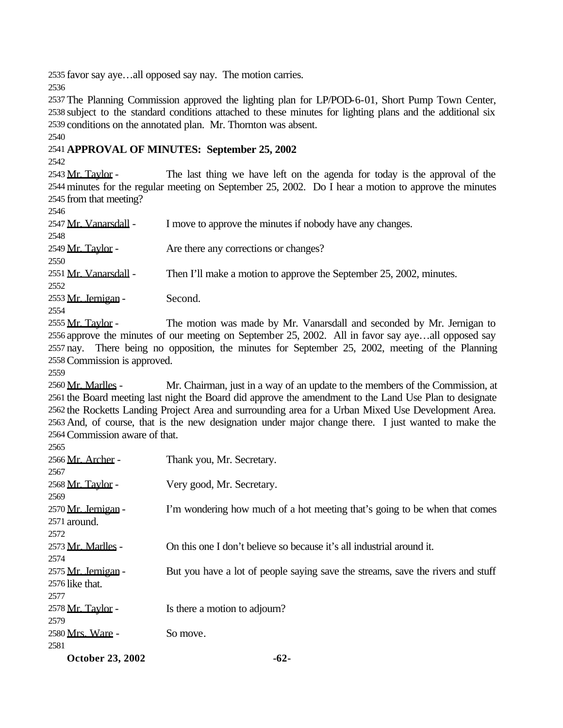favor say aye…all opposed say nay. The motion carries.

 The Planning Commission approved the lighting plan for LP/POD-6-01, Short Pump Town Center, subject to the standard conditions attached to these minutes for lighting plans and the additional six conditions on the annotated plan. Mr. Thornton was absent.

## **APPROVAL OF MINUTES: September 25, 2002**

2543 Mr. Taylor - The last thing we have left on the agenda for today is the approval of the minutes for the regular meeting on September 25, 2002. Do I hear a motion to approve the minutes from that meeting?

| 2546                     |                                                                     |
|--------------------------|---------------------------------------------------------------------|
| 2547 Mr. Vanarsdall -    | I move to approve the minutes if nobody have any changes.           |
| 2548                     |                                                                     |
| 2549 <u>Mr. Tavlor</u> - | Are there any corrections or changes?                               |
| 2550                     |                                                                     |
| 2551 Mr. Vanarsdall -    | Then I'll make a motion to approve the September 25, 2002, minutes. |
| 2552                     |                                                                     |
| 2553 Mr. Jernigan -      | Second.                                                             |
| 2554                     |                                                                     |
| 2555 Mr. Taylor -        | The motion was made by Mr. Vanarsdall and seconded by Mr. Jernigan  |

The motion was made by Mr. Vanarsdall and seconded by Mr. Jernigan to approve the minutes of our meeting on September 25, 2002. All in favor say aye…all opposed say nay. There being no opposition, the minutes for September 25, 2002, meeting of the Planning Commission is approved.

2560 Mr. Marlles - Mr. Chairman, just in a way of an update to the members of the Commission, at the Board meeting last night the Board did approve the amendment to the Land Use Plan to designate the Rocketts Landing Project Area and surrounding area for a Urban Mixed Use Development Area. And, of course, that is the new designation under major change there. I just wanted to make the Commission aware of that.

| <b>October 23, 2002</b>  | $-62-$                                                                          |
|--------------------------|---------------------------------------------------------------------------------|
| 2581                     |                                                                                 |
| 2580 Mrs. Ware -         | So move.                                                                        |
| 2579                     |                                                                                 |
| 2578 <u>Mr. Taylor</u> - | Is there a motion to adjourn?                                                   |
| 2577                     |                                                                                 |
| 2576 like that.          |                                                                                 |
| 2575 Mr. Jernigan -      | But you have a lot of people saying save the streams, save the rivers and stuff |
| 2574                     |                                                                                 |
| 2573 Mr. Marlles -       | On this one I don't believe so because it's all industrial around it.           |
| 2572                     |                                                                                 |
| 2571 around.             |                                                                                 |
| 2570 Mr. Jernigan -      | I'm wondering how much of a hot meeting that's going to be when that comes      |
| 2569                     |                                                                                 |
| 2568 Mr. Taylor -        | Very good, Mr. Secretary.                                                       |
| 2567                     |                                                                                 |
| 2566 Mr. Archer -        | Thank you, Mr. Secretary.                                                       |
| 2000                     |                                                                                 |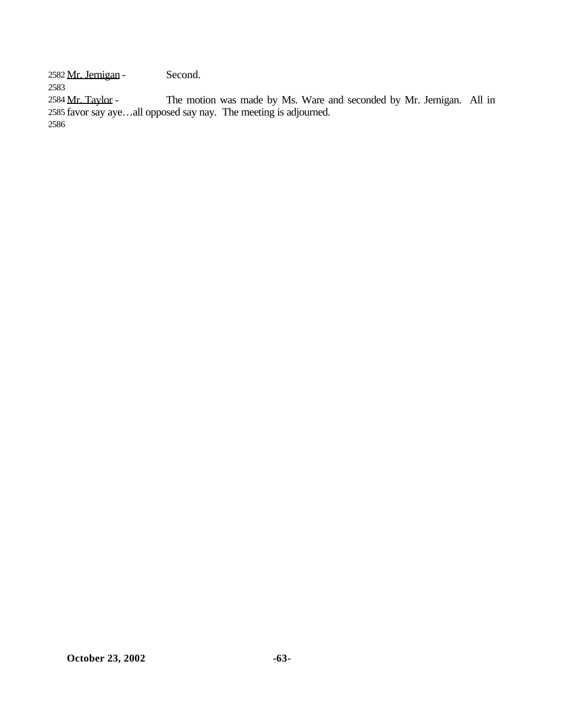Mr. Jernigan - Second.

Mr. Taylor - The motion was made by Ms. Ware and seconded by Mr. Jernigan. All in

 favor say aye…all opposed say nay. The meeting is adjourned.